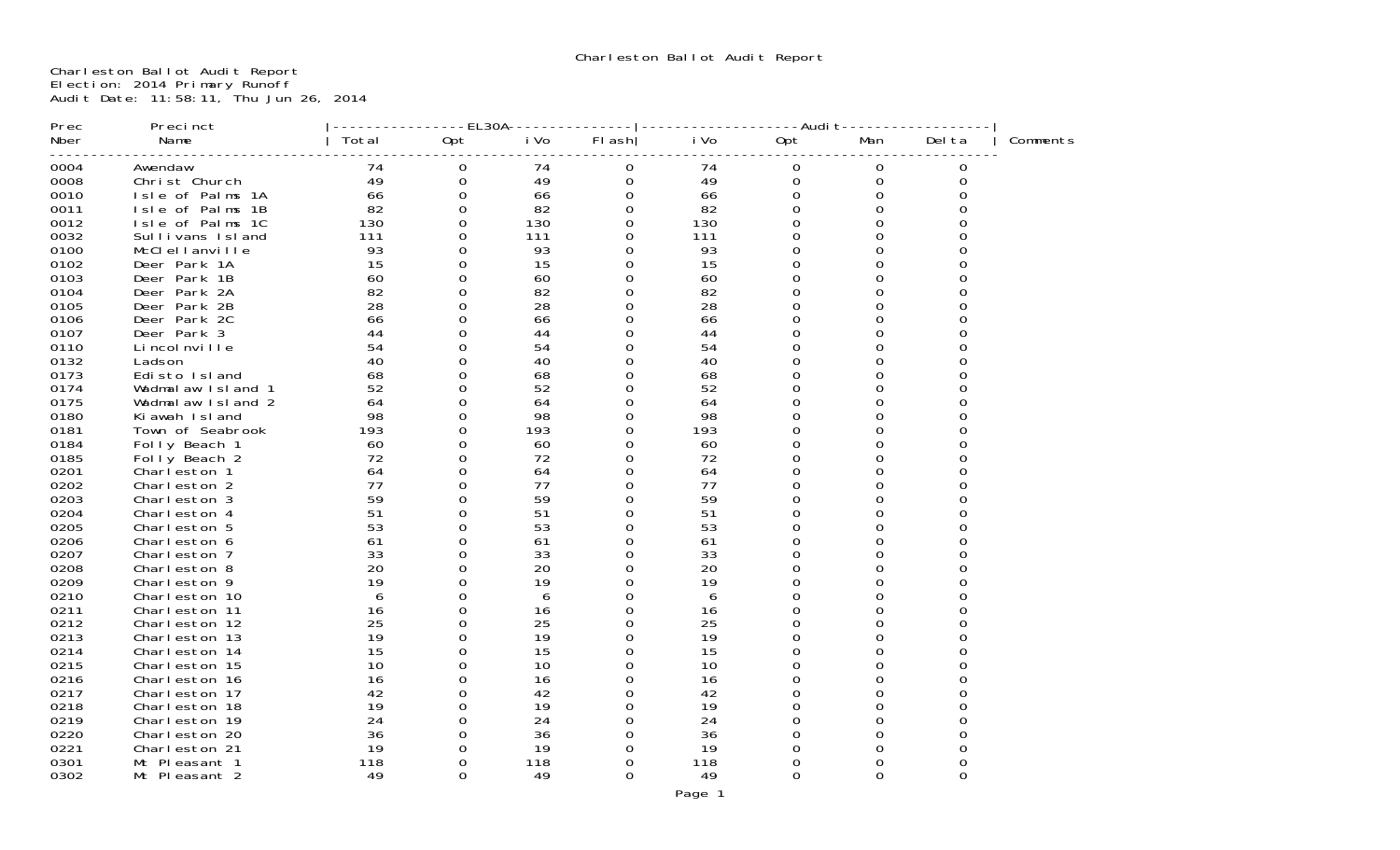Charleston Ballot Audit Report Election: 2014 Primary Runoff Audit Date: 11:58:11, Thu Jun 26, 2014

| Prec         | Precinct                      |          | -EL30A   |          |          |          | -Audi t |          |          |          |
|--------------|-------------------------------|----------|----------|----------|----------|----------|---------|----------|----------|----------|
| Nber         | Name                          | Total    | Opt      | i Vo     | FI ash   | i Vo     | Opt     | Man      | Del ta   | Comments |
| 0004         | Awendaw                       | 74       | 0        | 74       | 0        | 74       | 0       | 0        | 0        |          |
| 0008         | Christ Church                 | 49       | $\Omega$ | 49       | $\Omega$ | 49       | 0       | $\Omega$ | 0        |          |
| 0010         | Isle of Palms 1A              | 66       | 0        | 66       | O        | 66       | 0       | 0        |          |          |
| 0011         | Isle of Palms 1B              | 82       | 0        | 82       | 0        | 82       | 0       | 0        |          |          |
| 0012         | Isle of Palms 1C              | 130      | 0        | 130      | 0        | 130      | 0       | 0        |          |          |
| 0032         | Sullivans Island              | 111      | 0        | 111      | 0        | 111      | 0       | 0        |          |          |
| 0100         | McClellanville                | 93       | 0        | 93       | U        | 93       | 0       | U        |          |          |
| 0102         | Deer Park 1A                  | 15       | 0        | 15       | 0        | 15       | 0       | 0        |          |          |
| 0103         | Deer Park 1B                  | 60       |          | 60       | 0        | 60       | 0       | O        |          |          |
| 0104         | Deer Park 2A                  | 82       | 0        | 82       | 0        | 82       | 0       | 0        |          |          |
| 0105         | Deer Park 2B                  | 28       |          | 28       | 0        | 28       | 0       | O        |          |          |
| 0106         | Deer Park 2C                  | 66       |          | 66       | ∩        | 66       | U       |          |          |          |
| 0107         | Deer Park 3                   | 44       | O        | 44       | 0        | 44       | 0       | 0        |          |          |
| 0110         | Li ncol nville                | 54       |          | 54       | 0        | 54       | 0       | 0        |          |          |
| 0132         | Ladson                        | 40       | O        | 40       | 0        | 40       | 0       | 0        |          |          |
| 0173         | Edisto Island                 | 68       |          | 68       | U        | 68       | 0       | 0        |          |          |
| 0174         | Wadmalaw Island 1             | 52       | ∩        | 52       | 0        | 52       | 0       | 0        |          |          |
| 0175         | Wadmalaw Island 2             | 64       |          | 64       | 0        | 64       | 0       | O        |          |          |
| 0180         | Ki awah Island                | 98       | O        | 98       | 0        | 98       | 0       | 0        |          |          |
| 0181         | Town of Seabrook              | 193      |          | 193      | 0        | 193      | 0       | O        |          |          |
| 0184         | Folly Beach 1                 | 60       | O        | 60       | 0        | 60       | 0       |          |          |          |
| 0185         | Folly Beach 2                 | 72       | 0        | 72       | 0        | 72       | 0       | 0        |          |          |
| 0201         | Charleston 1                  | 64       | 0        | 64       | 0        | 64       | 0       | O        |          |          |
| 0202         | Charleston 2                  | 77       | 0        | 77       | 0        | 77       | 0       | 0        |          |          |
| 0203         | Charleston 3                  | 59       |          | 59       | U        | 59       | 0       | U        |          |          |
| 0204         | Charleston 4                  | 51       | 0        | 51       | 0        | 51       | 0       | 0        |          |          |
| 0205         | Charleston 5                  | 53       |          | 53       | 0        | 53       | 0       | 0        |          |          |
| 0206         | Charleston 6                  | 61       |          | 61       | U<br>0   | 61       | U       | U        |          |          |
| 0207         | Charleston 7                  | 33       |          | 33       |          | 33       | 0       | 0        |          |          |
| 0208<br>0209 | Charleston 8                  | 20<br>19 | 0        | 20<br>19 | O        | 20<br>19 | O       |          |          |          |
| 0210         | Charleston 9<br>Charleston 10 |          | O        |          | 0<br>0   | 6        | 0<br>0  | 0<br>0   |          |          |
| 0211         | Charleston 11                 | 16       | 0        | 6<br>16  | 0        | 16       | 0       | 0        |          |          |
| 0212         | Charleston 12                 | 25       |          | 25       | U        | 25       | 0       | O        |          |          |
| 0213         | Charleston 13                 | 19       | n        | 19       | 0        | 19       | 0       | U        |          |          |
| 0214         | Charleston 14                 | 15       |          | 15       |          | 15       | 0       | O        |          |          |
| 0215         | Charleston 15                 | 10       |          | 10       | 0        | 10       | 0       |          |          |          |
| 0216         | Charleston 16                 | 16       |          | 16       | 0        | 16       | 0       | O        |          |          |
| 0217         | Charleston 17                 | 42       | O        | 42       | 0        | 42       | O       |          |          |          |
| 0218         | Charleston 18                 | 19       | 0        | 19       | 0        | 19       | 0       | 0        |          |          |
| 0219         | Charleston 19                 | 24       | ∩        | 24       | 0        | 24       | 0       | O        |          |          |
| 0220         | Charleston 20                 | 36       | 0        | 36       | 0        | 36       | 0       | 0        | O        |          |
| 0221         | Charleston 21                 | 19       |          | 19       | O        | 19       | 0       |          |          |          |
| 0301         | Mt Pleasant 1                 | 118      | 0        | 118      | 0        | 118      | 0       | 0        |          |          |
| 0302         | Mt Pleasant 2                 | 49       | 0        | 49       | 0        | 49       | 0       | 0        | $\Omega$ |          |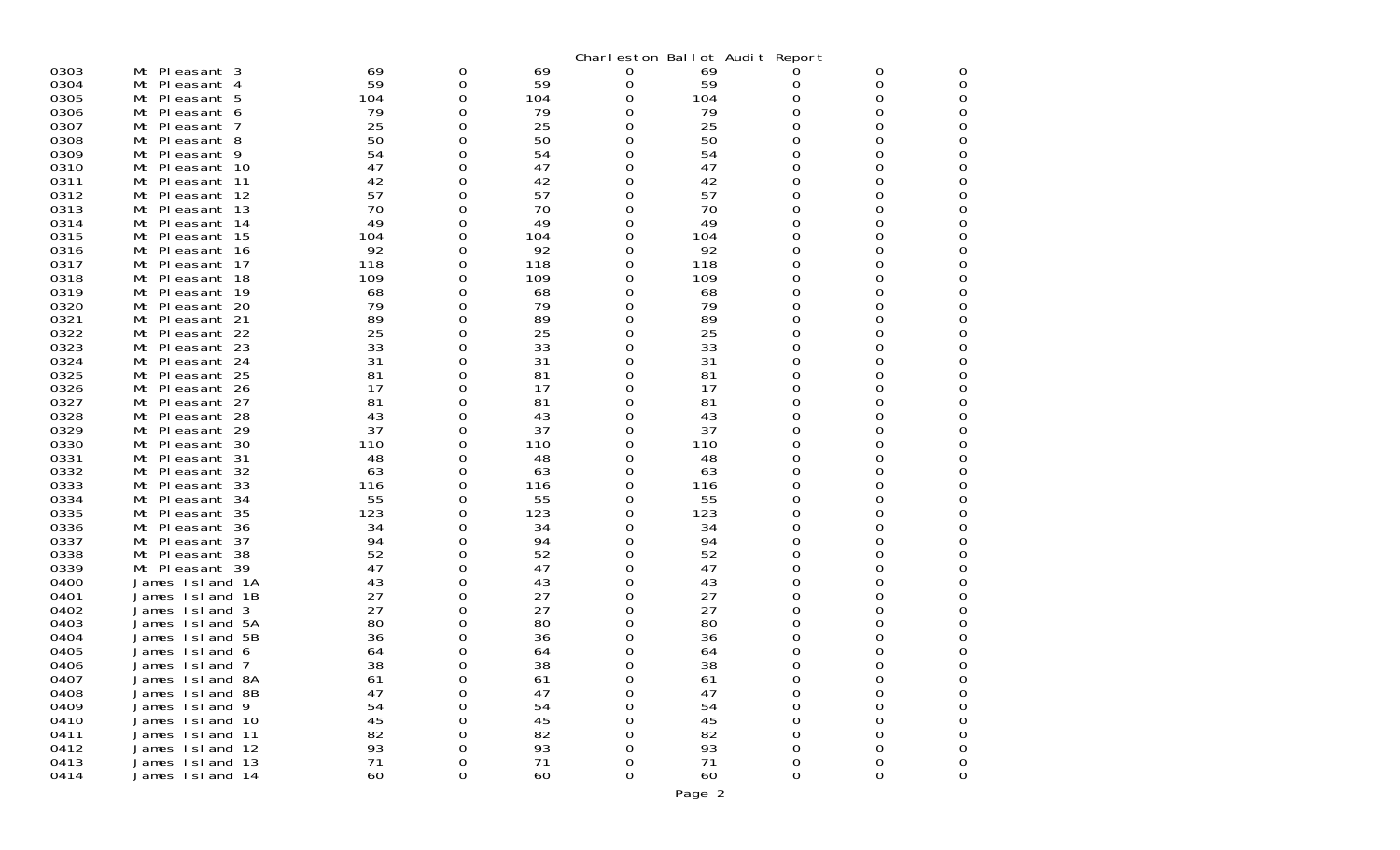|              |                                  |           |          |           | Charleston Ballot Audit Report |           |          |        |        |
|--------------|----------------------------------|-----------|----------|-----------|--------------------------------|-----------|----------|--------|--------|
| 0303         | Mt Pleasant 3                    | 69        | 0        | 69        | 0                              | 69        | 0        | 0      | 0      |
| 0304         | Mt Pleasant 4                    | 59        | 0        | 59        | 0                              | 59        | 0        | 0      | 0      |
| 0305         | Mt Pleasant 5                    | 104       | 0        | 104       | 0                              | 104       | 0        | 0      | 0      |
| 0306         | Mt Pleasant 6                    | 79        | 0        | 79        | 0                              | 79        | 0        | 0      | 0      |
| 0307         | Mt Pleasant<br>-7                | 25        | 0        | 25        | 0                              | 25        | Ω        | 0      | 0      |
| 0308         | Mt Pleasant 8                    | 50        | 0        | 50        | 0                              | 50        | 0        | 0      | 0      |
| 0309         | Mt Pleasant 9                    | 54        | 0        | 54        | 0                              | 54        | 0        | 0      | 0      |
| 0310         | Mt Pleasant 10                   | 47        | 0        | 47        | 0                              | 47        | 0        | 0      | 0      |
| 0311         | Mt Pleasant 11                   | 42        | 0        | 42        | 0                              | 42        | 0        | 0      | 0      |
| 0312         | Pleasant 12                      | 57        |          | 57        |                                | 57        | 0        |        |        |
| 0313         | Mt<br>Mt Pleasant 13             | 70        | 0<br>0   | 70        | 0<br>0                         | 70        | 0        | 0<br>0 | 0<br>0 |
| 0314         | Mt Pleasant 14                   | 49        | 0        | 49        | 0                              | 49        | 0        | 0      | 0      |
| 0315         | Pleasant 15                      |           | 0        |           |                                |           | 0        | 0      | 0      |
| 0316         | Mt                               | 104<br>92 | 0        | 104<br>92 | 0                              | 104<br>92 | 0        |        | 0      |
| 0317         | Mt Pleasant 16                   | 118       | 0        | 118       | 0                              | 118       | 0        | 0<br>0 | 0      |
| 0318         | Mt<br>PI easant 17               | 109       |          |           | 0                              | 109       | 0        |        | 0      |
| 0319         | Pleasant 18<br>Mt                |           | 0<br>0   | 109       | 0                              |           | O        | 0<br>0 | 0      |
| 0320         | Mt Pleasant 19                   | 68<br>79  |          | 68<br>79  | 0                              | 68<br>79  | 0        |        | 0      |
|              | Mt Pleasant 20                   | 89        | 0        | 89        | 0                              | 89        | 0        | 0      |        |
| 0321<br>0322 | Mt Pleasant 21<br>Mt Pleasant 22 | 25        | 0<br>0   | 25        | 0<br>0                         | 25        | 0        | 0<br>0 | 0<br>0 |
| 0323         | Pleasant 23<br>Mt                | 33        | 0        | 33        | 0                              | 33        | 0        | 0      | 0      |
| 0324         | Mt<br>Pleasant 24                | 31        | 0        | 31        | 0                              | 31        | 0        | 0      | 0      |
| 0325         | Mt Pleasant 25                   | 81        | 0        | 81        | 0                              | 81        | 0        | 0      | 0      |
| 0326         | Mt<br>Pleasant 26                | 17        | 0        | 17        | 0                              | 17        | 0        | 0      | 0      |
| 0327         | Pleasant 27<br>Mt                | 81        | 0        | 81        | 0                              | 81        | 0        | 0      | 0      |
| 0328         | Mt Pleasant 28                   | 43        | 0        | 43        | O                              | 43        | 0        | 0      | 0      |
| 0329         | Mt<br>PI easant 29               | 37        | 0        | 37        | 0                              | 37        | 0        | 0      | 0      |
| 0330         | Pleasant 30<br>Mt                | 110       | 0        | 110       | 0                              | 110       | Ω        | 0      | 0      |
| 0331         | Mt Pleasant 31                   | 48        | 0        | 48        | 0                              | 48        | 0        | 0      | 0      |
| 0332         | Pleasant 32<br>Mt                | 63        | 0        | 63        | 0                              | 63        | 0        | 0      | 0      |
| 0333         | Pleasant 33<br>Mt                | 116       | 0        | 116       | 0                              | 116       | 0        | 0      | 0      |
| 0334         | Mt Pleasant 34                   | 55        | 0        | 55        | 0                              | 55        | 0        | 0      | 0      |
| 0335         | Pleasant 35<br>Mt                | 123       | 0        | 123       | 0                              | 123       | 0        | 0      | 0      |
| 0336         | Pleasant 36<br>Mt                | 34        | 0        | 34        | 0                              | 34        | 0        | 0      | 0      |
| 0337         | Mt Pleasant 37                   | 94        | 0        | 94        | O                              | 94        | Ω        | 0      | 0      |
| 0338         | Pleasant 38<br>Mt                | 52        | 0        | 52        | 0                              | 52        | 0        | 0      | 0      |
| 0339         | Mt Pleasant 39                   | 47        | 0        | 47        | 0                              | 47        | 0        | 0      | 0      |
| 0400         | James Island 1A                  | 43        | 0        | 43        | 0                              | 43        | 0        | 0      | 0      |
| 0401         | James Island<br>-1B              | 27        | 0        | 27        | 0                              | 27        | 0        | 0      | 0      |
| 0402         | James Island<br>-3               | 27        | 0        | 27        | 0                              | 27        | Ω        | 0      | 0      |
| 0403         | James Island 5A                  | 80        | 0        | 80        | O                              | 80        | Ω        | 0      | 0      |
| 0404         | James Island 5B                  | 36        | 0        | 36        | 0                              | 36        |          | 0      | 0      |
| 0405         | James Island 6                   | 64        | 0        | 64        | 0                              | 64        | Ω        | 0      | 0      |
| 0406         | James Island 7                   | 38        | $\Omega$ | 38        |                                | 38        | ∩        | U      | O      |
| 0407         | James Island 8A                  | 61        | 0        | 61        | 0                              | 61        | 0        | 0      | 0      |
| 0408         | James Island 8B                  | 47        | 0        | 47        | 0                              | 47        | 0        | 0      | 0      |
| 0409         | James Island 9                   | 54        | 0        | 54        | 0                              | 54        | $\Omega$ | 0      | 0      |
| 0410         | James Island 10                  | 45        | 0        | 45        | 0                              | 45        | 0        | 0      | 0      |
| 0411         | James Island 11                  | 82        | 0        | 82        | 0                              | 82        | 0        | 0      | 0      |
| 0412         | James Island 12                  | 93        | 0        | 93        | 0                              | 93        | 0        | 0      | 0      |
| 0413         | James Island 13                  | 71        | 0        | 71        | 0                              | 71        | 0        | 0      | 0      |
| 0414         | James Island 14                  | 60        | 0        | 60        | 0                              | 60        | 0        | 0      | 0      |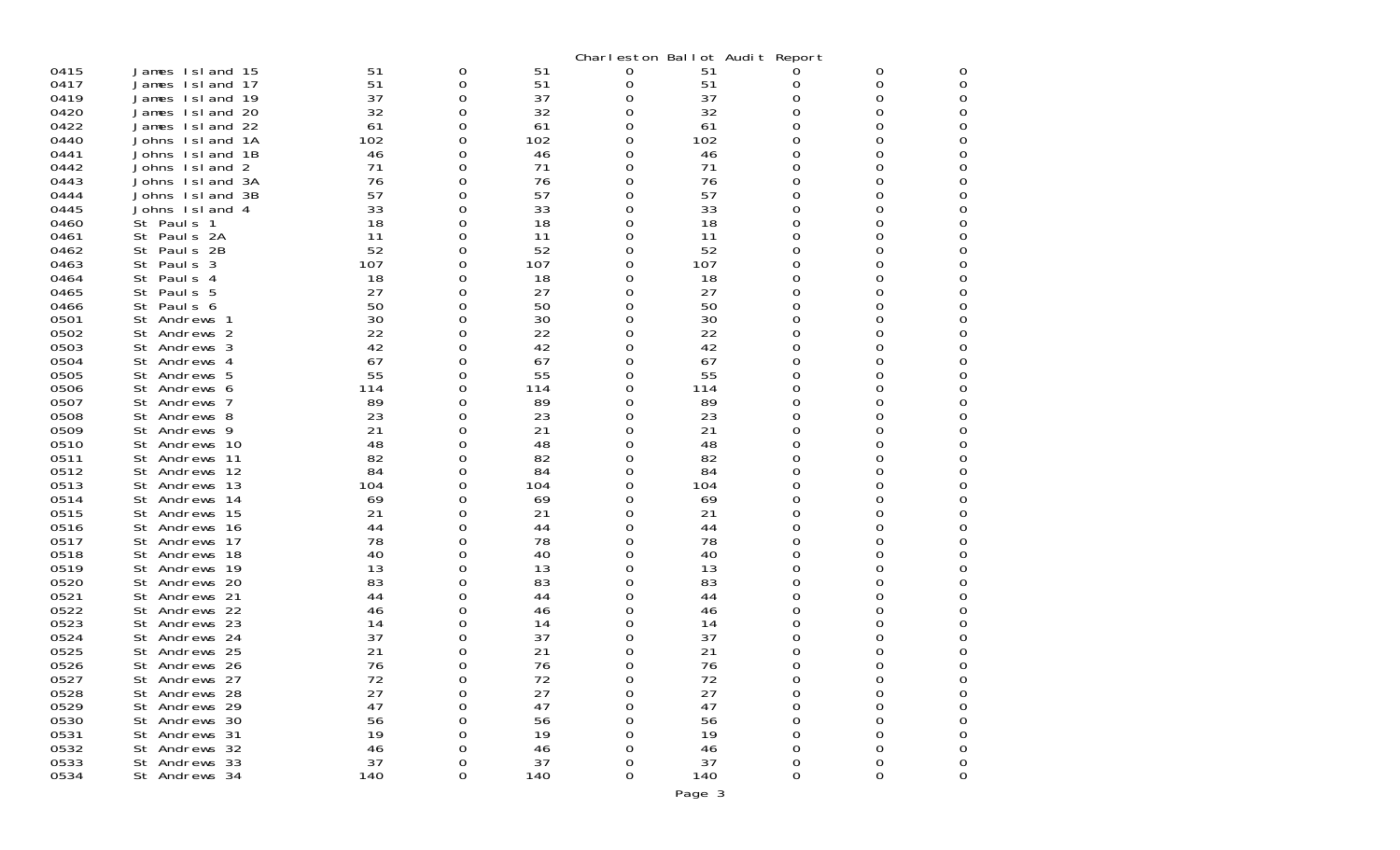|      |                   |     |   |     | Charleston Ballot Audit Report |     |   |          |                  |
|------|-------------------|-----|---|-----|--------------------------------|-----|---|----------|------------------|
| 0415 | James Island 15   | 51  | 0 | 51  | 0                              | 51  |   | 0        | 0                |
| 0417 | James Island 17   | 51  | 0 | 51  | 0                              | 51  | 0 | 0        | 0                |
| 0419 | James Island 19   | 37  | Ω | 37  | 0                              | 37  | 0 | 0        | 0                |
| 0420 | James Island 20   | 32  | 0 | 32  | 0                              | 32  | 0 | O        | 0                |
| 0422 | James Island 22   | 61  | Ω | 61  | 0                              | 61  | 0 | Ω        | 0                |
| 0440 | Johns Island 1A   | 102 | 0 | 102 | 0                              | 102 | 0 | O        | 0                |
| 0441 | Johns Island 1B   | 46  | 0 | 46  | O                              | 46  | 0 |          | 0                |
| 0442 | Johns Island 2    | 71  | Ω | 71  | 0                              | 71  | 0 | O        | 0                |
| 0443 | Johns Island 3A   | 76  | Ω | 76  | 0                              | 76  | 0 | O        | 0                |
| 0444 | Johns Island 3B   | 57  | 0 | 57  | 0                              | 57  | 0 | O        | 0                |
| 0445 | Johns Island 4    | 33  | Ω | 33  | 0                              | 33  | 0 | O        | 0                |
| 0460 | St Pauls 1        | 18  | 0 | 18  | 0                              | 18  | 0 | 0        | 0                |
| 0461 | St Pauls 2A       | 11  | 0 | 11  | 0                              | 11  | 0 | O        | 0                |
| 0462 | St Pauls 2B       | 52  | Ω | 52  | 0                              | 52  | 0 | O        | 0                |
| 0463 | St Pauls 3        | 107 | 0 | 107 | 0                              | 107 | 0 | 0        | 0                |
| 0464 | St<br>Paul s<br>4 | 18  | 0 | 18  | 0                              | 18  | 0 | 0        | 0                |
| 0465 | St Pauls 5        | 27  | O | 27  | 0                              | 27  | 0 | O        | 0                |
| 0466 | St Pauls 6        | 50  | 0 | 50  | 0                              | 50  | 0 | 0        | 0                |
| 0501 | St Andrews 1      | 30  | 0 | 30  | 0                              | 30  | 0 | Ω        | 0                |
| 0502 | St Andrews 2      | 22  | O | 22  | 0                              | 22  | 0 | O        | 0                |
| 0503 | St Andrews 3      | 42  | 0 | 42  | 0                              | 42  | 0 | 0        | 0                |
| 0504 | St Andrews 4      | 67  | Ω | 67  | 0                              | 67  | 0 | Ω        | 0                |
| 0505 | St Andrews 5      | 55  | Ω | 55  | 0                              | 55  | 0 | O        | 0                |
| 0506 | St Andrews 6      | 114 | 0 | 114 | 0                              | 114 | 0 | 0        | 0                |
| 0507 | St Andrews 7      | 89  | Ω | 89  | 0                              | 89  | 0 | Ω        | 0                |
| 0508 | St Andrews 8      | 23  | 0 | 23  | 0                              | 23  | 0 | O        | 0                |
| 0509 | St Andrews 9      | 21  | 0 | 21  | 0                              | 21  | 0 | 0        | 0                |
| 0510 | St Andrews 10     | 48  | Ω | 48  | 0                              | 48  | 0 | Ω        | 0                |
| 0511 | St Andrews 11     | 82  | Ω | 82  | O                              | 82  | 0 | O        | 0                |
| 0512 | St Andrews 12     | 84  | 0 | 84  | 0                              | 84  | 0 | 0        | 0                |
| 0513 | St Andrews 13     | 104 | Ω | 104 | 0                              | 104 | 0 | Ω        | 0                |
| 0514 | St Andrews 14     | 69  | O | 69  | O                              | 69  | 0 |          | 0                |
| 0515 | Andrews 15<br>St  | 21  | 0 | 21  | 0                              | 21  | 0 | O        | 0                |
| 0516 | St Andrews 16     | 44  | Ω | 44  | 0                              | 44  | 0 | 0        | 0                |
| 0517 | St Andrews 17     | 78  | Ω | 78  | O                              | 78  | 0 | O        | 0                |
| 0518 | Andrews 18<br>St  | 40  | 0 | 40  | 0                              | 40  | 0 | O        | 0                |
| 0519 | St Andrews 19     | 13  | Ω | 13  | 0                              | 13  | 0 | Ω        | 0                |
| 0520 | St Andrews 20     | 83  | Ω | 83  | 0                              | 83  | 0 | O        | 0                |
| 0521 | Andrews 21<br>St  | 44  | 0 | 44  | 0                              | 44  | 0 | O        | 0                |
| 0522 | Andrews 22<br>St  | 46  | Ω | 46  | 0                              | 46  | 0 | O        | 0                |
| 0523 | St Andrews 23     | 14  | O | 14  |                                | 14  | 0 |          | 0                |
| 0524 | Andrews 24<br>St  | 37  | O | 37  | O                              | 37  |   |          | 0                |
| 0525 | St Andrews 25     | 21  | Ω | 21  | 0                              | 21  | 0 | O        | 0                |
| 0526 | St Andrews 26     | 76  | ∩ | 76  | <sup>0</sup>                   | 76  | ი | ∩        | ∩                |
| 0527 | St Andrews 27     | 72  | 0 | 72  | 0                              | 72  | 0 | 0        | 0                |
| 0528 | St Andrews 28     | 27  | 0 | 27  | 0                              | 27  | 0 | 0        | 0                |
| 0529 | St Andrews 29     | 47  | 0 | 47  | 0                              | 47  | 0 | 0        | $\mathbf 0$      |
| 0530 | St Andrews 30     | 56  | 0 | 56  | 0                              | 56  | 0 | 0        | 0                |
| 0531 | St Andrews 31     | 19  | 0 | 19  | 0                              | 19  | 0 | 0        | 0                |
| 0532 | St Andrews 32     | 46  | 0 | 46  | 0                              | 46  | 0 | $\Omega$ | $\boldsymbol{0}$ |
| 0533 | St Andrews 33     | 37  | 0 | 37  | 0                              | 37  | 0 | 0        | 0                |
| 0534 | St Andrews 34     | 140 | 0 | 140 | 0                              | 140 | 0 | $\Omega$ | 0                |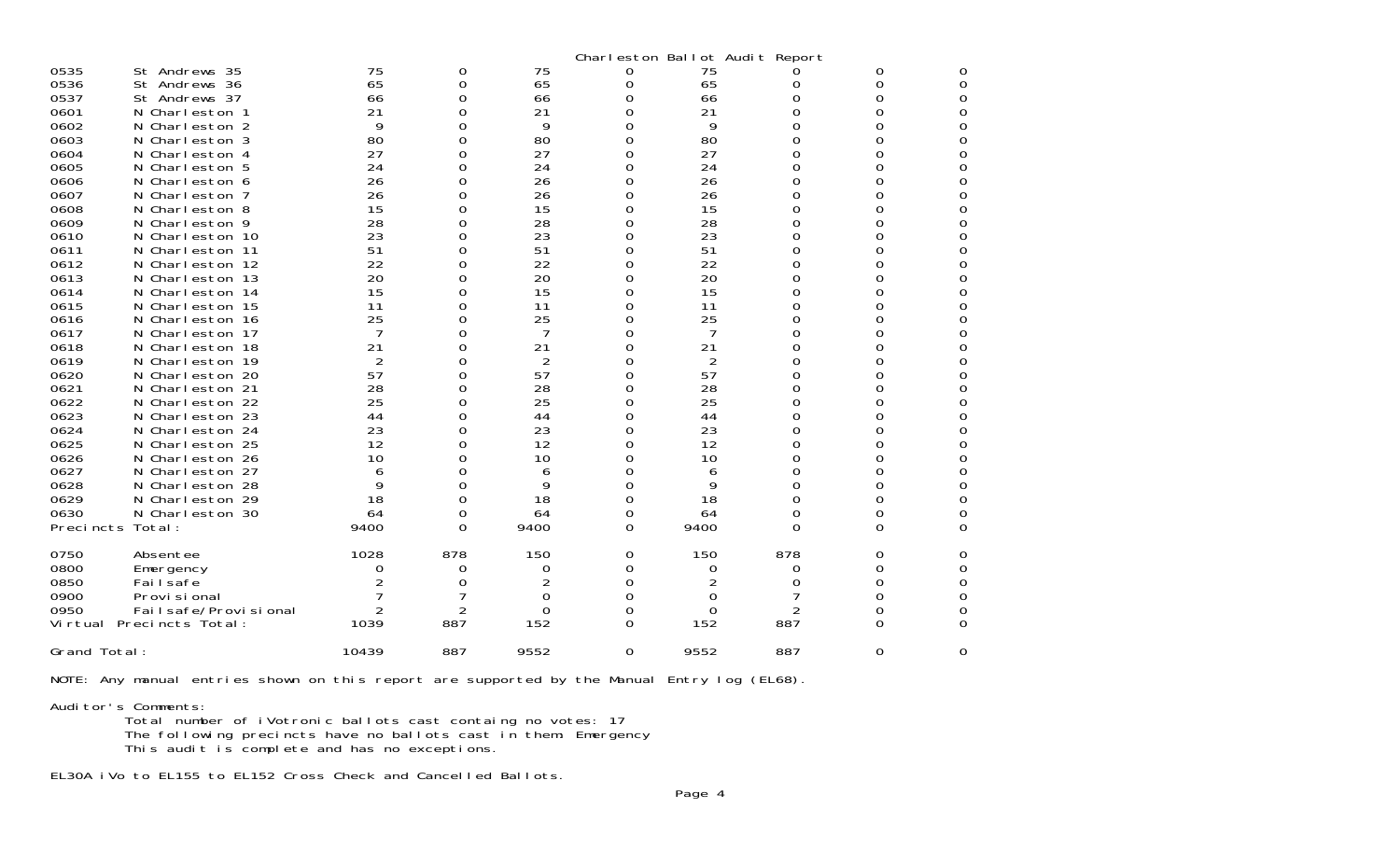| 0535         | St Andrews 35                      | 75             | 0      | 75             | Charleston Ballot Audit Report<br>0 | 75       |        | 0        | 0      |
|--------------|------------------------------------|----------------|--------|----------------|-------------------------------------|----------|--------|----------|--------|
| 0536         | St Andrews 36                      | 65             | 0      | 65             | 0                                   | 65       | 0      | 0        | 0      |
| 0537         | St Andrews 37                      | 66             | 0      | 66             | 0                                   | 66       | 0      | 0        | 0      |
| 0601         | N Charleston 1                     | 21             | 0      | 21             | 0                                   | 21       | 0      | 0        | 0      |
| 0602         | N Charleston 2                     | 9              | 0      | 9              | 0                                   | 9        | 0      | 0        | 0      |
| 0603         | N Charleston 3                     | 80             | 0      | 80             | 0                                   | 80       | 0      | 0        | 0      |
| 0604         | Charleston 4<br>N.                 | 27             | 0      | 27             | 0                                   | 27       | 0      | 0        | 0      |
| 0605         | Charleston 5<br>N.                 | 24             | 0      | 24             | 0                                   | 24       | 0      | 0        | 0      |
| 0606         | N Charleston 6                     | 26             | 0      | 26             | 0                                   | 26       | 0      | 0        | 0      |
| 0607         | N Charleston 7                     | 26             | 0      | 26             | 0                                   | 26       | 0      | 0        | 0      |
| 0608         | Charleston 8<br>N.                 | 15             | 0      | 15             | 0                                   | 15       | 0      | 0        | O      |
| 0609         | N Charleston 9                     | 28             | Ω      | 28             | 0                                   | 28       | 0      | O        | 0      |
| 0610         | N Charleston 10                    | 23             | 0      | 23             | 0                                   | 23       | 0      | 0        | 0      |
| 0611         | Charleston 11<br>N.                | 51             | 0      | 51             | 0                                   | 51       | 0      | 0        | 0      |
| 0612         | N Charleston 12                    | 22             | Ω      | 22             | 0                                   | 22       | 0      | O        | 0      |
| 0613         | N Charleston 13                    | 20             | 0      | 20             | 0                                   | 20       | 0      | 0        | 0      |
| 0614         | Charleston 14<br>N.                | 15             | 0      | 15             | 0                                   | 15       | 0      | 0        | 0      |
| 0615         | N Charleston 15                    | 11             | Ω      | 11             | 0                                   | 11       | 0      | 0        | 0      |
| 0616         | N Charleston 16                    | 25             | 0      | 25             | 0                                   | 25       | 0      | 0        | 0      |
| 0617         | Charleston 17<br>N.                | 7              | 0      | 7              | 0                                   | 7        | 0      | Ω        | 0      |
| 0618         | N Charleston 18                    | 21             | 0      | 21             | 0                                   | 21       | 0      | ი        | 0      |
| 0619         | N Charleston 19                    | $\overline{2}$ | Ω      | $\overline{2}$ | 0                                   | 2        | 0      | O        | 0      |
| 0620         | Charleston 20<br>N.                | 57             | 0      | 57             | 0                                   | 57       | 0      | Ω        | 0      |
| 0621         | N Charleston 21                    | 28             | 0      | 28             | 0                                   | 28       | 0      | 0        | 0      |
| 0622         | N Charleston 22                    | 25             | 0      | 25             | 0                                   | 25       | 0      | Ω        | O      |
| 0623         | Charleston 23<br>N.                | 44             | 0      | 44<br>23       | 0                                   | 44       | 0      | 0        | 0      |
| 0624         | N Charleston 24                    | 23<br>12       | 0      | 12             | 0                                   | 23       | 0      | 0        | 0      |
| 0625<br>0626 | N Charleston 25<br>N Charleston 26 | 10             | Ω<br>0 | 10             | Ω<br>0                              | 12<br>10 | Ω<br>0 | Ω<br>0   | 0<br>0 |
| 0627         | N Charleston 27                    |                | 0      |                | 0                                   | 6        | 0      | 0        | 0      |
| 0628         | N Charleston 28                    | 6<br>9         | 0      | 6<br>9         | 0                                   | 9        | 0      | 0        | 0      |
| 0629         | N Charleston 29                    | 18             | 0      | 18             | 0                                   | 18       | 0      | O        | 0      |
| 0630         | N Charleston 30                    | 64             | 0      | 64             | 0                                   | 64       | 0      | 0        | 0      |
| Precincts    | Total:                             | 9400           | 0      | 9400           | 0                                   | 9400     | 0      | $\Omega$ | 0      |
|              |                                    |                |        |                |                                     |          |        |          |        |
| 0750         | Absentee                           | 1028           | 878    | 150            | 0                                   | 150      | 878    | 0        | 0      |
| 0800         | Emergency                          | 0              | 0      | 0              | 0                                   | 0        | 0      | 0        | 0      |
| 0850         | Fai I safe                         | 2              | 0      | 2              | 0                                   | 2        | 0      | 0        | 0      |
| 0900         | Provi si onal                      |                |        | 0              | 0                                   | 0        |        | O        | 0      |
| 0950         | Fai I safe/Provi si onal           | 2              | 2      | 0              | 0                                   | 0        | 2      | 0        | 0      |
| Vi rtual     | Precincts Total:                   | 1039           | 887    | 152            | 0                                   | 152      | 887    | 0        | 0      |
| Grand Total: |                                    | 10439          | 887    | 9552           | 0                                   | 9552     | 887    | O        | 0      |

NOTE: Any manual entries shown on this report are supported by the Manual Entry log (EL68).

Auditor's Comments: Total number of iVotronic ballots cast containg no votes: 17 The following precincts have no ballots cast in them: Emergency This audit is complete and has no exceptions.

EL30A iVo to EL155 to EL152 Cross Check and Cancelled Ballots.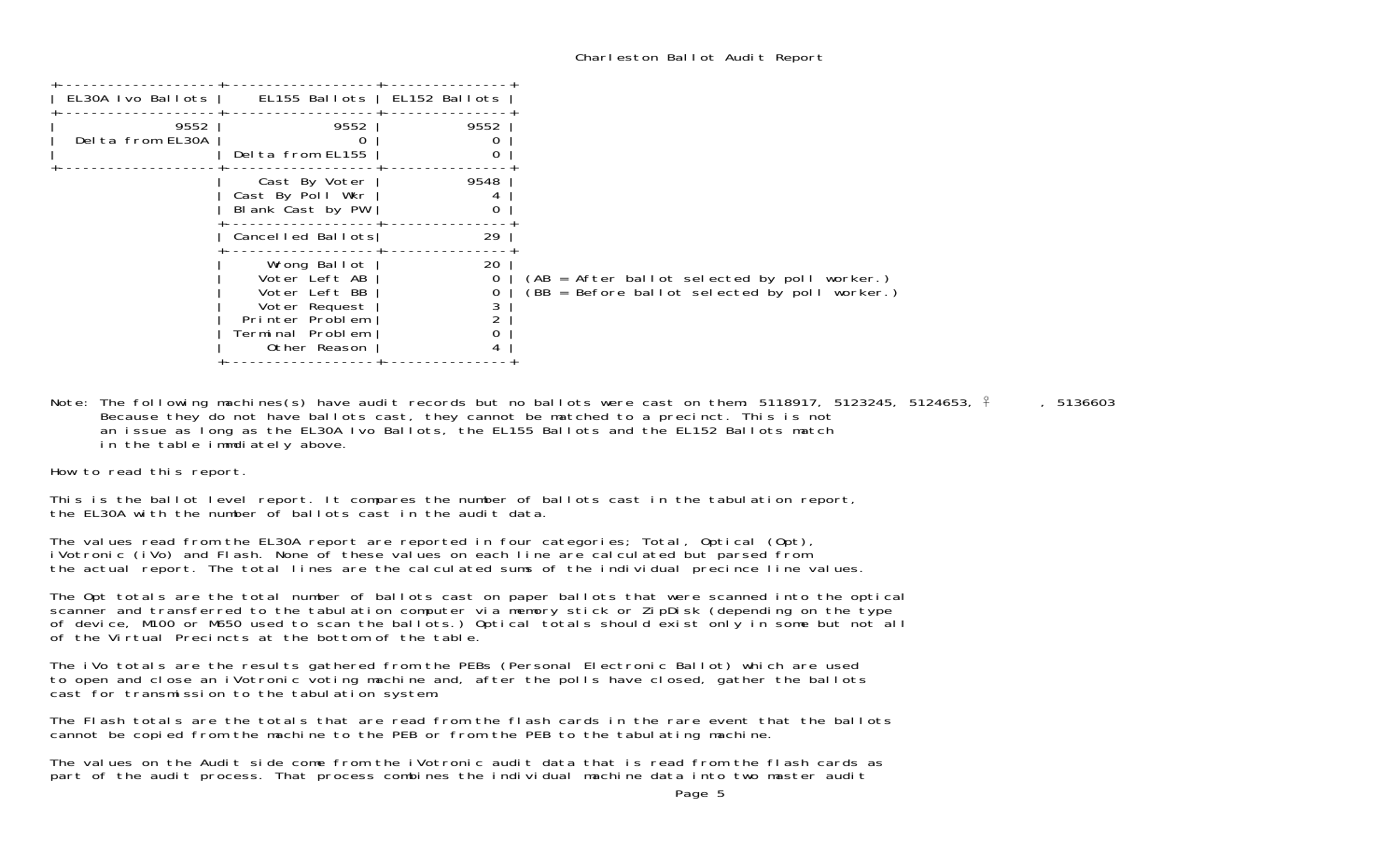| EL155 Ballots   EL152 Ballots<br>EL30A Ivo Ballots  <br>9552<br>9552<br>9552<br>Delta from EL30A<br>Delta from EL155<br>9548<br>Cast By Voter<br>Cast By Poll Wkr<br>Blank Cast by PW<br>O<br>29<br>Cancelled Ballots<br>20<br>Wrong Ballot<br>Voter Left AB<br>0<br>Voter Left BB<br>Voter Request<br>Printer Problem<br>Terminal Problem<br>Other Reason |
|------------------------------------------------------------------------------------------------------------------------------------------------------------------------------------------------------------------------------------------------------------------------------------------------------------------------------------------------------------|
|                                                                                                                                                                                                                                                                                                                                                            |
| (AB = After ballot selected by poll worker.)<br>(BB = Before ballot selected by poll worker.)                                                                                                                                                                                                                                                              |
|                                                                                                                                                                                                                                                                                                                                                            |
|                                                                                                                                                                                                                                                                                                                                                            |
|                                                                                                                                                                                                                                                                                                                                                            |

Note: The following machines(s) have audit records but no ballots were cast on them: 5118917, 5123245, 5124653,  $\frac{2}{3}$ , 5136603 Because they do not have ballots cast, they cannot be matched to a precinct. This is not an issue as long as the EL30A Ivo Ballots, the EL155 Ballots and the EL152 Ballots match in the table immdiately above.

How to read this report.

This is the ballot level report. It compares the number of ballots cast in the tabulation report, the EL30A with the number of ballots cast in the audit data.

The values read from the EL30A report are reported in four categories; Total, Optical (Opt), iVotronic (iVo) and Flash. None of these values on each line are calculated but parsed from the actual report. The total lines are the calculated sums of the individual precince line values.

The Opt totals are the total number of ballots cast on paper ballots that were scanned into the optical scanner and transferred to the tabulation computer via memory stick or ZipDisk (depending on the type of device, M100 or M650 used to scan the ballots.) Optical totals should exist only in some but not all of the Virtual Precincts at the bottom of the table.

The iVo totals are the results gathered from the PEBs (Personal Electronic Ballot) which are used to open and close an iVotronic voting machine and, after the polls have closed, gather the ballots cast for transmission to the tabulation system.

The Flash totals are the totals that are read from the flash cards in the rare event that the ballots cannot be copied from the machine to the PEB or from the PEB to the tabulating machine.

The values on the Audit side come from the iVotronic audit data that is read from the flash cards as part of the audit process. That process combines the individual machine data into two master audit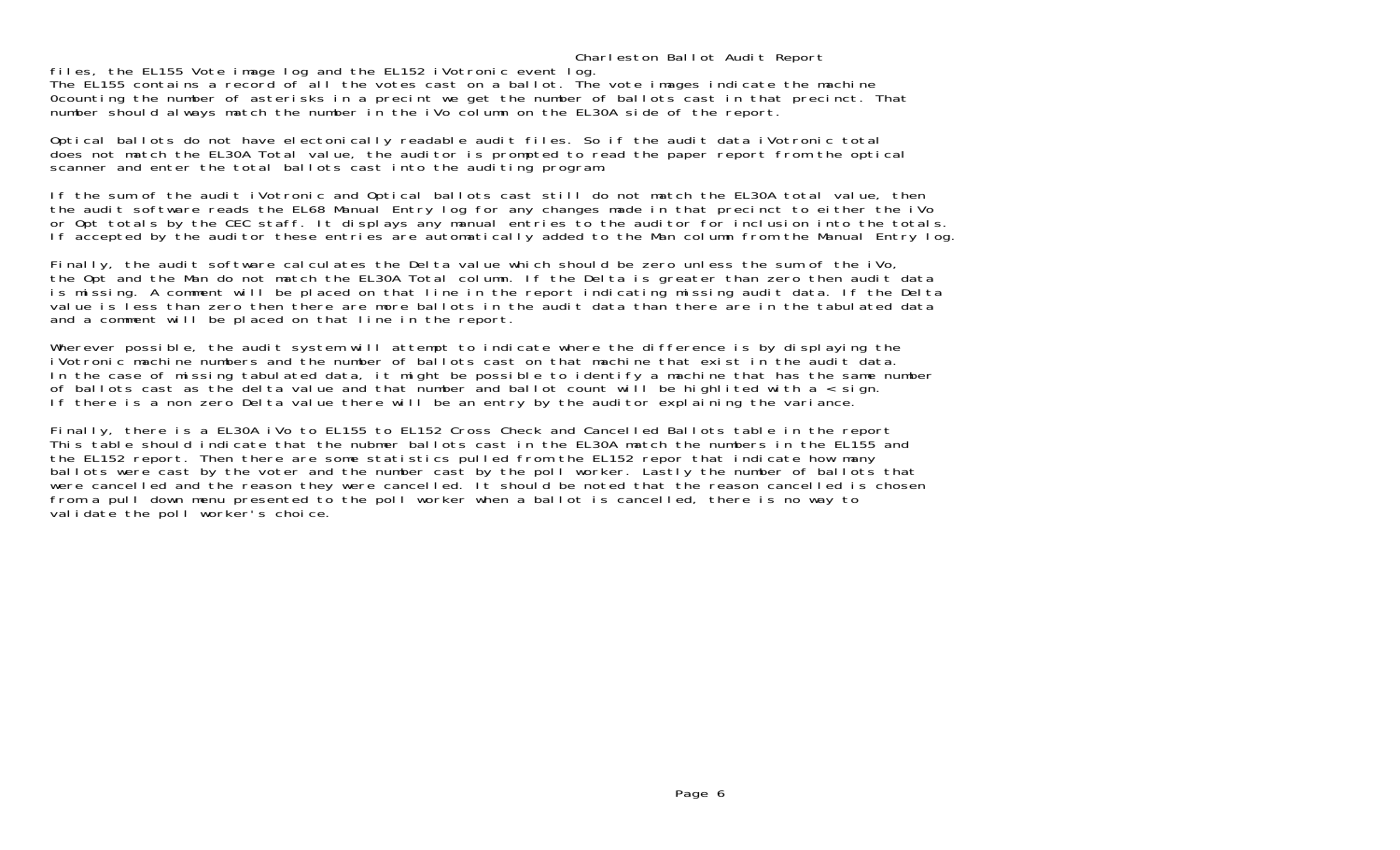## Charleston Ballot Audit Report

files, the EL155 Vote image log and the EL152 iVotronic event log.

The EL155 contains a record of all the votes cast on a ballot. The vote images indicate the machine 0counting the number of asterisks in a precint we get the number of ballots cast in that precinct. That number should always match the number in the iVo column on the EL30A side of the report.

Optical ballots do not have electonically readable audit files. So if the audit data iVotronic total does not match the EL30A Total value, the auditor is prompted to read the paper report from the optical scanner and enter the total ballots cast into the auditing program.

If the sum of the audit iVotronic and Optical ballots cast still do not match the EL30A total value, then the audit software reads the EL68 Manual Entry log for any changes made in that precinct to either the iVo or Opt totals by the CEC staff. It displays any manual entries to the auditor for inclusion into the totals. If accepted by the auditor these entries are automatically added to the Man column from the Manual Entry log.

Finally, the audit software calculates the Delta value which should be zero unless the sum of the iVo, the Opt and the Man do not match the EL30A Total column. If the Delta is greater than zero then audit data is missing. A comment will be placed on that line in the report indicating missing audit data. If the Delta value is less than zero then there are more ballots in the audit data than there are in the tabulated data and a comment will be placed on that line in the report.

Wherever possible, the audit system will attempt to indicate where the difference is by displaying the iVotronic machine numbers and the number of ballots cast on that machine that exist in the audit data.In the case of missing tabulated data, it might be possible to identify a machine that has the same number of ballots cast as the delta value and that number and ballot count will be highlited with a < sign. If there is a non zero Delta value there will be an entry by the auditor explaining the variance.

Finally, there is a EL30A iVo to EL155 to EL152 Cross Check and Cancelled Ballots table in the report This table should indicate that the nubmer ballots cast in the EL30A match the numbers in the EL155 and the EL152 report. Then there are some statistics pulled from the EL152 repor that indicate how many ballots were cast by the voter and the number cast by the poll worker. Lastly the number of ballots that were cancelled and the reason they were cancelled. It should be noted that the reason cancelled is chosen from a pull down menu presented to the poll worker when a ballot is cancelled, there is no way to validate the poll worker's choice.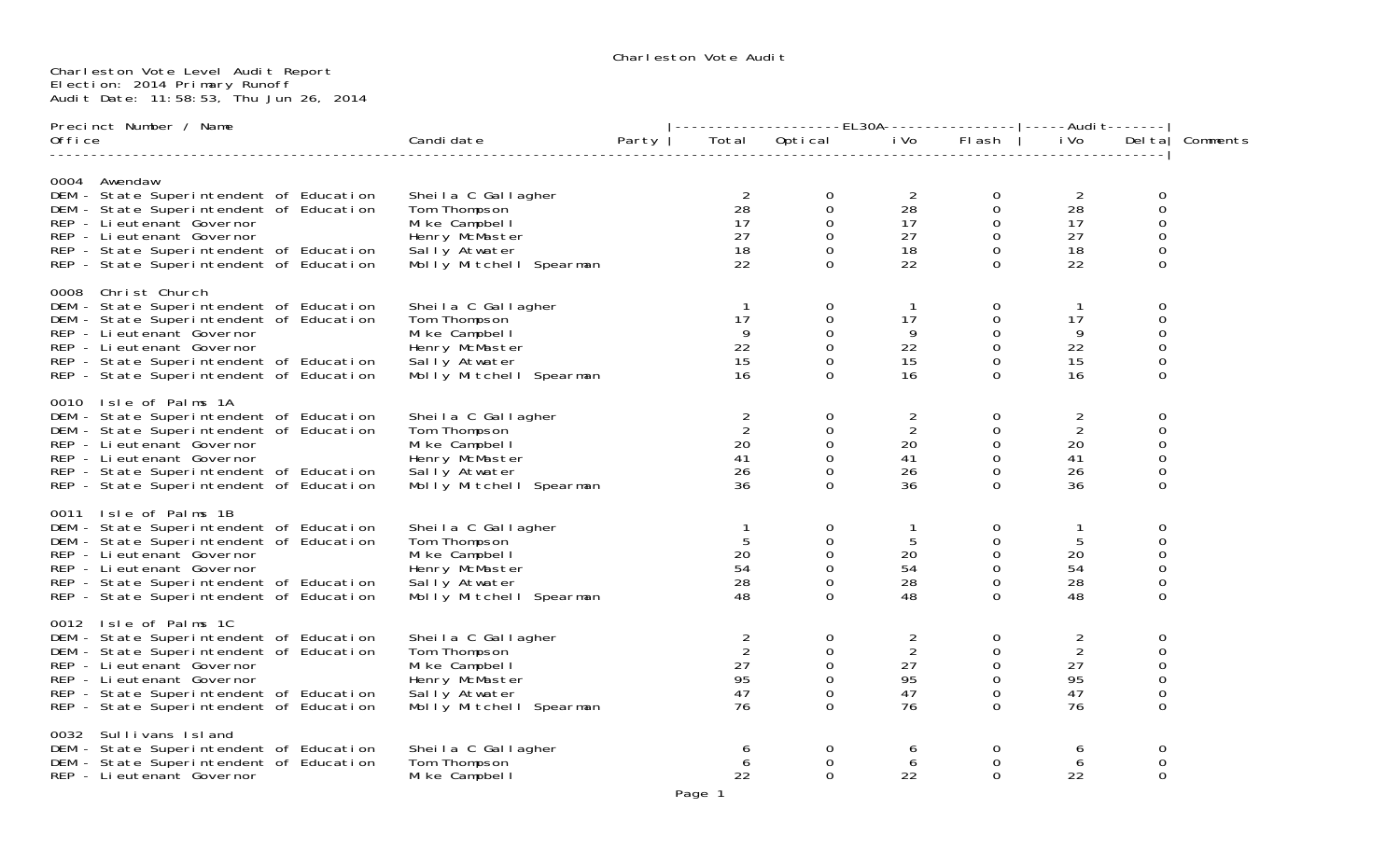## Charleston Vote Level Audit Report Election: 2014 Primary Runoff Audit Date: 11:58:53, Thu Jun 26, 2014

|         | Precinct Number / Name                                                                                                                                                                                                                                       |                                                                                                                     |       |                                                          |                                                                                      |                                                          | -----------------EL30A----------------- -----Audi                             t------- |                                                          |                                                                          |          |
|---------|--------------------------------------------------------------------------------------------------------------------------------------------------------------------------------------------------------------------------------------------------------------|---------------------------------------------------------------------------------------------------------------------|-------|----------------------------------------------------------|--------------------------------------------------------------------------------------|----------------------------------------------------------|----------------------------------------------------------------------------------------|----------------------------------------------------------|--------------------------------------------------------------------------|----------|
| 0ffi ce |                                                                                                                                                                                                                                                              | Candi date                                                                                                          | Party |                                                          | Total Optical                                                                        |                                                          | i Volle Flash                                                                          | i Vo                                                     | Del tal                                                                  | Comments |
|         | 0004 Awendaw<br>DEM - State Superintendent of Education<br>DEM - State Superintendent of Education<br>REP - Lieutenant Governor<br>REP - Li eutenant Governor<br>REP - State Superintendent of Education<br>REP - State Superintendent of Education          | Sheila C Gallagher<br>Tom Thompson<br>Mike Campbell<br>Henry McMaster<br>Sally Atwater<br>Molly Mitchell Spearman   |       | $\overline{2}$<br>28<br>17<br>27<br>18<br>22             | 0<br>$\mathbf 0$<br>0<br>0<br>$\mathbf 0$<br>$\Omega$                                | 2<br>28<br>17<br>27<br>18<br>22                          | $\mathbf 0$<br>$\mathsf{O}$<br>$\mathbf{O}$<br>$\mathbf{0}$<br>$\mathbf 0$<br>$\Omega$ | 2<br>28<br>17<br>27<br>18<br>22                          | 0<br>$\mathbf 0$<br>0<br>$\mathsf{O}\xspace$<br>$\mathsf{O}\xspace$<br>0 |          |
|         | 0008 Christ Church<br>DEM - State Superintendent of Education<br>DEM - State Superintendent of Education<br>REP - Li eutenant Governor<br>REP - Lieutenant Governor<br>REP - State Superintendent of Education<br>REP - State Superintendent of Education    | Sheila C Gallagher<br>Tom Thompson<br>Mike Campbell<br>Henry McMaster<br>Sally Atwater<br>Molly Mitchell Spearman   |       | $\mathbf{1}$<br>17<br>9<br>22<br>15<br>16                | $\mathbf 0$<br>0<br>$\mathbf 0$<br>$\mathbf 0$<br>0<br>$\Omega$                      | $\overline{1}$<br>17<br>9<br>22<br>15<br>16              | $\boldsymbol{0}$<br>0<br>$\mathbf{O}$<br>$\mathbf 0$<br>$\mathbf 0$<br>$\Omega$        | 17<br>9<br>22<br>15<br>16                                | 0<br>0<br>0<br>0<br>0<br>0                                               |          |
|         | 0010 Isle of Palms 1A<br>DEM - State Superintendent of Education<br>DEM - State Superintendent of Education<br>REP - Li eutenant Governor<br>REP - Lieutenant Governor<br>REP - State Superintendent of Education<br>REP - State Superintendent of Education | Sheila C Gallagher<br>Tom Thompson<br>Mi ke Campbel I<br>Henry McMaster<br>Sally Atwater<br>Molly Mitchell Spearman |       | $\frac{2}{2}$<br>20<br>41<br>26<br>36                    | $\mathbf 0$<br>0<br>$\mathbf 0$<br>$\mathsf{O}\xspace$<br>$\mathbf 0$<br>$\mathbf 0$ | $\frac{2}{2}$<br>20<br>41<br>26<br>36                    | $\mathbf 0$<br>$\mathbf 0$<br>$\mathbf 0$<br>0<br>$\Omega$<br>$\Omega$                 | 2<br>$\overline{2}$<br>20<br>41<br>26<br>36              | 0<br>0<br>0<br>0<br>$\mathsf{O}\xspace$<br>$\Omega$                      |          |
|         | 0011 Isle of Palms 1B<br>DEM - State Superintendent of Education<br>DEM - State Superintendent of Education<br>REP - Lieutenant Governor<br>REP - Lieutenant Governor<br>REP - State Superintendent of Education<br>REP - State Superintendent of Education  | Sheila C Gallagher<br>Tom Thompson<br>Mike Campbell<br>Henry McMaster<br>Sally Atwater<br>Molly Mitchell Spearman   |       | $\mathbf{1}$<br>5<br>20<br>54<br>28<br>48                | 0<br>0<br>$\mathbf 0$<br>0<br>0<br>$\overline{0}$                                    | 5<br>20<br>54<br>28<br>48                                | 0<br>0<br>0<br>$\mathbf 0$<br>0<br>$\Omega$                                            | 5<br>20<br>54<br>28<br>48                                | 0<br>0<br>0<br>0<br>0<br>$\Omega$                                        |          |
|         | 0012 Isle of Palms 1C<br>DEM - State Superintendent of Education<br>DEM - State Superintendent of Education<br>REP - Lieutenant Governor<br>REP - Lieutenant Governor<br>REP - State Superintendent of Education<br>REP - State Superintendent of Education  | Sheila C Gallagher<br>Tom Thompson<br>Mike Campbell<br>Henry McMaster<br>Sally Atwater<br>Molly Mitchell Spearman   |       | $\overline{2}$<br>$\overline{2}$<br>27<br>95<br>47<br>76 | $\mathbf 0$<br>0<br>$\mathbf 0$<br>$\mathbf 0$<br>$\mathbf 0$<br>$\Omega$            | $\overline{c}$<br>$\overline{2}$<br>27<br>95<br>47<br>76 | $\mathbf 0$<br>$\Omega$<br>$\Omega$<br>$\mathbf 0$<br>$\mathbf 0$<br>$\Omega$          | $\overline{2}$<br>$\overline{2}$<br>27<br>95<br>47<br>76 | 0<br>$\mathbf 0$<br>0<br>0<br>$\mathsf{O}\xspace$<br>0                   |          |
|         | 0032 Sullivans Island<br>DEM - State Superintendent of Education<br>DEM - State Superintendent of Education<br>REP - Li eutenant Governor                                                                                                                    | Sheila C Gallagher<br>Tom Thompson<br>Mike Campbell                                                                 |       | 6<br>6<br>22                                             | $\mathbf 0$<br>0<br>$\mathbf 0$                                                      | 6<br>6<br>22                                             | $\Omega$<br>$\Omega$<br>$\Omega$                                                       | 6<br>6<br>22                                             | 0<br>0<br>$\mathbf 0$                                                    |          |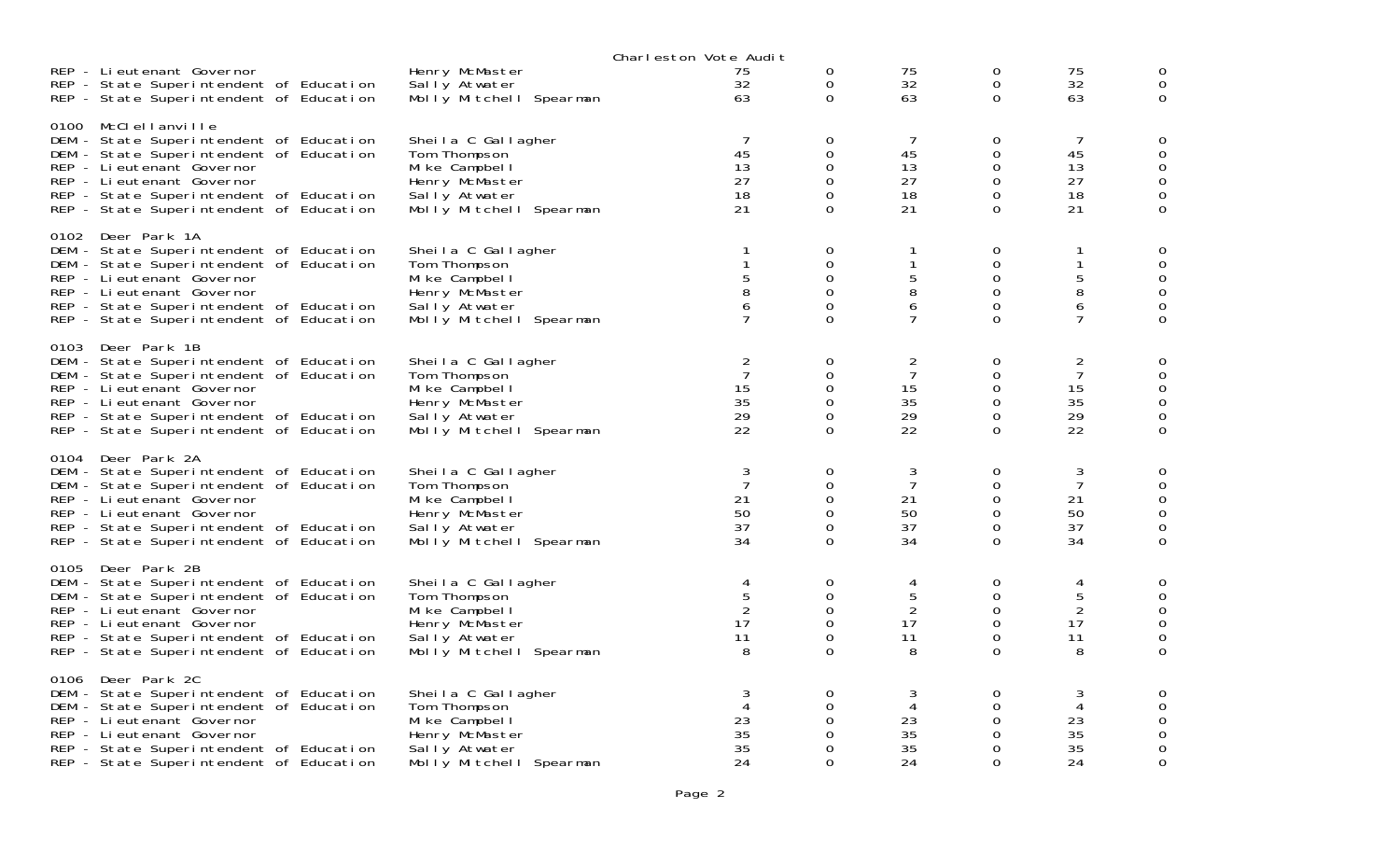|                                                                                                                                                                                                                                                            |                                                                                                                   | Charleston Vote Audit                                                                 |                                                 |                                             |                                                               |                                                          |                                      |
|------------------------------------------------------------------------------------------------------------------------------------------------------------------------------------------------------------------------------------------------------------|-------------------------------------------------------------------------------------------------------------------|---------------------------------------------------------------------------------------|-------------------------------------------------|---------------------------------------------|---------------------------------------------------------------|----------------------------------------------------------|--------------------------------------|
| REP - Lieutenant Governor<br>REP - State Superintendent of Education<br>REP - State Superintendent of Education                                                                                                                                            | Henry McMaster<br>Sally Atwater<br>Molly Mitchell Spearman                                                        | 75<br>32<br>63                                                                        | 0<br>0<br>0                                     | 75<br>32<br>63                              | 0<br>0<br>0                                                   | 75<br>32<br>63                                           | 0<br>0                               |
| 0100 McClellanville<br>DEM - State Superintendent of Education<br>DEM - State Superintendent of Education<br>REP - Li eutenant Governor<br>REP - Lieutenant Governor<br>REP - State Superintendent of Education<br>REP - State Superintendent of Education | Sheila C Gallagher<br>Tom Thompson<br>Mike Campbell<br>Henry McMaster<br>Sally Atwater<br>Molly Mitchell Spearman | 7<br>45<br>13<br>27<br>18<br>21                                                       | 0<br>0<br>0<br>0<br>$\Omega$<br>0               | 7<br>45<br>13<br>27<br>18<br>21             | 0<br>0<br>0<br>$\mathbf 0$<br>0<br>0                          | 7<br>45<br>13<br>27<br>18<br>21                          | 0<br>0<br>0                          |
| 0102 Deer Park 1A<br>DEM - State Superintendent of Education<br>DEM - State Superintendent of Education<br>REP - Lieutenant Governor<br>REP - Lieutenant Governor<br>REP - State Superintendent of Education<br>REP - State Superintendent of Education    | Sheila C Gallagher<br>Tom Thompson<br>Mike Campbell<br>Henry McMaster<br>Sally Atwater<br>Molly Mitchell Spearman | 1<br>1<br>$\begin{array}{c} 5 \\ 8 \end{array}$<br>$\boldsymbol{6}$<br>$\overline{7}$ | 0<br>0<br>$\Omega$<br>$\Omega$<br>0<br>$\Omega$ | -1<br>1<br>5<br>8<br>6<br>7                 | 0<br>0<br>0<br>0<br>$\mathbf 0$<br>$\Omega$                   | 1<br>1<br>5<br>8<br>$\boldsymbol{6}$<br>$\overline{7}$   | 0<br>0<br>0<br>0<br>0<br>$\mathbf 0$ |
| 0103 Deer Park 1B<br>DEM - State Superintendent of Education<br>DEM - State Superintendent of Education<br>REP - Lieutenant Governor<br>REP - Lieutenant Governor<br>REP - State Superintendent of Education<br>REP - State Superintendent of Education    | Sheila C Gallagher<br>Tom Thompson<br>Mike Campbell<br>Henry McMaster<br>Sally Atwater<br>Molly Mitchell Spearman | $\overline{2}$<br>$\overline{7}$<br>15<br>35<br>29<br>22                              | 0<br>0<br>0<br>0<br>$\Omega$<br>0               | 2<br>$\overline{7}$<br>15<br>35<br>29<br>22 | 0<br>0<br>0<br>0<br>$\mathbf 0$<br>0                          | $\overline{2}$<br>$\overline{7}$<br>15<br>35<br>29<br>22 | 0<br>0<br>0<br>$\Omega$<br>0         |
| 0104 Deer Park 2A<br>DEM - State Superintendent of Education<br>DEM - State Superintendent of Education<br>REP - Li eutenant Governor<br>REP - Lieutenant Governor<br>REP - State Superintendent of Education<br>REP - State Superintendent of Education   | Sheila C Gallagher<br>Tom Thompson<br>Mike Campbell<br>Henry McMaster<br>Sally Atwater<br>Molly Mitchell Spearman | 3<br>$\overline{7}$<br>21<br>50<br>37<br>34                                           | 0<br>$\Omega$<br>0<br>0<br>$\Omega$<br>$\Omega$ | 3<br>7<br>21<br>50<br>37<br>34              | $\mathbf 0$<br>0<br>0<br>$\mathbf 0$<br>0<br>0                | 3<br>$\overline{7}$<br>21<br>50<br>37<br>34              | 0<br>0<br>0<br>0<br>0                |
| 0105 Deer Park 2B<br>DEM - State Superintendent of Education<br>DEM - State Superintendent of Education<br>REP - Li eutenant Governor<br>REP - Lieutenant Governor<br>REP - State Superintendent of Education<br>REP - State Superintendent of Education   | Sheila C Gallagher<br>Tom Thompson<br>Mike Campbell<br>Henry McMaster<br>Sally Atwater<br>Molly Mitchell Spearman | 4<br>$\mathbf 5$<br>$\overline{2}$<br>17<br>11<br>8                                   | 0<br>0<br>$\Omega$<br>$\Omega$<br>0<br>$\Omega$ | 4<br>5<br>2<br>17<br>11<br>8                | 0<br>$\mathbf 0$<br>$\Omega$<br>$\mathsf{O}$<br>0<br>$\Omega$ | 4<br>5<br>$\overline{2}$<br>17<br>11<br>8                | 0<br>0<br>0<br>0<br>0<br>0           |
| 0106 Deer Park 2C<br>DEM - State Superintendent of Education<br>DEM - State Superintendent of Education<br>REP - Lieutenant Governor<br>REP - Lieutenant Governor<br>REP - State Superintendent of Education<br>REP - State Superintendent of Education    | Sheila C Gallagher<br>Tom Thompson<br>Mike Campbell<br>Henry McMaster<br>Sally Atwater<br>Molly Mitchell Spearman | 3<br>4<br>23<br>35<br>35<br>24                                                        | 0<br>$\Omega$<br>0<br>0<br>0<br>$\Omega$        | 3<br>4<br>23<br>35<br>35<br>24              | 0<br>0<br>0<br>0<br>0<br>$\Omega$                             | 3<br>4<br>23<br>35<br>35<br>24                           | $\Omega$<br>0<br>0<br>0              |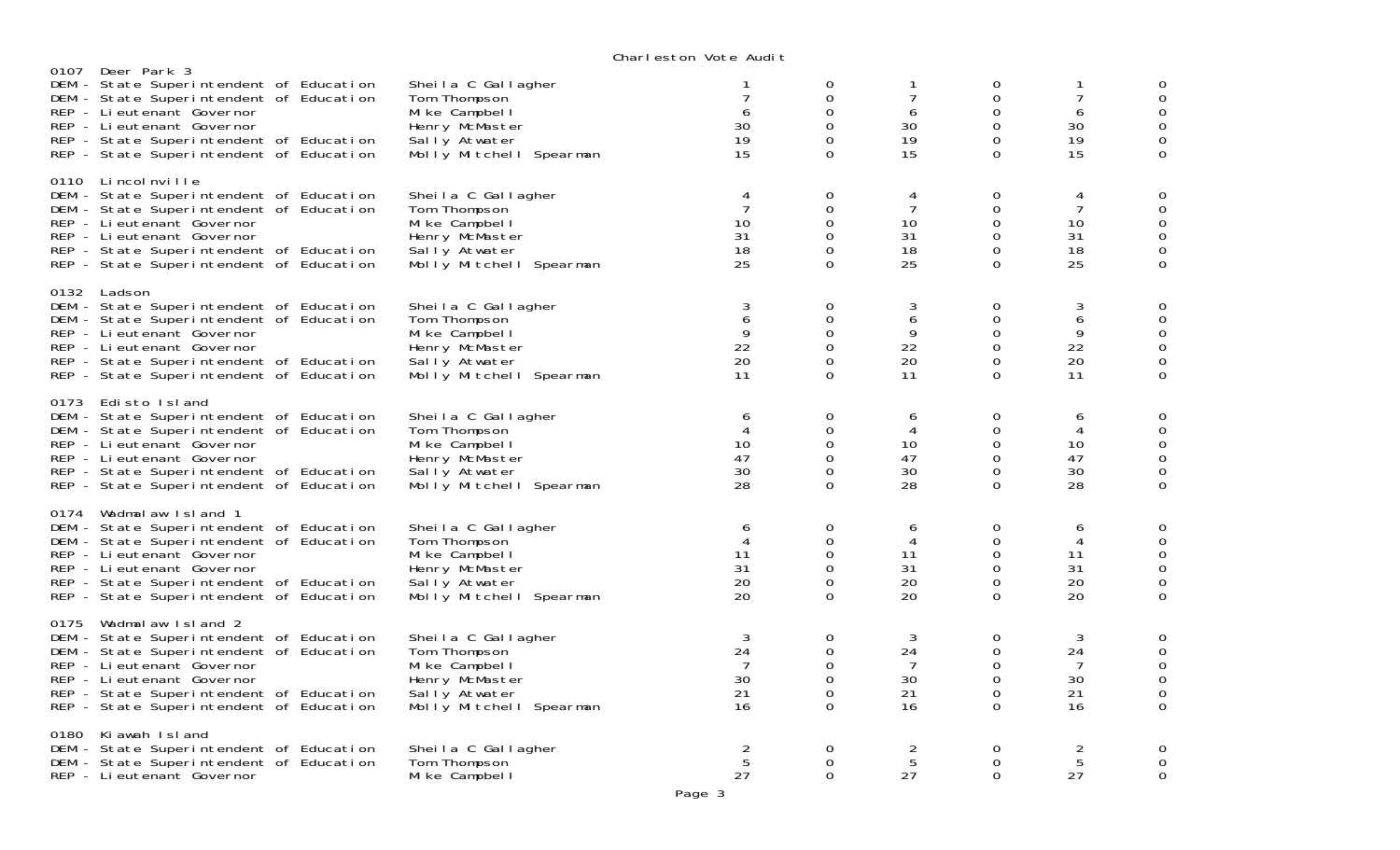|      |                                                                                                                                                                                                                                                               |                                                                                                                     | VIKIT COLONI VOLCINQUIL                     |                                                           |                                             |                                                                      |                                             |                                                                                                      |
|------|---------------------------------------------------------------------------------------------------------------------------------------------------------------------------------------------------------------------------------------------------------------|---------------------------------------------------------------------------------------------------------------------|---------------------------------------------|-----------------------------------------------------------|---------------------------------------------|----------------------------------------------------------------------|---------------------------------------------|------------------------------------------------------------------------------------------------------|
| 0107 | Deer Park 3<br>DEM - State Superintendent of Education<br>DEM - State Superintendent of Education<br>REP - Lieutenant Governor<br>REP - Lieutenant Governor<br>REP - State Superintendent of Education<br>REP - State Superintendent of Education             | Sheila C Gallagher<br>Tom Thompson<br>Mike Campbell<br>Henry McMaster<br>Sally Atwater<br>Molly Mitchell Spearman   | $\overline{7}$<br>6<br>30<br>19<br>15       | 0<br>$\mathbf 0$<br>0<br>0<br>0<br>0                      | 1<br>$\overline{7}$<br>6<br>30<br>19<br>15  | 0<br>$\mathsf{O}\xspace$<br>$\Omega$<br>$\mathbf 0$<br>0<br>$\Omega$ | 1<br>$\overline{7}$<br>6<br>30<br>19<br>15  | 0<br>$\mathbf 0$<br>$\mathbf 0$<br>$\mathbf 0$<br>$\mathbf 0$<br>0                                   |
|      | 0110 Lincolnville<br>DEM - State Superintendent of Education<br>DEM - State Superintendent of Education<br>REP - Li eutenant Governor<br>REP - Lieutenant Governor<br>REP - State Superintendent of Education<br>REP - State Superintendent of Education      | Sheila C Gallagher<br>Tom Thompson<br>Mi ke Campbel I<br>Henry McMaster<br>Sally Atwater<br>Molly Mitchell Spearman | 4<br>$\overline{7}$<br>10<br>31<br>18<br>25 | 0<br>$\mathbf 0$<br>$\Omega$<br>0<br>0<br>$\Omega$        | 4<br>$\overline{7}$<br>10<br>31<br>18<br>25 | 0<br>$\mathbf 0$<br>$\mathbf 0$<br>0<br>$\mathbf 0$<br>$\Omega$      | 4<br>$\overline{7}$<br>10<br>31<br>18<br>25 | $\mathbf 0$<br>$\mathbf 0$<br>$\mathsf{O}$<br>$\boldsymbol{0}$<br>$\mathsf{O}\xspace$<br>$\mathbf 0$ |
|      | 0132 Ladson<br>DEM - State Superintendent of Education<br>DEM - State Superintendent of Education<br>REP - Li eutenant Governor<br>REP - Li eutenant Governor<br>REP - State Superintendent of Education<br>REP - State Superintendent of Education           | Sheila C Gallagher<br>Tom Thompson<br>Mike Campbell<br>Henry McMaster<br>Sally Atwater<br>Molly Mitchell Spearman   | 3<br>6<br>9<br>22<br>20<br>11               | 0<br>$\Omega$<br>0<br>$\mathbf 0$<br>$\Omega$<br>0        | 3<br>6<br>9<br>22<br>20<br>11               | 0<br>$\mathbf 0$<br>0<br>$\mathbf 0$<br>$\mathbf 0$<br>$\Omega$      | 3<br>6<br>9<br>22<br>20<br>11               | $\mathbf 0$<br>$\mathsf O$<br>$\mathbf 0$<br>$\mathbf 0$<br>$\mathsf{O}\xspace$<br>$\mathbf 0$       |
|      | 0173 Edisto Island<br>DEM - State Superintendent of Education<br>DEM - State Superintendent of Education<br>REP - Li eutenant Governor<br>REP - Lieutenant Governor<br>REP - State Superintendent of Education<br>REP - State Superintendent of Education     | Sheila C Gallagher<br>Tom Thompson<br>Mike Campbell<br>Henry McMaster<br>Sally Atwater<br>Molly Mitchell Spearman   | 6<br>4<br>10<br>47<br>30<br>28              | 0<br>0<br>0<br>0<br>0<br>0                                | 6<br>4<br>10<br>47<br>30<br>28              | $\mathbf 0$<br>0<br>0<br>0<br>$\mathbf 0$<br>0                       | 6<br>4<br>10<br>47<br>30<br>28              | $\mathbf 0$<br>$\mathbf 0$<br>$\mathbf 0$<br>$\mathsf{O}\xspace$<br>$\boldsymbol{0}$<br>$\mathbf 0$  |
|      | 0174 Wadmalaw Island 1<br>DEM - State Superintendent of Education<br>DEM - State Superintendent of Education<br>REP - Li eutenant Governor<br>REP - Lieutenant Governor<br>REP - State Superintendent of Education<br>REP - State Superintendent of Education | Sheila C Gallagher<br>Tom Thompson<br>Mi ke Campbel I<br>Henry McMaster<br>Sally Atwater<br>Molly Mitchell Spearman | 6<br>4<br>11<br>31<br>20<br>20              | $\mathbf 0$<br>0<br>$\Omega$<br>$\Omega$<br>0<br>$\Omega$ | 6<br>4<br>11<br>31<br>20<br>20              | 0<br>0<br>$\mathbf 0$<br>$\mathbf 0$<br>0<br>$\Omega$                | 6<br>4<br>11<br>31<br>20<br>20              | 0<br>$\mathbf 0$<br>$\mathsf{O}$<br>$\mathsf{O}$<br>$\mathbf 0$<br>$\mathbf 0$                       |
|      | 0175 Wadmalaw Island 2<br>DEM - State Superintendent of Education<br>DEM - State Superintendent of Education<br>REP - Li eutenant Governor<br>REP - Lieutenant Governor<br>REP - State Superintendent of Education<br>REP - State Superintendent of Education | Sheila C Gallagher<br>Tom Thompson<br>Mike Campbell<br>Henry McMaster<br>Sally Atwater<br>Molly Mitchell Spearman   | 3<br>24<br>7<br>30<br>21<br>16              | 0<br>$\mathbf 0$<br>$\Omega$<br>0<br>0<br>0               | 3<br>24<br>7<br>30<br>21<br>16              | 0<br>$\mathbf 0$<br>$\Omega$<br>$\mathbf 0$<br>$\Omega$<br>$\Omega$  | 3<br>24<br>7<br>30<br>21<br>16              | $\mathbf 0$<br>$\mathbf 0$<br>$\mathbf 0$<br>$\mathsf{O}$<br>$\mathbf 0$<br>$\mathbf{O}$             |
| 0180 | Kiawah Island<br>DEM - State Superintendent of Education<br>DEM - State Superintendent of Education<br>REP - Lieutenant Governor                                                                                                                              | Sheila C Gallagher<br>Tom Thompson<br>Mi ke Campbel I                                                               | $\overline{2}$<br>5<br>27                   | 0<br>$\Omega$<br>$\Omega$                                 | $\overline{c}$<br>5<br>27                   | 0<br>$\Omega$<br>$\Omega$                                            | $\overline{2}$<br>5<br>27                   | $\mathbf 0$<br>$\mathbf 0$<br>$\mathbf 0$                                                            |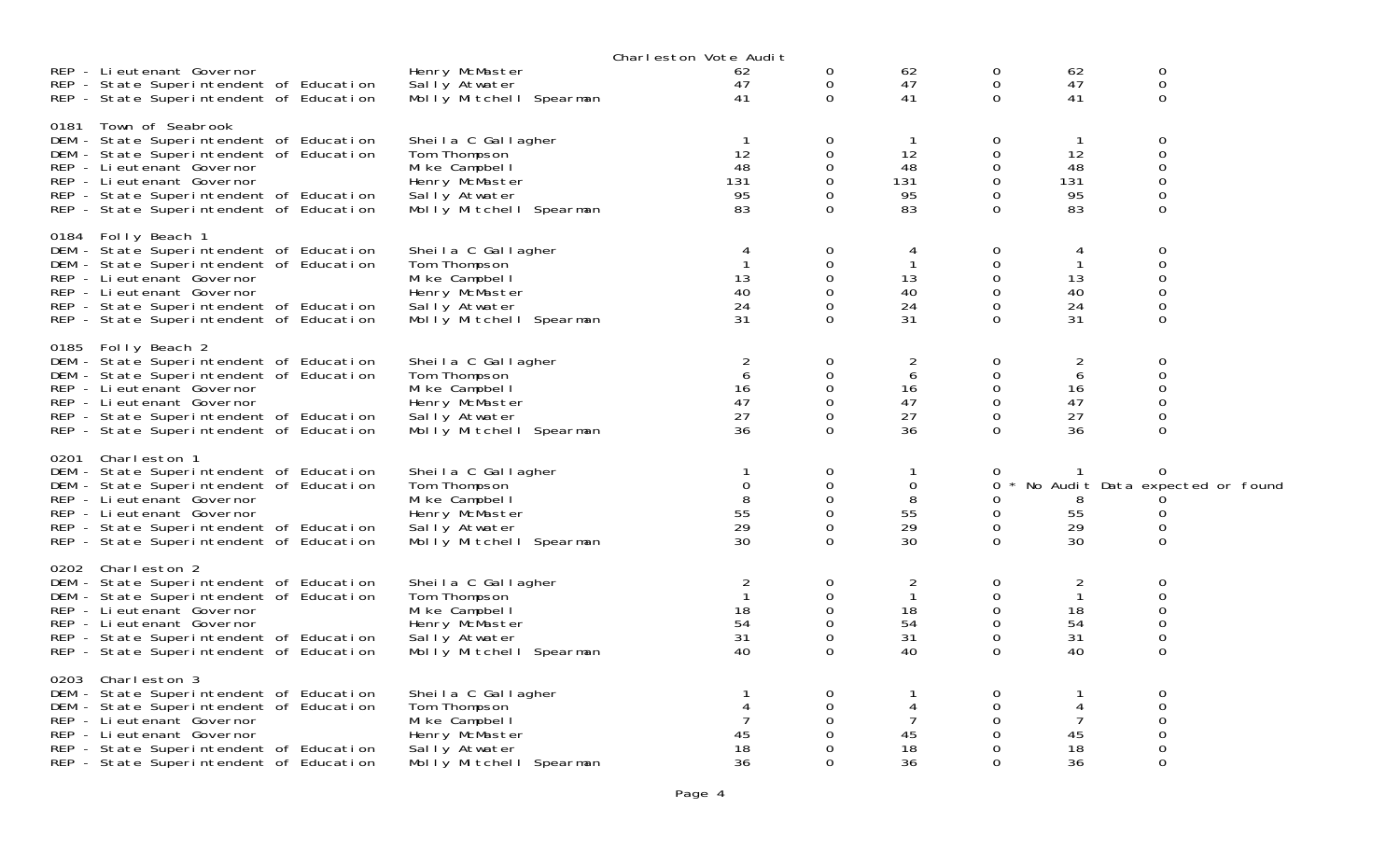|                    |                                                                                    |                                 | Charleston Vote Audit |             |                |                  |              |                                        |  |
|--------------------|------------------------------------------------------------------------------------|---------------------------------|-----------------------|-------------|----------------|------------------|--------------|----------------------------------------|--|
|                    | REP - Lieutenant Governor<br>REP - State Superintendent of Education               | Henry McMaster<br>Sally Atwater | 62<br>47              | 0<br>0      | 62<br>47       | 0<br>$\mathbf 0$ | 62<br>47     | 0<br>0                                 |  |
|                    | REP - State Superintendent of Education                                            | Molly Mitchell Spearman         | 41                    | $\mathbf 0$ | 41             | $\mathbf 0$      | 41           | $\Omega$                               |  |
| 0181               | Town of Seabrook<br>DEM - State Superintendent of Education                        | Sheila C Gallagher              | -1                    | 0           | -1             | 0                | $\mathbf 1$  | 0                                      |  |
|                    | DEM - State Superintendent of Education                                            | Tom Thompson                    | 12                    | $\Omega$    | 12             | 0                | 12           | 0                                      |  |
|                    | REP - Lieutenant Governor                                                          | Mike Campbell                   | 48                    | 0           | 48             | 0                | 48           | 0                                      |  |
|                    | REP - Lieutenant Governor                                                          | Henry McMaster                  | 131                   | $\Omega$    | 131            | 0                | 131          | 0                                      |  |
|                    | REP - State Superintendent of Education                                            | Sally Atwater                   | 95                    | 0           | 95             | 0                | 95           | 0                                      |  |
|                    | REP - State Superintendent of Education                                            | Molly Mitchell Spearman         | 83                    | $\Omega$    | 83             | $\Omega$         | 83           | $\Omega$                               |  |
| 0184 Folly Beach 1 |                                                                                    |                                 |                       |             |                |                  |              |                                        |  |
|                    | DEM - State Superintendent of Education                                            | Sheila C Gallagher              | 4                     | 0           | 4              | $\mathbf 0$      | 4            | 0                                      |  |
|                    | DEM - State Superintendent of Education                                            | Tom Thompson                    |                       | 0           | $\mathbf{1}$   | 0                | $\mathbf{1}$ | 0                                      |  |
|                    | REP - Li eutenant Governor                                                         | Mi ke Campbel I                 | 13                    | 0           | 13             | 0                | 13           | 0                                      |  |
|                    | REP - Li eutenant Governor                                                         | Henry McMaster                  | 40                    | 0           | 40             | 0                | 40           | 0                                      |  |
|                    | REP - State Superintendent of Education                                            | Sally Atwater                   | 24                    | $\Omega$    | 24             | 0                | 24           | 0                                      |  |
|                    | REP - State Superintendent of Education                                            | Molly Mitchell Spearman         | 31                    | 0           | 31             | 0                | 31           | 0                                      |  |
| 0185 Folly Beach 2 |                                                                                    |                                 |                       |             |                |                  |              |                                        |  |
|                    | DEM - State Superintendent of Education                                            | Sheila C Gallagher              | 2                     | 0           | $\overline{2}$ | 0                | 2            | 0                                      |  |
|                    | DEM - State Superintendent of Education                                            | Tom Thompson                    | 6                     | 0           | 6              | $\mathbf 0$      | 6            | 0                                      |  |
|                    | REP - Lieutenant Governor                                                          | Mi ke Campbel I                 | 16                    | 0           | 16             | 0                | 16           | 0                                      |  |
|                    | REP - Lieutenant Governor                                                          | Henry McMaster                  | 47                    | $\Omega$    | 47             | 0                | 47           | 0                                      |  |
|                    | REP - State Superintendent of Education                                            | Sally Atwater                   | 27                    | 0           | 27             | 0                | 27           | 0                                      |  |
|                    | REP - State Superintendent of Education                                            | Molly Mitchell Spearman         | 36                    | $\Omega$    | 36             | $\Omega$         | 36           | $\Omega$                               |  |
| 0201 Charleston 1  |                                                                                    | Sheila C Gallagher              |                       | 0           | 1              |                  |              |                                        |  |
|                    | DEM - State Superintendent of Education<br>DEM - State Superintendent of Education | Tom Thompson                    | $\mathbf 0$           | 0           | $\mathbf 0$    | 0<br>0           |              | 0<br>* No Audit Data expected or found |  |
|                    | REP - Li eutenant Governor                                                         | Mi ke Campbel I                 | 8                     | 0           | 8              | 0                | 8            |                                        |  |
|                    | REP - Li eutenant Governor                                                         | Henry McMaster                  | 55                    | 0           | 55             | 0                | 55           | 0                                      |  |
|                    | REP - State Superintendent of Education                                            | Sally Atwater                   | 29                    | 0           | 29             | 0                | 29           | 0                                      |  |
|                    | REP - State Superintendent of Education                                            | Molly Mitchell Spearman         | 30                    | 0           | 30             | 0                | 30           | 0                                      |  |
| 0202 Charleston 2  |                                                                                    |                                 |                       |             |                |                  |              |                                        |  |
|                    | DEM - State Superintendent of Education                                            | Sheila C Gallagher              | 2                     | 0           | 2              | 0                | 2            | 0                                      |  |
|                    | DEM - State Superintendent of Education                                            | Tom Thompson                    |                       | 0           | $\mathbf{1}$   | $\mathbf 0$      | $\mathbf{1}$ | 0                                      |  |
|                    | REP - Li eutenant Governor                                                         | Mi ke Campbel I                 | 18                    | 0           | 18             | $\mathbf 0$      | 18           | 0                                      |  |
|                    | REP - Li eutenant Governor                                                         | Henry McMaster                  | 54                    | $\Omega$    | 54             | $\mathbf 0$      | 54           | 0                                      |  |
|                    | REP - State Superintendent of Education                                            | Sally Atwater                   | 31                    | 0           | 31             | $\mathbf 0$      | 31           | 0                                      |  |
|                    | REP - State Superintendent of Education                                            | Molly Mitchell Spearman         | 40                    | $\Omega$    | 40             | $\Omega$         | 40           | $\Omega$                               |  |
| 0203 Charleston 3  |                                                                                    |                                 |                       |             |                |                  |              |                                        |  |
|                    | DEM - State Superintendent of Education                                            | Sheila C Gallagher              |                       | 0           |                | $\Omega$         |              | 0                                      |  |
|                    | DEM - State Superintendent of Education                                            | Tom Thompson                    |                       | $\Omega$    | 4              | 0                | 4            | $\Omega$                               |  |
|                    | REP - Lieutenant Governor                                                          | Mike Campbell                   |                       | 0           |                | 0                | 7            | 0                                      |  |
|                    | REP - Lieutenant Governor                                                          | Henry McMaster                  | 45                    | 0           | 45             | 0                | 45           | 0                                      |  |
|                    | REP - State Superintendent of Education                                            | Sally Atwater                   | 18                    | 0           | 18             | 0                | 18           | 0                                      |  |
|                    | REP - State Superintendent of Education                                            | Molly Mitchell Spearman         | 36                    | $\Omega$    | 36             | 0                | 36           | 0                                      |  |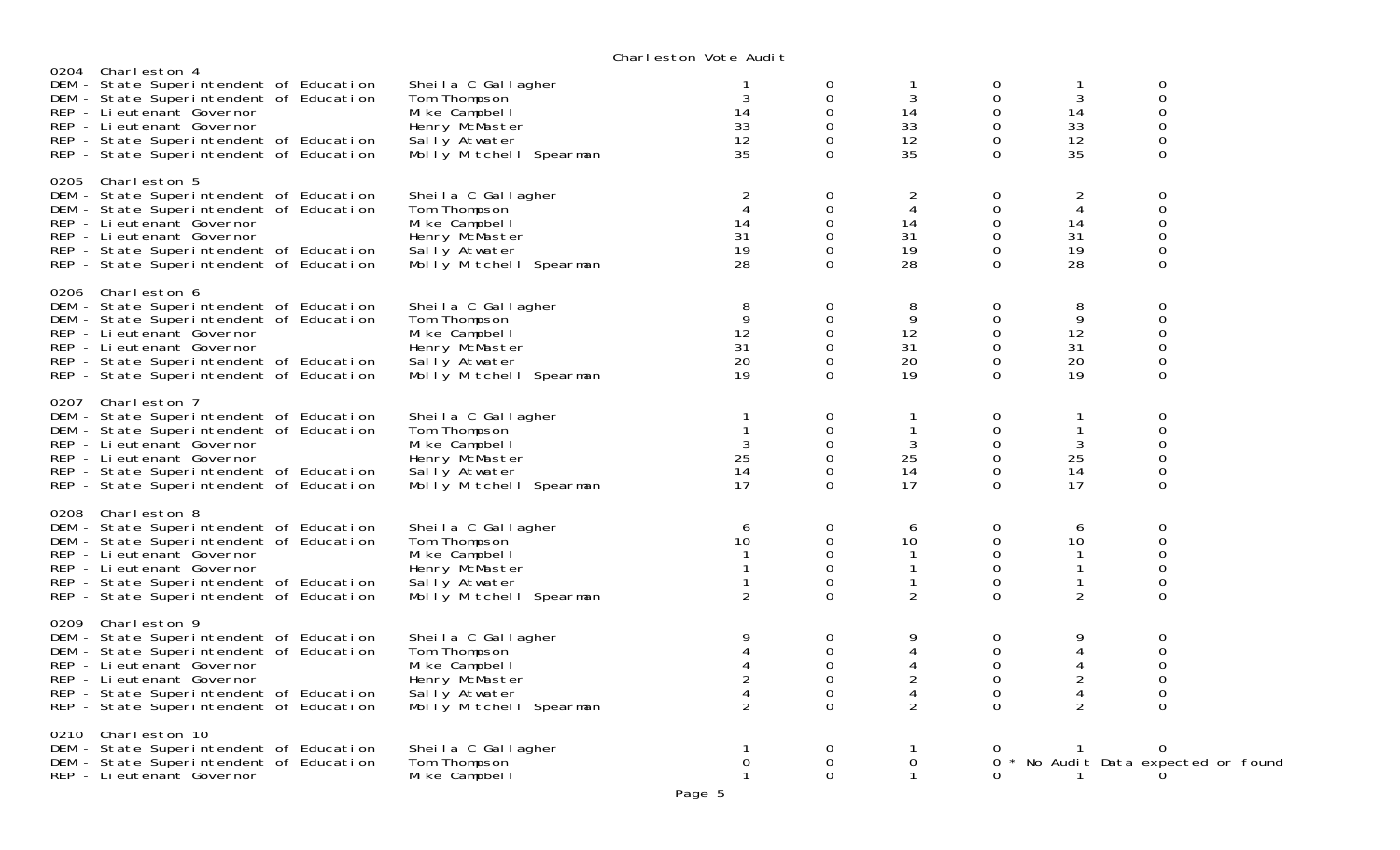|                                                                                                                                                                                                                                                           |                                                                                                                   | VIKIT CSLOT TOLC MAN L                                  |                                                                  |                                                      |                                                        |                                                      |                                                                         |
|-----------------------------------------------------------------------------------------------------------------------------------------------------------------------------------------------------------------------------------------------------------|-------------------------------------------------------------------------------------------------------------------|---------------------------------------------------------|------------------------------------------------------------------|------------------------------------------------------|--------------------------------------------------------|------------------------------------------------------|-------------------------------------------------------------------------|
| 0204 Charleston 4<br>DEM - State Superintendent of Education<br>DEM - State Superintendent of Education<br>REP - Lieutenant Governor<br>REP - Lieutenant Governor<br>REP - State Superintendent of Education<br>REP - State Superintendent of Education   | Sheila C Gallagher<br>Tom Thompson<br>Mike Campbell<br>Henry McMaster<br>Sally Atwater<br>Molly Mitchell Spearman | 3<br>14<br>33<br>12<br>35                               | 0<br>0<br>$\Omega$<br>$\Omega$<br>0<br>$\Omega$                  | Τ.<br>3<br>14<br>33<br>12<br>35                      | 0<br>$\mathbf 0$<br>0<br>0<br>0<br>$\Omega$            | 1<br>3<br>14<br>33<br>12<br>35                       | 0<br>$\mathbf 0$<br>0<br>$\mathbf 0$<br>$\mathsf{O}\xspace$<br>$\Omega$ |
| 0205 Charleston 5<br>DEM - State Superintendent of Education<br>DEM - State Superintendent of Education<br>REP - Li eutenant Governor<br>REP - Lieutenant Governor<br>REP - State Superintendent of Education<br>REP - State Superintendent of Education  | Sheila C Gallagher<br>Tom Thompson<br>Mike Campbell<br>Henry McMaster<br>Sally Atwater<br>Molly Mitchell Spearman | 2<br>4<br>14<br>31<br>19<br>28                          | $\mathbf 0$<br>$\Omega$<br>$\Omega$<br>0<br>$\Omega$<br>$\Omega$ | $\overline{c}$<br>4<br>14<br>31<br>19<br>28          | $\mathbf 0$<br>0<br>0<br>0<br>$\mathbf 0$<br>$\Omega$  | 2<br>4<br>14<br>31<br>19<br>28                       | 0<br>0<br>$\mathbf 0$<br>$\mathbf 0$<br>0<br>0                          |
| 0206 Charleston 6<br>DEM - State Superintendent of Education<br>DEM - State Superintendent of Education<br>REP - Li eutenant Governor<br>REP - Li eutenant Governor<br>REP - State Superintendent of Education<br>REP - State Superintendent of Education | Sheila C Gallagher<br>Tom Thompson<br>Mike Campbell<br>Henry McMaster<br>Sally Atwater<br>Molly Mitchell Spearman | 8<br>9<br>12<br>31<br>20<br>19                          | 0<br>$\Omega$<br>0<br>0<br>0<br>$\mathbf 0$                      | 8<br>9<br>12<br>31<br>20<br>19                       | 0<br>0<br>0<br>0<br>0<br>$\Omega$                      | 8<br>9<br>12<br>31<br>20<br>19                       | 0<br>0<br>$\mathbf 0$<br>0<br>$\mathsf{O}\xspace$<br>$\Omega$           |
| 0207 Charleston 7<br>DEM - State Superintendent of Education<br>DEM - State Superintendent of Education<br>REP - Lieutenant Governor<br>REP - Lieutenant Governor<br>REP - State Superintendent of Education<br>REP - State Superintendent of Education   | Sheila C Gallagher<br>Tom Thompson<br>Mike Campbell<br>Henry McMaster<br>Sally Atwater<br>Molly Mitchell Spearman | $\mathbf{1}$<br>3<br>25<br>14<br>17                     | 0<br>0<br>0<br>0<br>$\Omega$<br>$\Omega$                         | $\mathbf{1}$<br>3<br>25<br>14<br>17                  | 0<br>0<br>$\mathbf 0$<br>$\mathbf 0$<br>0<br>$\Omega$  | 1<br>$\mathbf{1}$<br>3<br>25<br>14<br>17             | 0<br>$\mathbf 0$<br>0<br>0<br>0<br>$\mathbf 0$                          |
| 0208 Charleston 8<br>DEM - State Superintendent of Education<br>DEM - State Superintendent of Education<br>REP - Li eutenant Governor<br>REP - Lieutenant Governor<br>REP - State Superintendent of Education<br>REP - State Superintendent of Education  | Sheila C Gallagher<br>Tom Thompson<br>Mike Campbell<br>Henry McMaster<br>Sally Atwater<br>Molly Mitchell Spearman | 6<br>10<br>$\overline{2}$                               | 0<br>0<br>$\Omega$<br>0<br>0<br>$\Omega$                         | 6<br>10<br>$\mathbf{1}$<br>-1<br>$\mathbf{1}$<br>2   | 0<br>0<br>0<br>$\mathbf{O}$<br>$\mathbf 0$<br>$\Omega$ | 6<br>10<br>$\mathbf{1}$<br>$\mathbf{1}$<br>1<br>2    | 0<br>0<br>0<br>0<br>0<br>$\Omega$                                       |
| 0209 Charleston 9<br>DEM - State Superintendent of Education<br>DEM - State Superintendent of Education<br>REP - Lieutenant Governor<br>REP - Lieutenant Governor<br>REP - State Superintendent of Education<br>REP - State Superintendent of Education   | Sheila C Gallagher<br>Tom Thompson<br>Mike Campbell<br>Henry McMaster<br>Sally Atwater<br>Molly Mitchell Spearman | 9<br>$\overline{4}$<br>$\overline{a}$<br>$\overline{2}$ | 0<br>0<br>$\Omega$<br>$\Omega$<br>$\Omega$<br>$\Omega$           | 9<br>4<br>4<br>$\overline{c}$<br>4<br>$\overline{2}$ | 0<br>0<br>$\Omega$<br>0<br>0<br>$\Omega$               | 9<br>4<br>4<br>$\overline{c}$<br>4<br>$\overline{2}$ | 0<br>0<br>0<br>0<br>0<br>0                                              |
| 0210 Charleston 10<br>DEM - State Superintendent of Education<br>DEM - State Superintendent of Education<br>REP - Lieutenant Governor                                                                                                                     | Sheila C Gallagher<br>Tom Thompson<br>Mi ke Campbel I                                                             | 0<br>1                                                  | 0<br>$\mathbf 0$<br>$\mathbf 0$                                  | 1<br>$\mathbf 0$<br>$\mathbf{1}$                     | $\Omega$<br>$\Omega$                                   | -1<br>$\mathbf{1}$                                   | 0<br>* No Audit Data expected or found<br>0                             |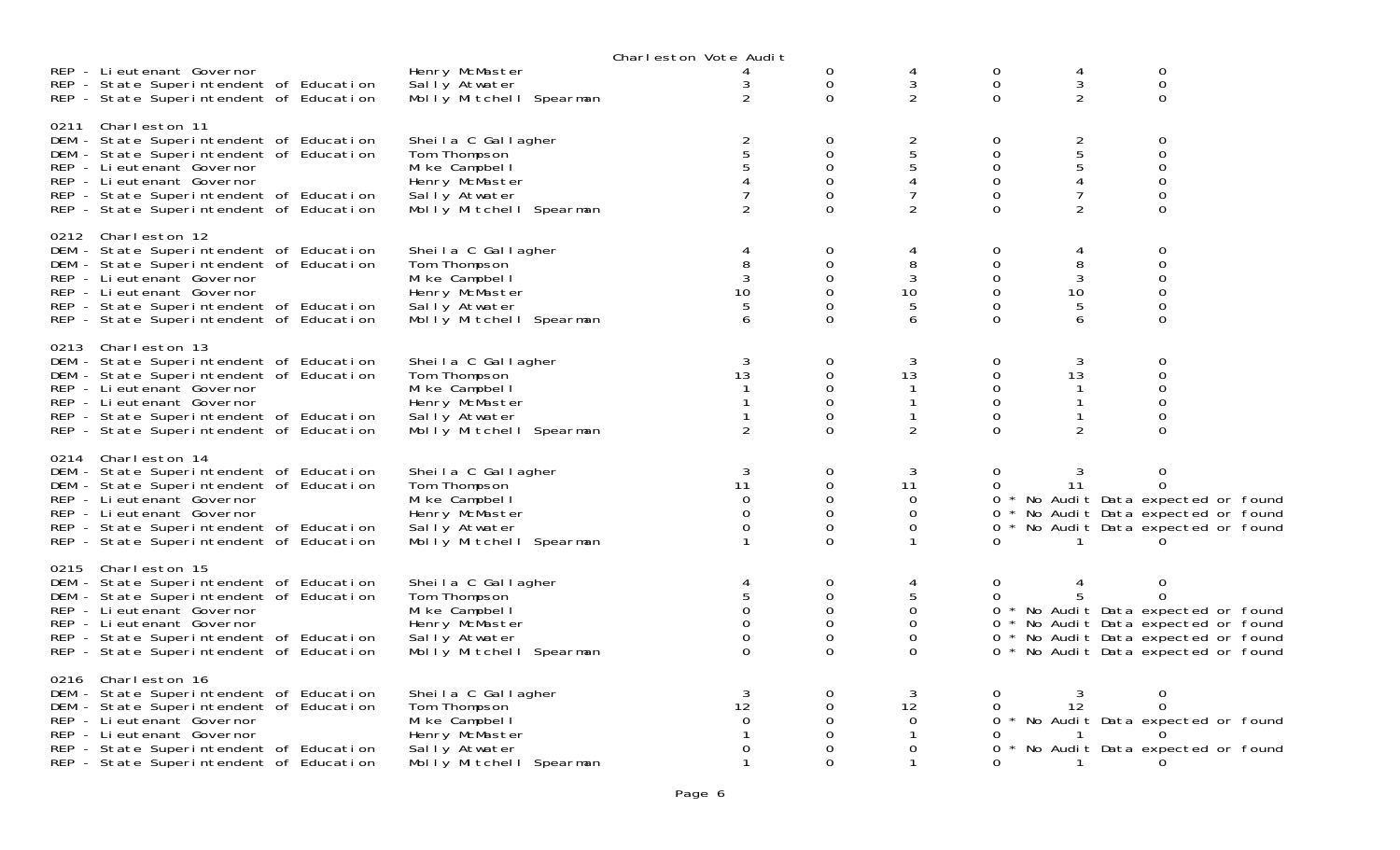|                                                                                                                                                                                                                                                           |                                                                                                                     | Charleston Vote Audit                        |                                                                        |                                                                   |                                                       |                                                           |                                                                                                                                                                           |
|-----------------------------------------------------------------------------------------------------------------------------------------------------------------------------------------------------------------------------------------------------------|---------------------------------------------------------------------------------------------------------------------|----------------------------------------------|------------------------------------------------------------------------|-------------------------------------------------------------------|-------------------------------------------------------|-----------------------------------------------------------|---------------------------------------------------------------------------------------------------------------------------------------------------------------------------|
| REP - Lieutenant Governor<br>REP - State Superintendent of Education<br>REP - State Superintendent of Education                                                                                                                                           | Henry McMaster<br>Sally Atwater<br>Molly Mitchell Spearman                                                          | $\overline{2}$                               | 0<br>0<br>$\Omega$                                                     | 3<br>$\overline{2}$                                               | 0<br>0<br>$\Omega$                                    | 4<br>3<br>$\overline{2}$                                  | 0<br>$\overline{0}$<br>0                                                                                                                                                  |
| 0211 Charleston 11<br>DEM - State Superintendent of Education<br>DEM - State Superintendent of Education<br>REP - Li eutenant Governor<br>REP - Lieutenant Governor<br>REP - State Superintendent of Education<br>REP - State Superintendent of Education | Sheila C Gallagher<br>Tom Thompson<br>Mi ke Campbel I<br>Henry McMaster<br>Sally Atwater<br>Molly Mitchell Spearman | 2<br>$\overline{2}$                          | 0<br>$\mathbf 0$<br>$\mathbf 0$<br>$\mathbf 0$<br>0<br>$\Omega$        | $\overline{2}$<br>$\overline{5}$<br>5<br>4<br>7<br>$\overline{2}$ | 0<br>0<br>0<br>0<br>0<br>$\Omega$                     | $rac{2}{5}$<br>$\overline{5}$<br>4<br>7<br>$\overline{2}$ | 0<br>0<br>0<br>0<br>0<br>0                                                                                                                                                |
| 0212 Charleston 12<br>DEM - State Superintendent of Education<br>DEM - State Superintendent of Education<br>REP - Li eutenant Governor<br>REP - Lieutenant Governor<br>REP - State Superintendent of Education<br>REP - State Superintendent of Education | Sheila C Gallagher<br>Tom Thompson<br>Mike Campbell<br>Henry McMaster<br>Sally Atwater<br>Molly Mitchell Spearman   | 4<br>8<br>10<br>6                            | 0<br>$\mathbf 0$<br>$\Omega$<br>$\mathbf 0$<br>$\Omega$<br>$\Omega$    | 4<br>8<br>3<br>10<br>5<br>6                                       | 0<br>$\mathbf 0$<br>$\Omega$<br>$\mathbf 0$<br>0<br>0 | 4<br>8<br>3<br>10<br>5<br>6                               | 0<br>0<br>0<br>0<br>0<br>0                                                                                                                                                |
| 0213 Charleston 13<br>DEM - State Superintendent of Education<br>DEM - State Superintendent of Education<br>REP - Li eutenant Governor<br>REP - Lieutenant Governor<br>REP - State Superintendent of Education<br>REP - State Superintendent of Education | Sheila C Gallagher<br>Tom Thompson<br>Mi ke Campbel I<br>Henry McMaster<br>Sally Atwater<br>Molly Mitchell Spearman | 3<br>13<br>$\overline{2}$                    | 0<br>0<br>0<br>$\Omega$<br>$\Omega$<br>$\Omega$                        | 3<br>13<br>$\overline{2}$                                         | 0<br>0<br>0<br>0<br>0<br>$\Omega$                     | 3<br>13<br>$\mathbf{1}$<br>1<br>1<br>2                    | 0<br>0<br>0<br>0<br>0<br>$\Omega$                                                                                                                                         |
| 0214 Charleston 14<br>DEM - State Superintendent of Education<br>DEM - State Superintendent of Education<br>REP - Li eutenant Governor<br>REP - Lieutenant Governor<br>REP - State Superintendent of Education<br>REP - State Superintendent of Education | Sheila C Gallagher<br>Tom Thompson<br>Mike Campbell<br>Henry McMaster<br>Sally Atwater<br>Molly Mitchell Spearman   | 3<br>11<br>$\Omega$<br>$\Omega$<br>0         | $\mathbf 0$<br>$\mathbf 0$<br>0<br>$\mathbf 0$<br>$\Omega$<br>$\Omega$ | 3<br>11<br>$\mathbf 0$<br>0<br>0                                  | 0<br>0<br>0<br>0                                      | 3<br>11                                                   | 0<br>$\Omega$<br>0 * No Audit Data expected or found<br>0 * No Audit Data expected or found<br>* No Audit Data expected or found                                          |
| 0215 Charleston 15<br>DEM - State Superintendent of Education<br>DEM - State Superintendent of Education<br>REP - Lieutenant Governor<br>REP - Lieutenant Governor<br>REP - State Superintendent of Education<br>REP - State Superintendent of Education  | Sheila C Gallagher<br>Tom Thompson<br>Mike Campbell<br>Henry McMaster<br>Sally Atwater<br>Molly Mitchell Spearman   | $\Omega$<br>$\Omega$<br>$\Omega$<br>$\Omega$ | 0<br>$\mathbf 0$<br>0<br>0<br>$\mathbf 0$<br>$\Omega$                  | 4<br>5<br>0<br>$\mathbf 0$<br>0<br>$\Omega$                       | 0<br>0                                                |                                                           | 0<br>$\Omega$<br>0 * No Audit Data expected or found<br>0 * No Audit Data expected or found<br>0 * No Audit Data expected or found<br>0 * No Audit Data expected or found |
| 0216 Charleston 16<br>DEM - State Superintendent of Education<br>DEM - State Superintendent of Education<br>REP - Lieutenant Governor<br>REP - Lieutenant Governor<br>REP - State Superintendent of Education<br>REP - State Superintendent of Education  | Sheila C Gallagher<br>Tom Thompson<br>Mike Campbell<br>Henry McMaster<br>Sally Atwater<br>Molly Mitchell Spearman   | 3<br>12<br>$\Omega$<br>$\Omega$              | $\Omega$<br>0<br>0<br>0<br>$\Omega$                                    | 3<br>12<br>$\mathbf 0$<br>0                                       | 0<br>0<br>0<br>0                                      | 3<br>12<br>$\sim$ 1                                       | 0<br>0<br>0 * No Audit Data expected or found<br>* No Audit Data expected or found<br>$\Omega$                                                                            |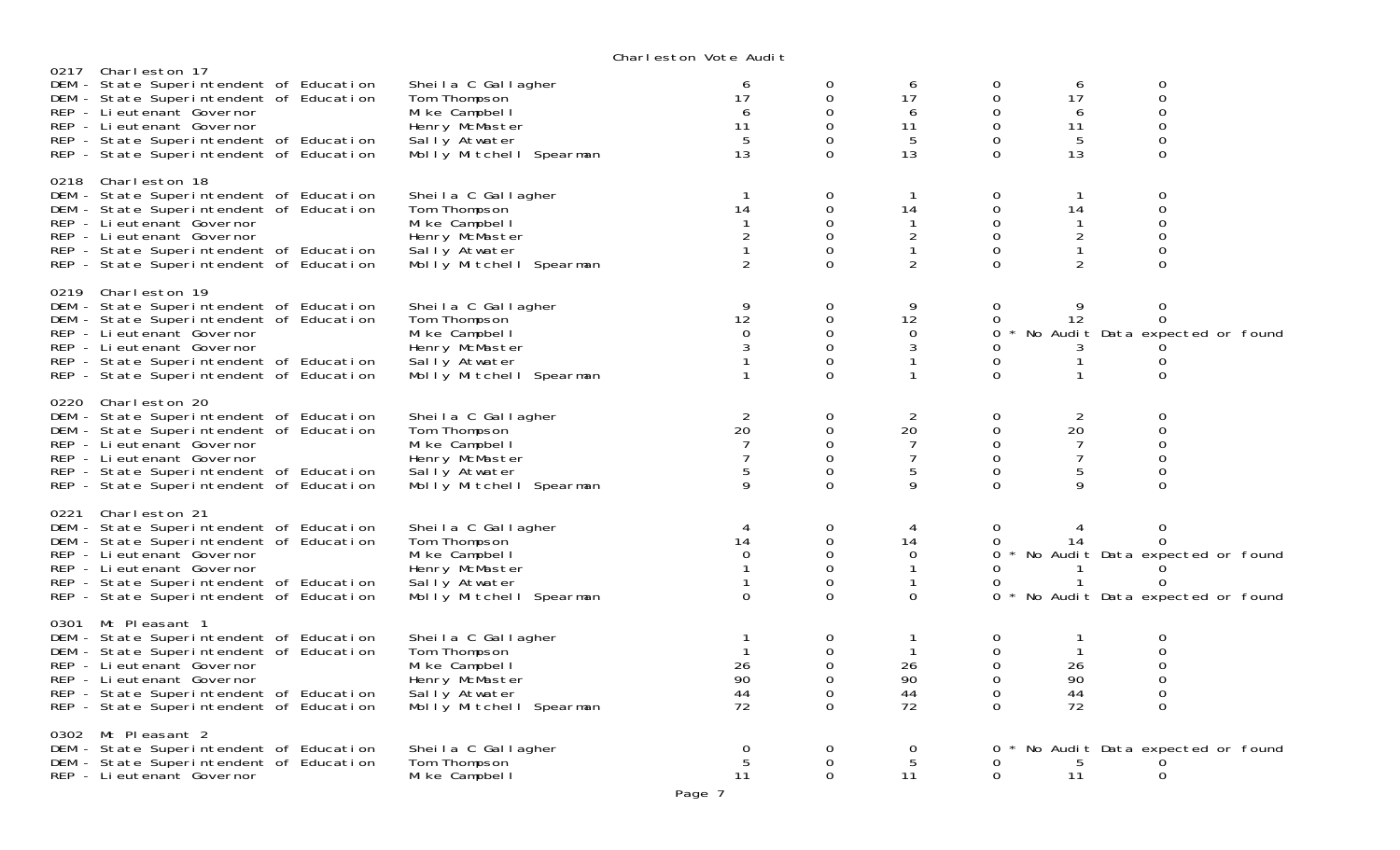|      | Charleston 17                                                                                                                                                                                                                                              |                                                                                                                     | onar reston vote naart                    |                                                              |                                                           |                                                                              |                                                                 |                                                                                                |
|------|------------------------------------------------------------------------------------------------------------------------------------------------------------------------------------------------------------------------------------------------------------|---------------------------------------------------------------------------------------------------------------------|-------------------------------------------|--------------------------------------------------------------|-----------------------------------------------------------|------------------------------------------------------------------------------|-----------------------------------------------------------------|------------------------------------------------------------------------------------------------|
| 0217 | DEM - State Superintendent of Education<br>DEM - State Superintendent of Education<br>REP - Lieutenant Governor<br>REP - Lieutenant Governor<br>REP - State Superintendent of Education<br>REP - State Superintendent of Education                         | Sheila C Gallagher<br>Tom Thompson<br>Mi ke Campbel I<br>Henry McMaster<br>Sally Atwater<br>Molly Mitchell Spearman | 6<br>17<br>6<br>11<br>-5<br>13            | 0<br>0<br>$\Omega$<br>$\Omega$<br>$\Omega$<br>$\Omega$       | 6<br>17<br>6<br>11<br>5<br>13                             | 0<br>$\mathbf 0$<br>$\Omega$<br>$\mathbf 0$<br>$\mathbf 0$<br>$\mathbf 0$    | 6<br>17<br>6<br>11<br>5<br>13                                   | 0<br>$\mathsf{O}\xspace$<br>$\Omega$<br>$\mathbf 0$<br>$\overline{0}$<br>0                     |
|      | 0218 Charleston 18<br>DEM - State Superintendent of Education<br>DEM - State Superintendent of Education<br>REP - Li eutenant Governor<br>REP - Li eutenant Governor<br>REP - State Superintendent of Education<br>REP - State Superintendent of Education | Sheila C Gallagher<br>Tom Thompson<br>Mike Campbell<br>Henry McMaster<br>Sally Atwater<br>Molly Mitchell Spearman   | 14<br>$\mathbf{1}$<br>$\overline{2}$<br>2 | 0<br>0<br>$\Omega$<br>$\overline{O}$<br>$\Omega$<br>$\Omega$ | 14<br>$\mathbf{1}$<br>$\overline{2}$<br>$\mathbf{1}$<br>2 | 0<br>$\mathbf 0$<br>0<br>$\mathbf 0$<br>$\mathbf 0$<br>$\Omega$              | -1<br>14<br>$\mathbf{1}$<br>$\overline{2}$<br>$\mathbf{1}$<br>2 | 0<br>$\mathbf 0$<br>0<br>$\mathsf{O}\xspace$<br>0<br>0                                         |
|      | 0219 Charleston 19<br>DEM - State Superintendent of Education<br>DEM - State Superintendent of Education<br>REP - Li eutenant Governor<br>REP - Li eutenant Governor<br>REP - State Superintendent of Education<br>REP - State Superintendent of Education | Sheila C Gallagher<br>Tom Thompson<br>Mike Campbell<br>Henry McMaster<br>Sally Atwater<br>Molly Mitchell Spearman   | 9<br>12<br>$\Omega$<br>3                  | 0<br>$\mathbf 0$<br>$\Omega$<br>$\Omega$<br>0<br>$\Omega$    | 9<br>12<br>0<br>3                                         | $\Omega$<br>$\Omega$<br>0<br>0<br>$\mathbf 0$<br>$\Omega$                    | 9<br>12<br>3<br>$\mathbf{1}$<br>1                               | 0<br>0<br>* No Audit Data expected or found<br>0<br>0                                          |
|      | 0220 Charleston 20<br>DEM - State Superintendent of Education<br>DEM - State Superintendent of Education<br>REP - Li eutenant Governor<br>REP - Lieutenant Governor<br>REP - State Superintendent of Education<br>REP - State Superintendent of Education  | Sheila C Gallagher<br>Tom Thompson<br>Mi ke Campbel I<br>Henry McMaster<br>Sally Atwater<br>Molly Mitchell Spearman | $\overline{2}$<br>20<br>9                 | 0<br>0<br>$\Omega$<br>$\mathsf{O}$<br>0<br>$\overline{O}$    | $\overline{2}$<br>20<br>7<br>$\overline{7}$<br>5<br>9     | $\mathbf 0$<br>$\mathbf 0$<br>$\mathbf 0$<br>$\mathbf 0$<br>0<br>$\mathbf 0$ | 2<br>20<br>7<br>$\overline{7}$<br>5<br>9                        | 0<br>$\overline{0}$<br>0<br>0<br>0<br>$\mathbf 0$                                              |
|      | 0221 Charleston 21<br>DEM - State Superintendent of Education<br>DEM - State Superintendent of Education<br>REP - Li eutenant Governor<br>REP - Li eutenant Governor<br>REP - State Superintendent of Education<br>REP - State Superintendent of Education | Sheila C Gallagher<br>Tom Thompson<br>Mi ke Campbel I<br>Henry McMaster<br>Sally Atwater<br>Molly Mitchell Spearman | 4<br>14<br>$\Omega$<br>$\Omega$           | 0<br>$\mathbf 0$<br>0<br>$\Omega$<br>0<br>$\Omega$           | 4<br>14<br>0<br>1<br>$\Omega$                             | $\mathbf{0}$<br>$\Omega$<br>0<br>0<br>$\Omega$                               | 4<br>14<br>$\mathbf{1}$                                         | 0<br>0<br>0 * No Audit Data expected or found<br>$\Omega$<br>* No Audit Data expected or found |
|      | 0301 Mt Pleasant 1<br>DEM - State Superintendent of Education<br>DEM - State Superintendent of Education<br>REP - Li eutenant Governor<br>REP - Li eutenant Governor<br>REP - State Superintendent of Education<br>REP - State Superintendent of Education | Sheila C Gallagher<br>Tom Thompson<br>Mi ke Campbel I<br>Henry McMaster<br>Sally Atwater<br>Molly Mitchell Spearman | 1<br>26<br>90<br>44<br>72                 | 0<br>0<br>$\mathbf 0$<br>0<br>$\Omega$<br>0                  | -1<br>$\mathbf{1}$<br>26<br>90<br>44<br>72                | 0<br>$\mathbf 0$<br>0<br>$\mathbf 0$<br>0<br>$\Omega$                        | -1<br>$\overline{1}$<br>26<br>90<br>44<br>72                    | 0<br>$\mathsf{O}\xspace$<br>0<br>$\mbox{O}$<br>$\mathbf 0$<br>$\Omega$                         |
|      | 0302 Mt Pleasant 2<br>DEM - State Superintendent of Education<br>DEM - State Superintendent of Education<br>REP - Lieutenant Governor                                                                                                                      | Sheila C Gallagher<br>Tom Thompson<br>Mike Campbell                                                                 | $\overline{0}$<br>5<br>11                 | 0<br>0<br>$\overline{0}$                                     | 0<br>5<br>11                                              | $\mathbf{O}$<br>0<br>$\Omega$                                                | 5<br>11                                                         | No Audit Data expected or found<br>$\mathbf 0$                                                 |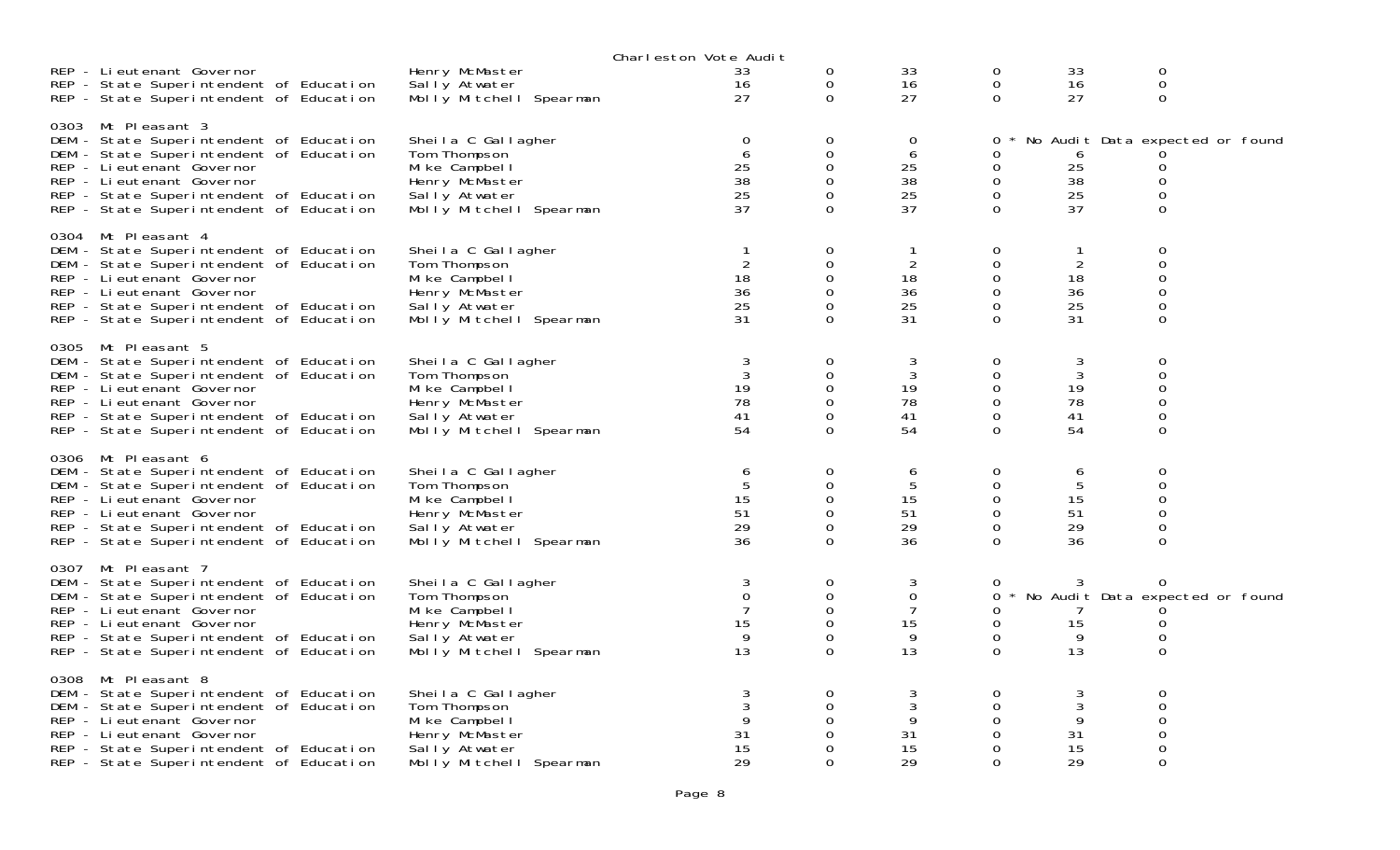|                                                                                                                                                                                                                                                            |                                                                                                                     | Charleston Vote Audit                                  |                                                                        |                                        |                                                 |                                                        |                                                                                             |  |
|------------------------------------------------------------------------------------------------------------------------------------------------------------------------------------------------------------------------------------------------------------|---------------------------------------------------------------------------------------------------------------------|--------------------------------------------------------|------------------------------------------------------------------------|----------------------------------------|-------------------------------------------------|--------------------------------------------------------|---------------------------------------------------------------------------------------------|--|
| REP - Lieutenant Governor<br>REP - State Superintendent of Education<br>REP - State Superintendent of Education                                                                                                                                            | Henry McMaster<br>Sally Atwater<br>Molly Mitchell Spearman                                                          | 33<br>16<br>27                                         | 0<br>$\mathbf 0$<br>$\mathbf 0$                                        | 33<br>16<br>27                         | 0<br>0<br>$\Omega$                              | 33<br>16<br>27                                         | $\mathbf 0$<br>$\boldsymbol{0}$<br>$\mathbf{0}$                                             |  |
| 0303 Mt Pleasant 3<br>DEM - State Superintendent of Education<br>DEM - State Superintendent of Education<br>REP - Li eutenant Governor<br>REP - Lieutenant Governor<br>REP - State Superintendent of Education<br>REP - State Superintendent of Education  | Sheila C Gallagher<br>Tom Thompson<br>Mi ke Campbel I<br>Henry McMaster<br>Sally Atwater<br>Molly Mitchell Spearman | $\mathbf 0$<br>6<br>25<br>38<br>25<br>37               | $\mathbf 0$<br>$\mathbf 0$<br>0<br>$\mathbf 0$<br>$\Omega$<br>$\Omega$ | $\Omega$<br>6<br>25<br>38<br>25<br>37  | 0<br>0<br>0<br>0<br>0<br>0                      | 6<br>25<br>38<br>25<br>37                              | No Audit Data expected or found<br>$\mathbf 0$<br>$\mathbf 0$<br>$\mathbf 0$<br>$\mathbf 0$ |  |
| 0304 Mt Pleasant 4<br>DEM - State Superintendent of Education<br>DEM - State Superintendent of Education<br>REP - Li eutenant Governor<br>REP - Li eutenant Governor<br>REP - State Superintendent of Education<br>REP - State Superintendent of Education | Sheila C Gallagher<br>Tom Thompson<br>Mi ke Campbel I<br>Henry McMaster<br>Sally Atwater<br>Molly Mitchell Spearman | $\mathbf{1}$<br>$\overline{2}$<br>18<br>36<br>25<br>31 | 0<br>$\mathbf 0$<br>$\mathbf 0$<br>$\Omega$<br>0<br>$\Omega$           | $\overline{2}$<br>18<br>36<br>25<br>31 | 0<br>$\Omega$<br>0<br>0<br>0<br>$\Omega$        | $\mathbf{1}$<br>$\overline{2}$<br>18<br>36<br>25<br>31 | $\mathbf 0$<br>$\mathbf 0$<br>$\boldsymbol{0}$<br>$\mathbf 0$<br>0<br>$\Omega$              |  |
| 0305 Mt Pleasant 5<br>DEM - State Superintendent of Education<br>DEM - State Superintendent of Education<br>REP - Li eutenant Governor<br>REP - Lieutenant Governor<br>REP - State Superintendent of Education<br>REP - State Superintendent of Education  | Sheila C Gallagher<br>Tom Thompson<br>Mi ke Campbel I<br>Henry McMaster<br>Sally Atwater<br>Molly Mitchell Spearman | 3<br>3<br>19<br>78<br>41<br>54                         | 0<br>$\mathbf 0$<br>0<br>$\mathbf 0$<br>$\Omega$<br>$\Omega$           | 3<br>3<br>19<br>78<br>41<br>54         | 0<br>0<br>0<br>0<br>0<br>$\Omega$               | 3<br>$\mathfrak{Z}$<br>19<br>78<br>41<br>54            | $\mathbf 0$<br>$\mathbf 0$<br>$\mathbf 0$<br>$\mathbf 0$<br>$\mathbf 0$<br>$\mathbf 0$      |  |
| 0306 Mt Pleasant 6<br>DEM - State Superintendent of Education<br>DEM - State Superintendent of Education<br>REP - Li eutenant Governor<br>REP - Lieutenant Governor<br>REP - State Superintendent of Education<br>REP - State Superintendent of Education  | Sheila C Gallagher<br>Tom Thompson<br>Mike Campbell<br>Henry McMaster<br>Sally Atwater<br>Molly Mitchell Spearman   | 6<br>5<br>15<br>51<br>29<br>36                         | $\mathbf 0$<br>0<br>0<br>$\Omega$<br>0<br>$\Omega$                     | 6<br>5<br>15<br>51<br>29<br>36         | 0<br>0<br>0<br>$\Omega$<br>0<br>$\Omega$        | 6<br>5<br>15<br>51<br>29<br>36                         | $\mathbf 0$<br>$\mathbf 0$<br>$\mathsf{O}\xspace$<br>$\mathbf 0$<br>$\mathbf 0$<br>$\Omega$ |  |
| 0307 Mt Pleasant 7<br>DEM - State Superintendent of Education<br>DEM - State Superintendent of Education<br>REP - Li eutenant Governor<br>REP - Lieutenant Governor<br>REP - State Superintendent of Education<br>REP - State Superintendent of Education  | Sheila C Gallagher<br>Tom Thompson<br>Mi ke Campbel I<br>Henry McMaster<br>Sally Atwater<br>Molly Mitchell Spearman | 3<br>$\mathbf 0$<br>$\overline{7}$<br>15<br>9<br>13    | 0<br>$\mathbf 0$<br>$\Omega$<br>$\mathbf 0$<br>0<br>$\Omega$           | 3<br>0<br>7<br>15<br>9<br>13           | 0<br>0<br>0<br>0<br>$\mathbf 0$<br>$\Omega$     | 3<br>15<br>9<br>13                                     | $\Omega$<br>No Audit Data expected or found<br>0<br>$\mathbf 0$<br>$\Omega$                 |  |
| 0308 Mt Pleasant 8<br>DEM - State Superintendent of Education<br>DEM - State Superintendent of Education<br>REP - Li eutenant Governor<br>REP - Lieutenant Governor<br>REP - State Superintendent of Education<br>REP - State Superintendent of Education  | Sheila C Gallagher<br>Tom Thompson<br>Mike Campbell<br>Henry McMaster<br>Sally Atwater<br>Molly Mitchell Spearman   | 9<br>31<br>15<br>29                                    | 0<br>$\mathbf 0$<br>0<br>0<br>$\Omega$<br>$\Omega$                     | 3<br>3<br>9<br>31<br>15<br>29          | 0<br>$\Omega$<br>0<br>0<br>$\Omega$<br>$\Omega$ | 3<br>3<br>9<br>31<br>15<br>29                          | $\mathbf 0$<br>$\mathbf 0$<br>$\mathbf 0$<br>$\mathbf 0$<br>$\boldsymbol{0}$<br>$\Omega$    |  |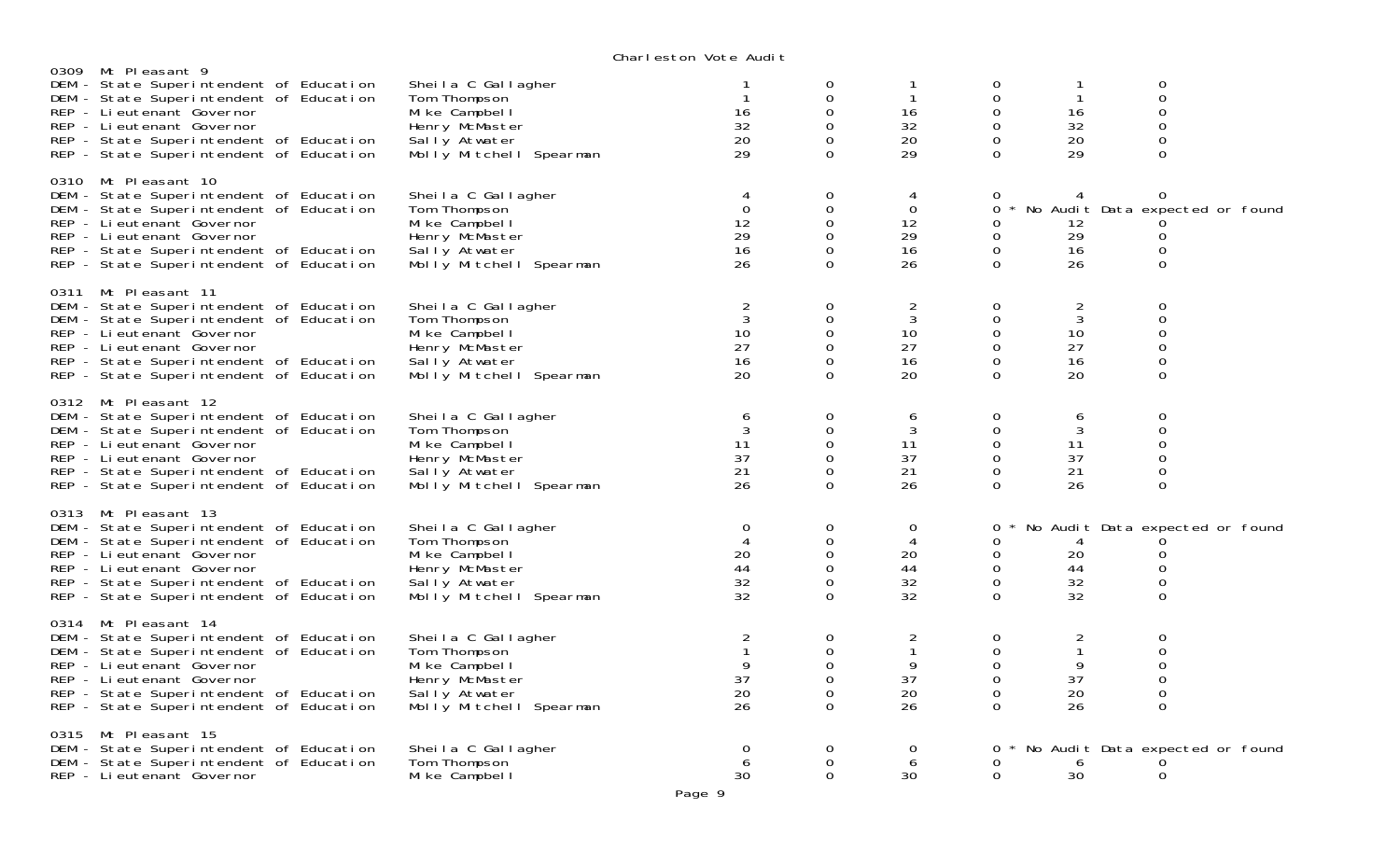| 0309 Mt Pleasant 9                                                                                                                                                                                                                                          |                                                                                                                     | onar reston vote naart                      |                                                              |                                             |                                                    |                                          |                                                                                             |  |
|-------------------------------------------------------------------------------------------------------------------------------------------------------------------------------------------------------------------------------------------------------------|---------------------------------------------------------------------------------------------------------------------|---------------------------------------------|--------------------------------------------------------------|---------------------------------------------|----------------------------------------------------|------------------------------------------|---------------------------------------------------------------------------------------------|--|
| DEM - State Superintendent of Education<br>DEM - State Superintendent of Education<br>REP - Lieutenant Governor<br>REP - Lieutenant Governor<br>REP - State Superintendent of Education<br>REP - State Superintendent of Education                          | Sheila C Gallagher<br>Tom Thompson<br>Mike Campbell<br>Henry McMaster<br>Sally Atwater<br>Molly Mitchell Spearman   | 16<br>32<br>20<br>29                        | 0<br>0<br>$\Omega$<br>$\Omega$<br>0<br>$\Omega$              | 1<br>16<br>32<br>20<br>29                   | 0<br>0<br>$\Omega$<br>0<br>0<br>$\Omega$           | $\mathbf{1}$<br>16<br>32<br>20<br>29     | $\mathbf 0$<br>$\mathsf{O}\xspace$<br>$\mathbf 0$<br>$\mathbf 0$<br>$\mathbf 0$<br>$\Omega$ |  |
| 0310 Mt Pleasant 10<br>DEM - State Superintendent of Education<br>DEM - State Superintendent of Education<br>REP - Li eutenant Governor<br>REP - Li eutenant Governor<br>REP - State Superintendent of Education<br>REP - State Superintendent of Education | Sheila C Gallagher<br>Tom Thompson<br>Mike Campbell<br>Henry McMaster<br>Sally Atwater<br>Molly Mitchell Spearman   | 4<br>$\overline{0}$<br>12<br>29<br>16<br>26 | 0<br>$\mathbf 0$<br>$\mathbf 0$<br>0<br>$\Omega$<br>$\Omega$ | 4<br>$\overline{0}$<br>12<br>29<br>16<br>26 | 0<br>0<br>0<br>0<br>$\Omega$                       | 12<br>29<br>16<br>26                     | $\Omega$<br>No Audit Data expected or found<br>0<br>$\mathbf 0$<br>$\mathbf 0$              |  |
| 0311 Mt Pleasant 11<br>DEM - State Superintendent of Education<br>DEM - State Superintendent of Education<br>REP - Lieutenant Governor<br>REP - Lieutenant Governor<br>REP - State Superintendent of Education<br>REP - State Superintendent of Education   | Sheila C Gallagher<br>Tom Thompson<br>Mike Campbell<br>Henry McMaster<br>Sally Atwater<br>Molly Mitchell Spearman   | 2<br>3<br>10<br>27<br>16<br>20              | 0<br>0<br>0<br>$\Omega$<br>0<br>$\mathbf 0$                  | $\overline{c}$<br>3<br>10<br>27<br>16<br>20 | 0<br>0<br>0<br>0<br>0<br>$\Omega$                  | 2<br>3<br>10<br>27<br>16<br>20           | $\Omega$<br>$\mathbf 0$<br>$\mathbf 0$<br>$\mathbf 0$<br>$\mathbf 0$<br>$\mathbf 0$         |  |
| 0312 Mt Pleasant 12<br>DEM - State Superintendent of Education<br>DEM - State Superintendent of Education<br>REP - Lieutenant Governor<br>REP - Lieutenant Governor<br>REP - State Superintendent of Education<br>REP - State Superintendent of Education   | Sheila C Gallagher<br>Tom Thompson<br>Mi ke Campbel I<br>Henry McMaster<br>Sally Atwater<br>Molly Mitchell Spearman | 6<br>3<br>11<br>37<br>21<br>26              | 0<br>0<br>0<br>0<br>$\mathbf 0$<br>$\Omega$                  | 6<br>3<br>11<br>37<br>21<br>26              | 0<br>$\mathbf 0$<br>0<br>0<br>$\Omega$<br>$\Omega$ | 6<br>3<br>11<br>37<br>21<br>26           | $\mathbf 0$<br>$\mathbf 0$<br>$\mathbf 0$<br>0<br>$\mathbf 0$<br>$\mathbf 0$                |  |
| 0313 Mt Pleasant 13<br>DEM - State Superintendent of Education<br>DEM - State Superintendent of Education<br>REP - Lieutenant Governor<br>REP - Li eutenant Governor<br>REP - State Superintendent of Education<br>REP - State Superintendent of Education  | Sheila C Gallagher<br>Tom Thompson<br>Mike Campbell<br>Henry McMaster<br>Sally Atwater<br>Molly Mitchell Spearman   | $\mathbf 0$<br>4<br>20<br>44<br>32<br>32    | 0<br>0<br>$\mathbf 0$<br>$\mathbf 0$<br>0<br>$\Omega$        | $\mathbf 0$<br>4<br>20<br>44<br>32<br>32    | 0<br>0<br>0<br>0<br>$\mathbf 0$<br>$\Omega$        | 4<br>20<br>44<br>32<br>32                | No Audit Data expected or found<br>0<br>0<br>$\mathbf 0$<br>$\mathbf 0$<br>$\Omega$         |  |
| 0314 Mt Pleasant 14<br>DEM - State Superintendent of Education<br>DEM - State Superintendent of Education<br>REP - Lieutenant Governor<br>REP - Lieutenant Governor<br>REP - State Superintendent of Education<br>REP - State Superintendent of Education   | Sheila C Gallagher<br>Tom Thompson<br>Mike Campbell<br>Henry McMaster<br>Sally Atwater<br>Molly Mitchell Spearman   | 2<br>9<br>37<br>20<br>26                    | 0<br>$\mathbf 0$<br>$\Omega$<br>0<br>0<br>$\Omega$           | 2<br>$\mathbf{1}$<br>9<br>37<br>20<br>26    | 0<br>0<br>$\Omega$<br>0<br>$\Omega$<br>$\Omega$    | 2<br>$\mathbf{1}$<br>9<br>37<br>20<br>26 | $\mathbf 0$<br>$\mathbf 0$<br>$\Omega$<br>$\mathbf 0$<br>$\mathbf 0$<br>$\Omega$            |  |
| 0315 Mt Pleasant 15<br>DEM - State Superintendent of Education<br>DEM - State Superintendent of Education<br>REP - Lieutenant Governor                                                                                                                      | Sheila C Gallagher<br>Tom Thompson<br>Mike Campbell                                                                 | 0<br>6<br>30                                | 0<br>$\Omega$<br>$\Omega$                                    | 0<br>6<br>30                                | 0<br>0<br>$\Omega$                                 | 6<br>30                                  | * No Audit Data expected or found<br>$\mathbf 0$                                            |  |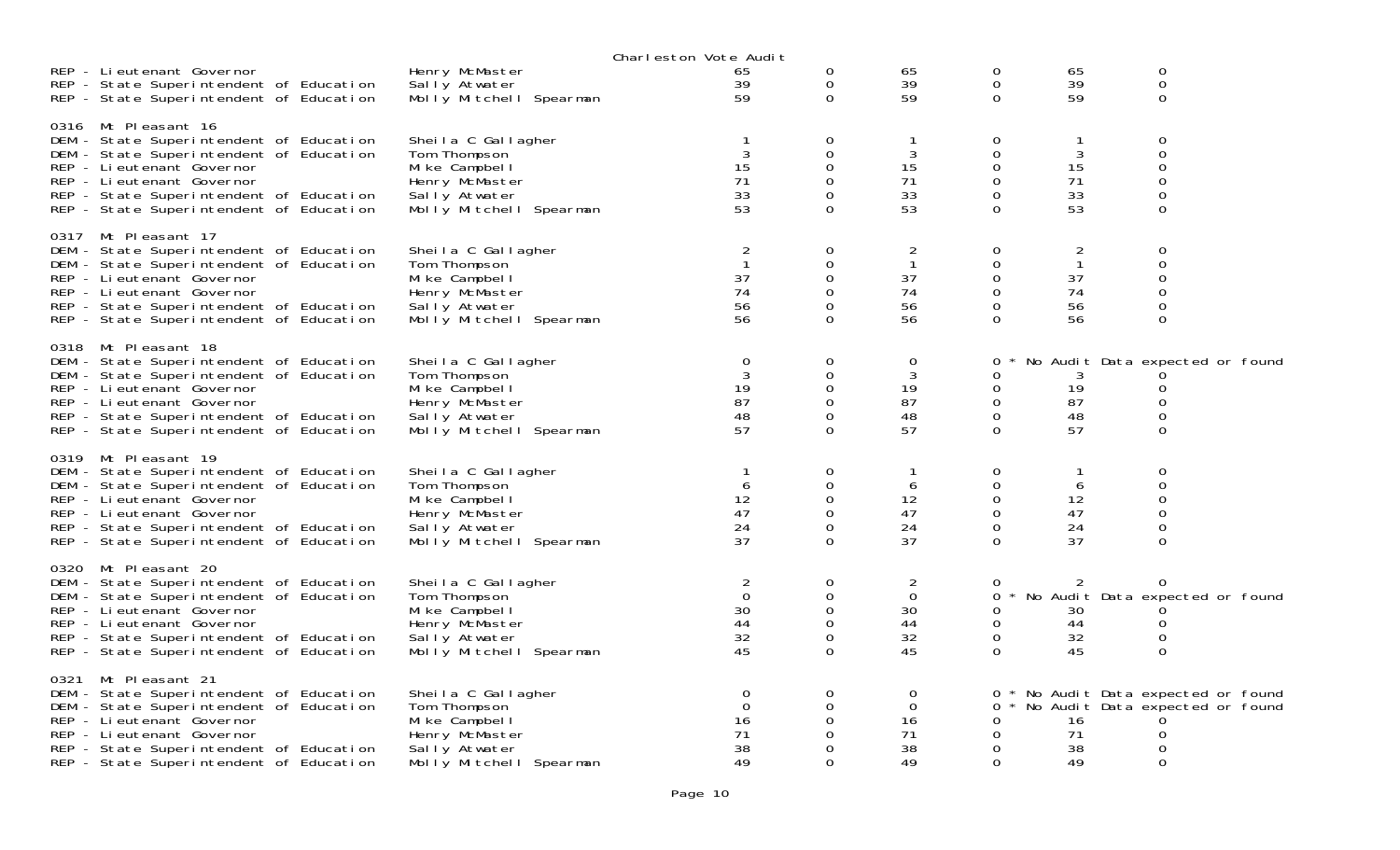|      |                                                                                                                                                                                                                                                             |                                                                                                                     | Charleston Vote Audit                           |                                                                     |                                           |                                             |                                           |                                                                                  |  |
|------|-------------------------------------------------------------------------------------------------------------------------------------------------------------------------------------------------------------------------------------------------------------|---------------------------------------------------------------------------------------------------------------------|-------------------------------------------------|---------------------------------------------------------------------|-------------------------------------------|---------------------------------------------|-------------------------------------------|----------------------------------------------------------------------------------|--|
|      | REP - Lieutenant Governor<br>REP - State Superintendent of Education<br>REP - State Superintendent of Education                                                                                                                                             | Henry McMaster<br>Sally Atwater<br>Molly Mitchell Spearman                                                          | 65<br>39<br>59                                  | 0<br>0<br>$\Omega$                                                  | 65<br>39<br>59                            | 0<br>$\mathsf{O}\xspace$<br>$\Omega$        | 65<br>39<br>59                            | 0<br>0<br>$\overline{0}$                                                         |  |
|      | 0316 Mt Pleasant 16<br>DEM - State Superintendent of Education<br>DEM - State Superintendent of Education<br>REP - Li eutenant Governor<br>REP - Lieutenant Governor<br>REP - State Superintendent of Education<br>REP - State Superintendent of Education  | Sheila C Gallagher<br>Tom Thompson<br>Mi ke Campbel I<br>Henry McMaster<br>Sally Atwater<br>Molly Mitchell Spearman | $\mathbf{1}$<br>3<br>15<br>71<br>33<br>53       | 0<br>0<br>$\mathbf 0$<br>$\Omega$<br>$\Omega$<br>$\Omega$           | 1<br>3<br>15<br>71<br>33<br>53            | 0<br>$\mathbf 0$<br>0<br>0<br>0<br>$\Omega$ | 1<br>3<br>15<br>71<br>33<br>53            | 0<br>0<br>0<br>$\Omega$<br>0<br>$\Omega$                                         |  |
| 0317 | Mt Pleasant 17<br>DEM - State Superintendent of Education<br>DEM - State Superintendent of Education<br>REP - Li eutenant Governor<br>REP - Lieutenant Governor<br>REP - State Superintendent of Education<br>REP - State Superintendent of Education       | Sheila C Gallagher<br>Tom Thompson<br>Mike Campbell<br>Henry McMaster<br>Sally Atwater<br>Molly Mitchell Spearman   | 2<br>37<br>74<br>56<br>56                       | 0<br>$\Omega$<br>$\mathbf 0$<br>$\Omega$<br>$\mathbf 0$<br>$\Omega$ | 2<br>$\mathbf{1}$<br>37<br>74<br>56<br>56 | 0<br>0<br>0<br>$\Omega$<br>0<br>$\Omega$    | 2<br>$\mathbf{1}$<br>37<br>74<br>56<br>56 | 0<br>$\Omega$<br>0<br>0<br>0<br>$\Omega$                                         |  |
|      | 0318 Mt Pleasant 18<br>DEM - State Superintendent of Education<br>DEM - State Superintendent of Education<br>REP - Lieutenant Governor<br>REP - Lieutenant Governor<br>REP - State Superintendent of Education<br>REP - State Superintendent of Education   | Sheila C Gallagher<br>Tom Thompson<br>Mi ke Campbel I<br>Henry McMaster<br>Sally Atwater<br>Molly Mitchell Spearman | $\overline{0}$<br>3<br>19<br>87<br>48<br>57     | 0<br>0<br>0<br>$\mathbf 0$<br>$\mathbf{O}$<br>$\Omega$              | $\mathbf 0$<br>3<br>19<br>87<br>48<br>57  | 0<br>0<br>0<br>0<br>0<br>$\Omega$           | 3<br>19<br>87<br>48<br>57                 | No Audit Data expected or found<br>0<br>0<br>$\Omega$<br>0                       |  |
|      | 0319 Mt Pleasant 19<br>DEM - State Superintendent of Education<br>DEM - State Superintendent of Education<br>REP - Li eutenant Governor<br>REP - Li eutenant Governor<br>REP - State Superintendent of Education<br>REP - State Superintendent of Education | Sheila C Gallagher<br>Tom Thompson<br>Mike Campbell<br>Henry McMaster<br>Sally Atwater<br>Molly Mitchell Spearman   | 6<br>12<br>47<br>24<br>37                       | 0<br>$\mathbf 0$<br>$\mathbf 0$<br>$\mathbf{O}$<br>0<br>$\Omega$    | 6<br>12<br>47<br>24<br>37                 | 0<br>0<br>0<br>0<br>0<br>$\Omega$           | 1<br>6<br>12<br>47<br>24<br>37            | 0<br>0<br>0<br>0<br>0<br>$\Omega$                                                |  |
|      | 0320 Mt Pleasant 20<br>DEM - State Superintendent of Education<br>DEM - State Superintendent of Education<br>REP - Li eutenant Governor<br>REP - Lieutenant Governor<br>REP - State Superintendent of Education<br>REP - State Superintendent of Education  | Sheila C Gallagher<br>Tom Thompson<br>Mi ke Campbel I<br>Henry McMaster<br>Sally Atwater<br>Molly Mitchell Spearman | 2<br>$\Omega$<br>30<br>44<br>32<br>45           | 0<br>$\mathbf 0$<br>$\Omega$<br>0<br>0<br>$\Omega$                  | 2<br>$\mathbf 0$<br>30<br>44<br>32<br>45  | 0<br>0<br>0<br>0<br>0<br>$\Omega$           | 30<br>44<br>32<br>45                      | 0<br>No Audit Data expected or found<br>0<br>0<br>$\Omega$                       |  |
|      | 0321 Mt Pleasant 21<br>DEM - State Superintendent of Education<br>DEM - State Superintendent of Education<br>REP - Li eutenant Governor<br>REP - Lieutenant Governor<br>REP - State Superintendent of Education<br>REP - State Superintendent of Education  | Sheila C Gallagher<br>Tom Thompson<br>Mike Campbell<br>Henry McMaster<br>Sally Atwater<br>Molly Mitchell Spearman   | $\mathbf 0$<br>$\Omega$<br>16<br>71<br>38<br>49 | 0<br>$\Omega$<br>0<br>0<br>$\Omega$<br>$\Omega$                     | 0<br>$\mathbf 0$<br>16<br>71<br>38<br>49  | 0<br>0<br>0<br>0<br>0<br>$\Omega$           | 16<br>71<br>38<br>49                      | * No Audit Data expected or found<br>* No Audit Data expected or found<br>0<br>0 |  |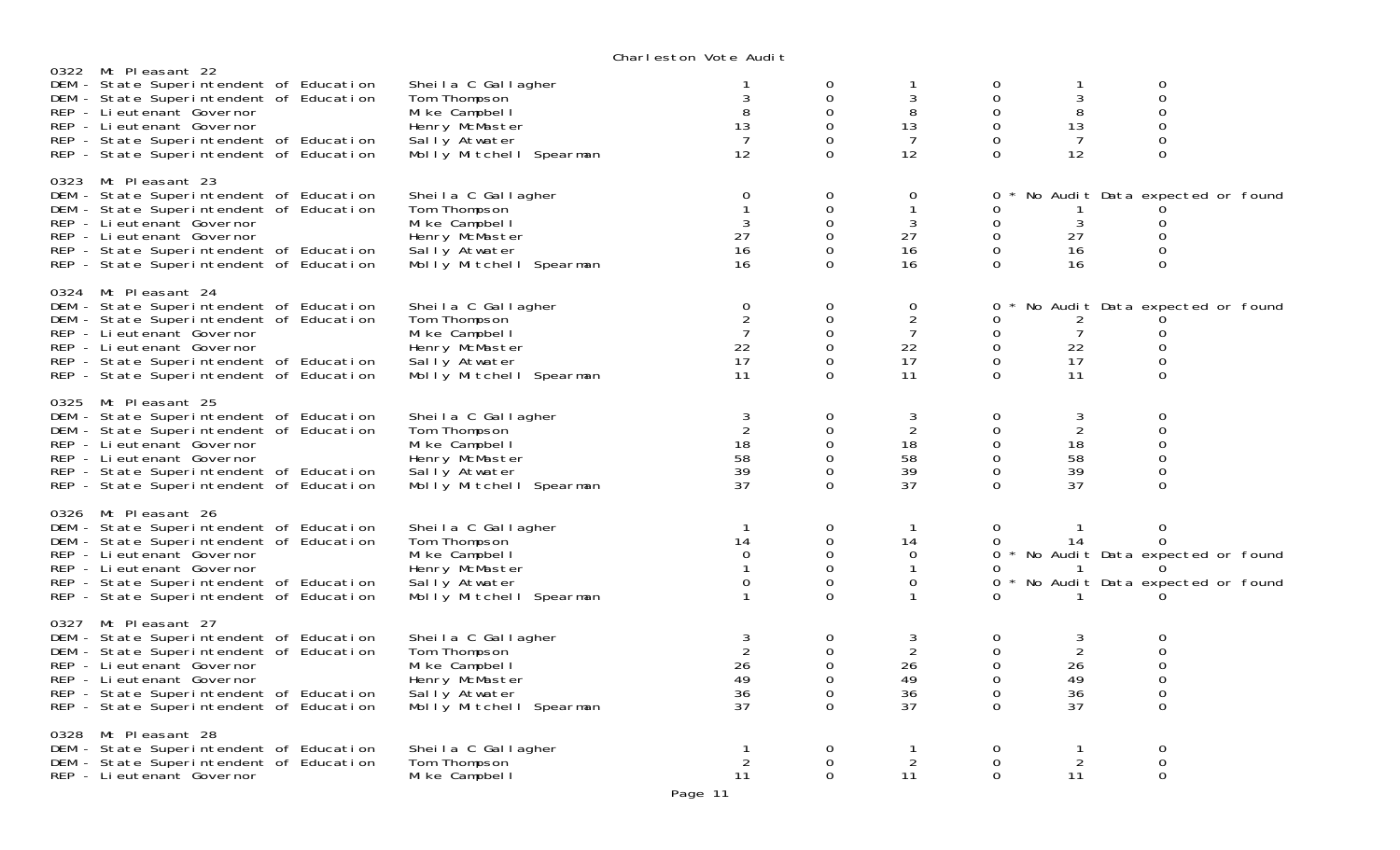| 0322 Mt Pleasant 22                                                                                                                                                                                                                                         |                                                                                                                     | VIKIT CSLOT TOLC MOUTL                                  |                                                           |                                                                     |                                                                        |                                             |                                                                                         |  |
|-------------------------------------------------------------------------------------------------------------------------------------------------------------------------------------------------------------------------------------------------------------|---------------------------------------------------------------------------------------------------------------------|---------------------------------------------------------|-----------------------------------------------------------|---------------------------------------------------------------------|------------------------------------------------------------------------|---------------------------------------------|-----------------------------------------------------------------------------------------|--|
| DEM - State Superintendent of Education<br>DEM - State Superintendent of Education<br>REP - Lieutenant Governor<br>REP - Lieutenant Governor<br>REP - State Superintendent of Education<br>REP - State Superintendent of Education                          | Sheila C Gallagher<br>Tom Thompson<br>Mi ke Campbel I<br>Henry McMaster<br>Sally Atwater<br>Molly Mitchell Spearman | 3<br>8<br>13<br>7<br>12                                 | 0<br>0<br>$\Omega$<br>$\Omega$<br>$\Omega$<br>$\Omega$    | 1<br>3<br>8<br>13<br>7<br>12                                        | 0<br>0<br>$\Omega$<br>$\mathbf 0$<br>$\Omega$<br>$\Omega$              | 1<br>3<br>8<br>13<br>7<br>12                | 0<br>0<br>$\Omega$<br>0<br>$\Omega$<br>$\mathbf 0$                                      |  |
| 0323 Mt Pleasant 23<br>DEM - State Superintendent of Education<br>DEM - State Superintendent of Education<br>REP - Li eutenant Governor<br>REP - Li eutenant Governor<br>REP - State Superintendent of Education<br>REP - State Superintendent of Education | Sheila C Gallagher<br>Tom Thompson<br>Mike Campbell<br>Henry McMaster<br>Sally Atwater<br>Molly Mitchell Spearman   | $\mathbf 0$<br>3<br>27<br>16<br>16                      | 0<br>$\Omega$<br>0<br>$\mathbf 0$<br>$\Omega$<br>$\Omega$ | $\overline{0}$<br>$\mathbf{1}$<br>3<br>27<br>16<br>16               | 0<br>0<br>$\mathbf 0$<br>$\mathbf 0$<br>0<br>$\Omega$                  | 3<br>27<br>16<br>16                         | No Audit Data expected or found<br>$\Omega$<br>ი<br>0<br>$\Omega$                       |  |
| 0324 Mt Pleasant 24<br>DEM - State Superintendent of Education<br>DEM - State Superintendent of Education<br>REP - Lieutenant Governor<br>REP - Lieutenant Governor<br>REP - State Superintendent of Education<br>REP - State Superintendent of Education   | Sheila C Gallagher<br>Tom Thompson<br>Mi ke Campbel I<br>Henry McMaster<br>Sally Atwater<br>Molly Mitchell Spearman | 0<br>$\overline{2}$<br>$\overline{7}$<br>22<br>17<br>11 | 0<br>$\Omega$<br>$\mathbf 0$<br>$\Omega$<br>0<br>$\Omega$ | 0<br>$\overline{c}$<br>$\overline{7}$<br>22<br>17<br>11             | 0<br>0<br>$\Omega$<br>0<br>0<br>$\Omega$                               | $\overline{7}$<br>22<br>17<br>11            | No Audit Data expected or found<br>0<br>0<br>0<br>$\Omega$                              |  |
| 0325 Mt Pleasant 25<br>DEM - State Superintendent of Education<br>DEM - State Superintendent of Education<br>REP - Lieutenant Governor<br>REP - Lieutenant Governor<br>REP - State Superintendent of Education<br>REP - State Superintendent of Education   | Sheila C Gallagher<br>Tom Thompson<br>Mike Campbell<br>Henry McMaster<br>Sally Atwater<br>Molly Mitchell Spearman   | 3<br>2<br>18<br>58<br>39<br>37                          | $\Omega$<br>0<br>0<br>$\Omega$<br>$\Omega$<br>$\Omega$    | 3<br>$\overline{2}$<br>18<br>58<br>39<br>37                         | $\Omega$<br>0<br>0<br>$\mathbf 0$<br>$\Omega$<br>$\Omega$              | 3<br>$\overline{2}$<br>18<br>58<br>39<br>37 | $\Omega$<br>$\overline{0}$<br>0<br>$\Omega$<br>0<br>$\mathbf 0$                         |  |
| 0326 Mt Pleasant 26<br>DEM - State Superintendent of Education<br>DEM - State Superintendent of Education<br>REP - Li eutenant Governor<br>REP - Li eutenant Governor<br>REP - State Superintendent of Education<br>REP - State Superintendent of Education | Sheila C Gallagher<br>Tom Thompson<br>Mi ke Campbel I<br>Henry McMaster<br>Sally Atwater<br>Molly Mitchell Spearman | $\mathbf{1}$<br>14<br>$\Omega$<br>0                     | 0<br>0<br>0<br>$\Omega$<br>$\mathbf 0$<br>$\Omega$        | $\mathbf{1}$<br>14<br>$\overline{0}$<br>$\mathbf{1}$<br>$\mathbf 0$ | $\overline{0}$<br>$\Omega$<br>0<br>0                                   | $\overline{1}$<br>14                        | 0<br>$\Omega$<br>0 * No Audit Data expected or found<br>No Audit Data expected or found |  |
| 0327 Mt Pleasant 27<br>DEM - State Superintendent of Education<br>DEM - State Superintendent of Education<br>REP - Li eutenant Governor<br>REP - Lieutenant Governor<br>REP - State Superintendent of Education<br>REP - State Superintendent of Education  | Sheila C Gallagher<br>Tom Thompson<br>Mi ke Campbel I<br>Henry McMaster<br>Sally Atwater<br>Molly Mitchell Spearman | 3<br>$\overline{2}$<br>26<br>49<br>36<br>37             | 0<br>0<br>$\Omega$<br>0<br>0<br>$\Omega$                  | 3<br>$\overline{c}$<br>26<br>49<br>36<br>37                         | 0<br>$\mathbf 0$<br>$\Omega$<br>$\mathbf 0$<br>$\mathbf 0$<br>$\Omega$ | 3<br>$\overline{c}$<br>26<br>49<br>36<br>37 | 0<br>0<br>O<br>0<br>0<br>∩                                                              |  |
| 0328 Mt Pleasant 28<br>DEM - State Superintendent of Education<br>DEM - State Superintendent of Education<br>REP - Lieutenant Governor                                                                                                                      | Sheila C Gallagher<br>Tom Thompson<br>Mike Campbell                                                                 | 2<br>11                                                 | 0<br>0<br>$\overline{O}$                                  | 2<br>11                                                             | 0<br>0<br>$\Omega$                                                     | -1<br>$\overline{2}$<br>11                  | 0<br>0<br>$\overline{0}$                                                                |  |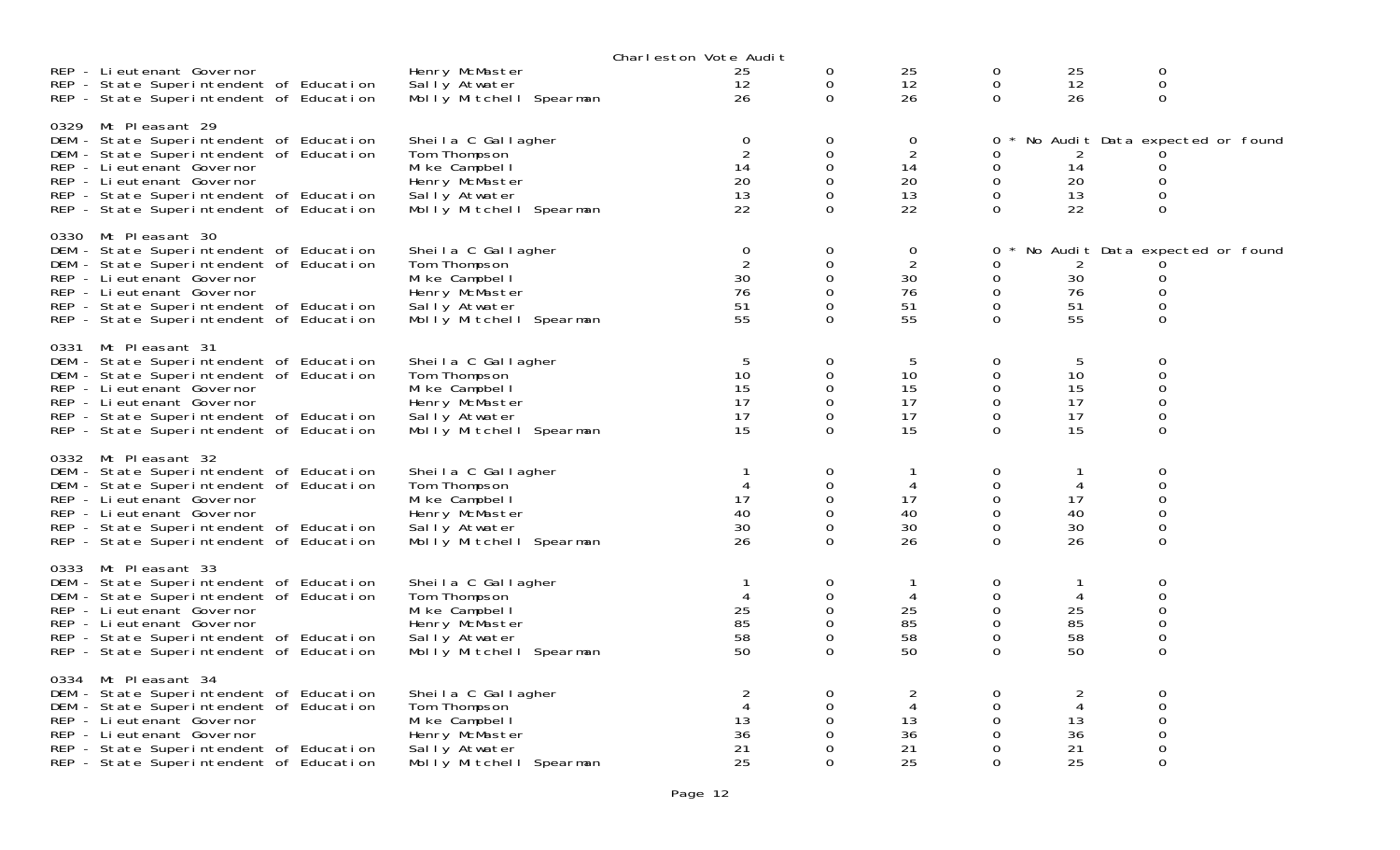|      |                                                                                                                                                                                                                                                            |                                                                                                                     | Charleston Vote Audit                                 |                                                    |                                             |                                                        |                                             |                                                            |
|------|------------------------------------------------------------------------------------------------------------------------------------------------------------------------------------------------------------------------------------------------------------|---------------------------------------------------------------------------------------------------------------------|-------------------------------------------------------|----------------------------------------------------|---------------------------------------------|--------------------------------------------------------|---------------------------------------------|------------------------------------------------------------|
|      | REP - Lieutenant Governor<br>REP - State Superintendent of Education<br>REP - State Superintendent of Education                                                                                                                                            | Henry McMaster<br>Sally Atwater<br>Molly Mitchell Spearman                                                          | 25<br>12<br>26                                        | 0<br>0<br>$\Omega$                                 | 25<br>12<br>26                              | 0<br>0<br>$\Omega$                                     | 25<br>12<br>26                              | 0<br>$\mathsf{O}\xspace$<br>0                              |
|      | 0329 Mt Pleasant 29<br>DEM - State Superintendent of Education<br>DEM - State Superintendent of Education<br>REP - Lieutenant Governor<br>REP - Lieutenant Governor<br>REP - State Superintendent of Education<br>REP - State Superintendent of Education  | Sheila C Gallagher<br>Tom Thompson<br>Mi ke Campbel I<br>Henry McMaster<br>Sally Atwater<br>Molly Mitchell Spearman | $\mathbf 0$<br>$\overline{2}$<br>14<br>20<br>13<br>22 | 0<br>0<br>$\mathbf 0$<br>0<br>$\Omega$<br>$\Omega$ | 0<br>$\overline{2}$<br>14<br>20<br>13<br>22 | 0<br>0<br>0<br>$\mathbf 0$<br>0<br>$\Omega$            | 14<br>20<br>13<br>22                        | No Audit Data expected or found<br>0<br>0<br>0<br>0        |
|      | 0330 Mt Pleasant 30<br>DEM - State Superintendent of Education<br>DEM - State Superintendent of Education<br>REP - Lieutenant Governor<br>REP - Lieutenant Governor<br>REP - State Superintendent of Education<br>REP - State Superintendent of Education  | Sheila C Gallagher<br>Tom Thompson<br>Mi ke Campbel I<br>Henry McMaster<br>Sally Atwater<br>Molly Mitchell Spearman | $\mathbf 0$<br>$\overline{2}$<br>30<br>76<br>51<br>55 | 0<br>0<br>$\mathbf 0$<br>$\Omega$<br>0<br>$\Omega$ | 0<br>$\overline{2}$<br>30<br>76<br>51<br>55 | 0<br>0<br>0<br>0<br>$\mathbf 0$<br>0                   | 2<br>30<br>76<br>51<br>55                   | No Audit Data expected or found<br>0<br>$\Omega$<br>0<br>0 |
| 0331 | Mt Pleasant 31<br>DEM - State Superintendent of Education<br>DEM - State Superintendent of Education<br>REP - Lieutenant Governor<br>REP - Lieutenant Governor<br>REP - State Superintendent of Education<br>REP - State Superintendent of Education       | Sheila C Gallagher<br>Tom Thompson<br>Mi ke Campbel I<br>Henry McMaster<br>Sally Atwater<br>Molly Mitchell Spearman | 5<br>10<br>15<br>17<br>17<br>15                       | 0<br>$\mathbf 0$<br>$\Omega$<br>0<br>0<br>$\Omega$ | 5<br>10<br>15<br>17<br>17<br>15             | 0<br>$\mathbf 0$<br>$\Omega$<br>0<br>0<br>$\mathbf{O}$ | 5<br>10<br>15<br>17<br>17<br>15             | 0<br>$\mathsf{O}\xspace$<br>$\Omega$<br>0<br>0<br>0        |
|      | 0332 Mt Pleasant 32<br>DEM - State Superintendent of Education<br>DEM - State Superintendent of Education<br>REP - Li eutenant Governor<br>REP - Lieutenant Governor<br>REP - State Superintendent of Education<br>REP - State Superintendent of Education | Sheila C Gallagher<br>Tom Thompson<br>Mike Campbell<br>Henry McMaster<br>Sally Atwater<br>Molly Mitchell Spearman   | 4<br>17<br>40<br>30<br>26                             | 0<br>0<br>0<br>0<br>0<br>$\Omega$                  | 4<br>17<br>40<br>30<br>26                   | 0<br>0<br>0<br>0<br>0<br>$\Omega$                      | 1<br>4<br>17<br>40<br>30<br>26              | $\mathbf 0$<br>0<br>0<br>$\overline{0}$<br>0<br>$\Omega$   |
| 0333 | Mt Pleasant 33<br>DEM - State Superintendent of Education<br>DEM - State Superintendent of Education<br>REP - Lieutenant Governor<br>REP - Lieutenant Governor<br>REP - State Superintendent of Education<br>REP - State Superintendent of Education       | Sheila C Gallagher<br>Tom Thompson<br>Mi ke Campbel I<br>Henry McMaster<br>Sally Atwater<br>Molly Mitchell Spearman | 4<br>25<br>85<br>58<br>50                             | 0<br>0<br>0<br>0<br>0<br>$\Omega$                  | 4<br>25<br>85<br>58<br>50                   | 0<br>0<br>0<br>$\mathbf 0$<br>0<br>$\Omega$            | 1<br>4<br>25<br>85<br>58<br>50              | 0<br>$\Omega$<br>$\mathbf 0$<br>0<br>0<br>$\overline{0}$   |
|      | 0334 Mt Pleasant 34<br>DEM - State Superintendent of Education<br>DEM - State Superintendent of Education<br>REP - Lieutenant Governor<br>REP - Lieutenant Governor<br>REP - State Superintendent of Education<br>REP - State Superintendent of Education  | Sheila C Gallagher<br>Tom Thompson<br>Mike Campbell<br>Henry McMaster<br>Sally Atwater<br>Molly Mitchell Spearman   | $\overline{2}$<br>4<br>13<br>36<br>21<br>25           | 0<br>0<br>0<br>0<br>0<br>$\Omega$                  | $\overline{c}$<br>4<br>13<br>36<br>21<br>25 | 0<br>0<br>$\Omega$<br>0<br>0<br>0                      | $\overline{c}$<br>4<br>13<br>36<br>21<br>25 | 0<br>$\mathbf 0$<br>0<br>0<br>0<br>$\Omega$                |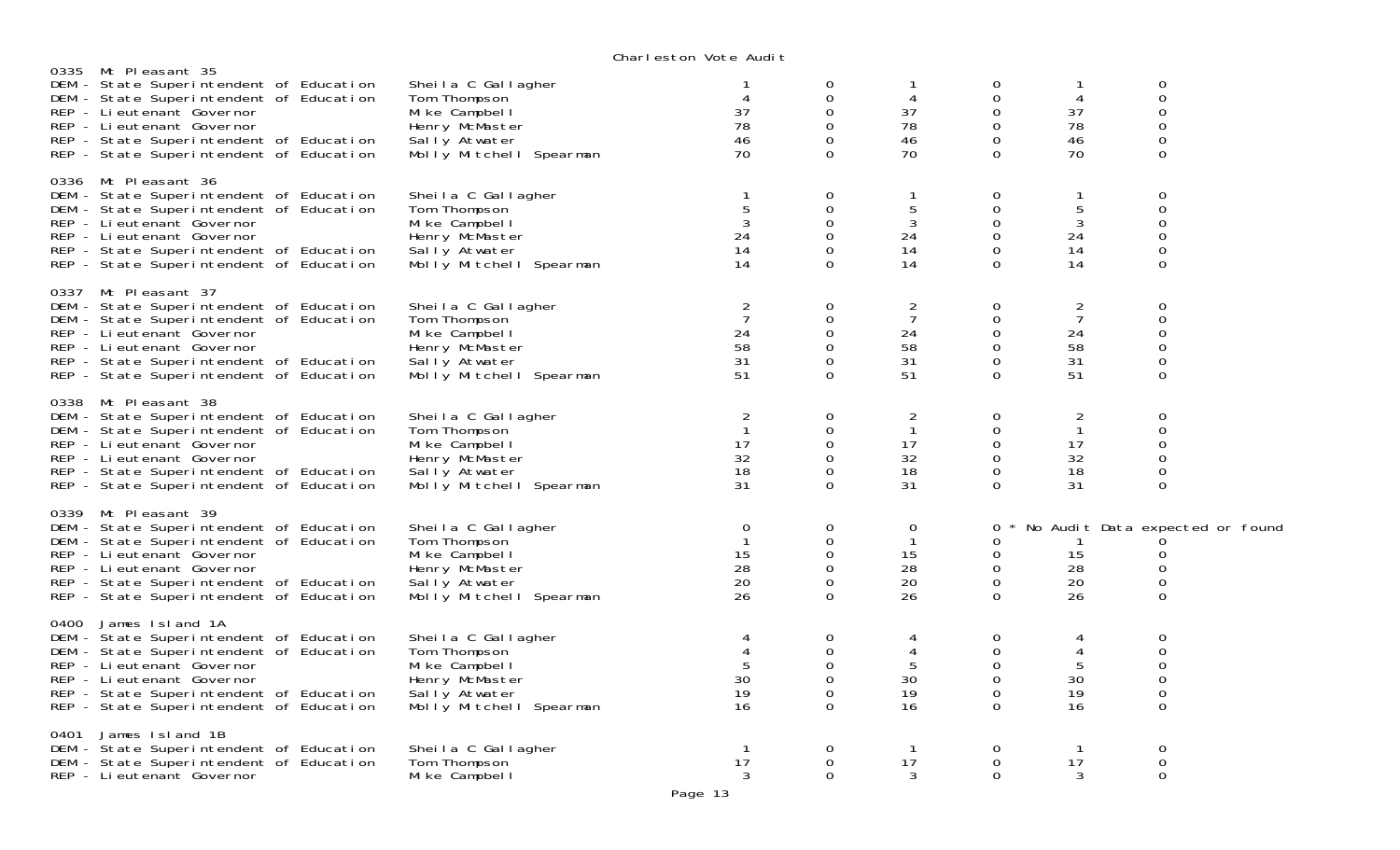|      |                                                                                                                                                                                                                                                             |                                                                                                                     | VIKIT CSLOT TOLC MOUTL                                 |                                                                  |                                                        |                                                              |                                             |                                                               |  |
|------|-------------------------------------------------------------------------------------------------------------------------------------------------------------------------------------------------------------------------------------------------------------|---------------------------------------------------------------------------------------------------------------------|--------------------------------------------------------|------------------------------------------------------------------|--------------------------------------------------------|--------------------------------------------------------------|---------------------------------------------|---------------------------------------------------------------|--|
|      | 0335 Mt Pleasant 35<br>DEM - State Superintendent of Education<br>DEM - State Superintendent of Education<br>REP - Lieutenant Governor<br>REP - Lieutenant Governor<br>REP - State Superintendent of Education<br>REP - State Superintendent of Education   | Sheila C Gallagher<br>Tom Thompson<br>Mike Campbell<br>Henry McMaster<br>Sally Atwater<br>Molly Mitchell Spearman   | 37<br>78<br>46<br>70                                   | 0<br>0<br>$\Omega$<br>$\Omega$<br>0<br>0                         | 4<br>37<br>78<br>46<br>70                              | 0<br>$\mathbf 0$<br>$\Omega$<br>0<br>$\mathbf 0$<br>$\Omega$ | 1<br>4<br>37<br>78<br>46<br>70              | 0<br>$\mathsf{O}\xspace$<br>0<br>0<br>$\mathbf 0$<br>$\Omega$ |  |
|      | 0336 Mt Pleasant 36<br>DEM - State Superintendent of Education<br>DEM - State Superintendent of Education<br>REP - Li eutenant Governor<br>REP - Li eutenant Governor<br>REP - State Superintendent of Education<br>REP - State Superintendent of Education | Sheila C Gallagher<br>Tom Thompson<br>Mi ke Campbel I<br>Henry McMaster<br>Sally Atwater<br>Molly Mitchell Spearman | 5<br>3<br>24<br>14<br>14                               | $\mathbf 0$<br>$\Omega$<br>$\Omega$<br>0<br>$\Omega$             | $\mathbf{1}$<br>5<br>$\mathbf{3}$<br>24<br>14<br>14    | $\mathbf 0$<br>$\Omega$<br>0<br>$\mathbf 0$<br>0<br>$\Omega$ | 1<br>5<br>$\mathbf{3}$<br>24<br>14<br>14    | 0<br>$\Omega$<br>0<br>$\mathbf 0$<br>0<br>$\Omega$            |  |
|      | 0337 Mt Pleasant 37<br>DEM - State Superintendent of Education<br>DEM - State Superintendent of Education<br>REP - Lieutenant Governor<br>REP - Lieutenant Governor<br>REP - State Superintendent of Education<br>REP - State Superintendent of Education   | Sheila C Gallagher<br>Tom Thompson<br>Mike Campbell<br>Henry McMaster<br>Sally Atwater<br>Molly Mitchell Spearman   | $\overline{2}$<br>7<br>24<br>58<br>31<br>51            | 0<br>$\Omega$<br>0<br>0<br>0<br>$\Omega$                         | 2<br>$\overline{7}$<br>24<br>58<br>31<br>51            | 0<br>0<br>0<br>0<br>0<br>$\Omega$                            | 2<br>$\overline{7}$<br>24<br>58<br>31<br>51 | 0<br>$\overline{0}$<br>$\mathbf 0$<br>0<br>0<br>$\Omega$      |  |
|      | 0338 Mt Pleasant 38<br>DEM - State Superintendent of Education<br>DEM - State Superintendent of Education<br>REP - Lieutenant Governor<br>REP - Lieutenant Governor<br>REP - State Superintendent of Education<br>REP - State Superintendent of Education   | Sheila C Gallagher<br>Tom Thompson<br>Mike Campbell<br>Henry McMaster<br>Sally Atwater<br>Molly Mitchell Spearman   | $\overline{2}$<br>$\mathbf{1}$<br>17<br>32<br>18<br>31 | 0<br>0<br>$\Omega$<br>0<br>$\Omega$<br>$\Omega$                  | $\overline{2}$<br>$\mathbf{1}$<br>17<br>32<br>18<br>31 | 0<br>0<br>0<br>0<br>$\mathbf 0$<br>$\Omega$                  | 2<br>$\mathbf{1}$<br>17<br>32<br>18<br>31   | $\mathbf 0$<br>$\mathbf 0$<br>0<br>0<br>0<br>$\mathbf 0$      |  |
|      | 0339 Mt Pleasant 39<br>DEM - State Superintendent of Education<br>DEM - State Superintendent of Education<br>REP - Lieutenant Governor<br>REP - Lieutenant Governor<br>REP - State Superintendent of Education<br>REP - State Superintendent of Education   | Sheila C Gallagher<br>Tom Thompson<br>Mi ke Campbel I<br>Henry McMaster<br>Sally Atwater<br>Molly Mitchell Spearman | 0<br>15<br>28<br>20<br>26                              | 0<br>$\Omega$<br>$\mathbf 0$<br>$\Omega$<br>$\Omega$<br>$\Omega$ | $\mathbf 0$<br>$\mathbf{1}$<br>15<br>28<br>20<br>26    | 0<br>$\Omega$<br>$\mathbf 0$<br>0<br>$\mathbf 0$<br>$\Omega$ | -1<br>15<br>28<br>20<br>26                  | No Audit Data expected or found<br>0<br>0<br>0<br>$\Omega$    |  |
|      | 0400 James Island 1A<br>DEM - State Superintendent of Education<br>DEM - State Superintendent of Education<br>REP - Lieutenant Governor<br>REP - Lieutenant Governor<br>REP - State Superintendent of Education<br>REP - State Superintendent of Education  | Sheila C Gallagher<br>Tom Thompson<br>Mi ke Campbel I<br>Henry McMaster<br>Sally Atwater<br>Molly Mitchell Spearman | 4<br>4<br>30<br>19<br>16                               | 0<br>$\mathbf 0$<br>$\Omega$<br>0<br>0<br>$\Omega$               | 4<br>4<br>5<br>30<br>19<br>16                          | 0<br>$\mathbf 0$<br>$\Omega$<br>0<br>0<br>$\Omega$           | 4<br>4<br>5<br>30<br>19<br>16               | 0<br>$\mathbf 0$<br>0<br>0<br>$\mathbf 0$<br>$\Omega$         |  |
| 0401 | James Island 1B<br>DEM - State Superintendent of Education<br>DEM - State Superintendent of Education<br>REP - Lieutenant Governor                                                                                                                          | Sheila C Gallagher<br>Tom Thompson<br>Mike Campbell                                                                 | $\mathbf{1}$<br>17<br>3                                | 0<br>0<br>$\Omega$                                               | $\mathbf{1}$<br>17<br>3                                | 0<br>0<br>$\Omega$                                           | $\mathbf{1}$<br>17<br>3                     | 0<br>$\mathbf 0$<br>$\Omega$                                  |  |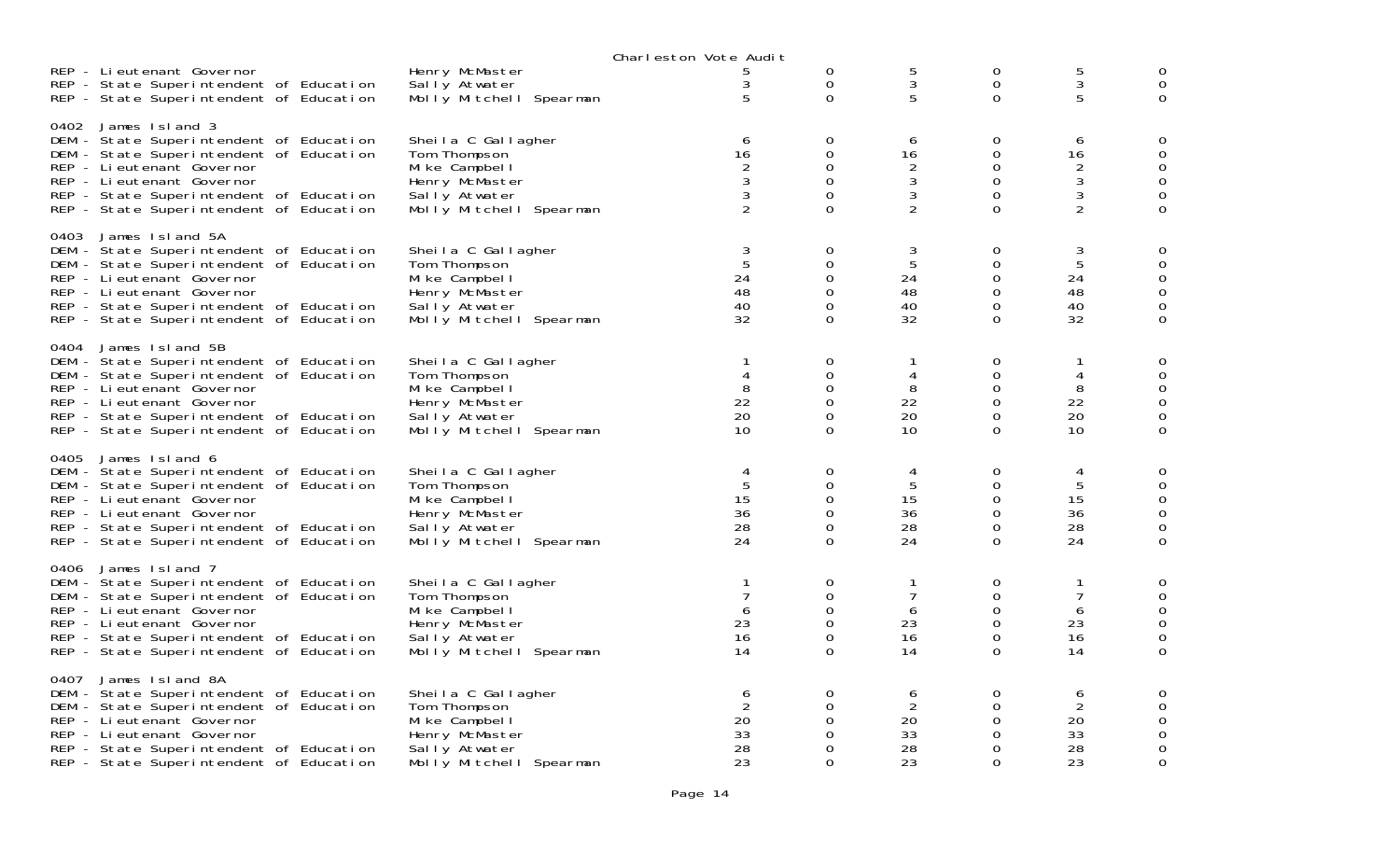|      |                                                                                                                                                                                                                                                        |                                                                                                                     | Charleston Vote Audit                                   |                                                                  |                                          |                                   |                                                                             |                                 |
|------|--------------------------------------------------------------------------------------------------------------------------------------------------------------------------------------------------------------------------------------------------------|---------------------------------------------------------------------------------------------------------------------|---------------------------------------------------------|------------------------------------------------------------------|------------------------------------------|-----------------------------------|-----------------------------------------------------------------------------|---------------------------------|
|      | REP - Lieutenant Governor<br>REP - State Superintendent of Education<br>REP - State Superintendent of Education                                                                                                                                        | Henry McMaster<br>Sally Atwater<br>Molly Mitchell Spearman                                                          | 3<br>5                                                  | $\mathbf 0$<br>$\mathbf 0$<br>0                                  | 5<br>3<br>5                              | 0<br>$\mathbf 0$<br>0             | $\frac{5}{3}$<br>5                                                          | 0<br>0                          |
| 0402 | James Island 3<br>DEM - State Superintendent of Education<br>DEM - State Superintendent of Education<br>REP - Li eutenant Governor<br>REP - Lieutenant Governor<br>REP - State Superintendent of Education<br>REP - State Superintendent of Education  | Sheila C Gallagher<br>Tom Thompson<br>Mike Campbell<br>Henry McMaster<br>Sally Atwater<br>Molly Mitchell Spearman   | 6<br>16<br>$\begin{array}{c}\n2 \\ 3 \\ 2\n\end{array}$ | 0<br>$\mathbf 0$<br>$\mathbf 0$<br>0<br>$\Omega$<br>$\Omega$     | 6<br>16<br>2<br>3<br>3<br>$\overline{2}$ | 0<br>0<br>0<br>0<br>0<br>$\Omega$ | 6<br>16<br>$\overline{c}$<br>$\mathfrak{Z}$<br>$\sqrt{3}$<br>$\overline{2}$ | 0<br>0<br>0<br>0<br>0           |
| 0403 | James Island 5A<br>DEM - State Superintendent of Education<br>DEM - State Superintendent of Education<br>REP - Li eutenant Governor<br>REP - Lieutenant Governor<br>REP - State Superintendent of Education<br>REP - State Superintendent of Education | Sheila C Gallagher<br>Tom Thompson<br>Mike Campbell<br>Henry McMaster<br>Sally Atwater<br>Molly Mitchell Spearman   | 3<br>$\overline{5}$<br>24<br>48<br>40<br>32             | 0<br>0<br>0<br>$\Omega$<br>0<br>$\Omega$                         | 3<br>5<br>24<br>48<br>40<br>32           | 0<br>0<br>0<br>0<br>0<br>0        | 3<br>$\sqrt{5}$<br>24<br>48<br>40<br>32                                     | 0<br>0<br>0<br>0<br>0           |
| 0404 | James Island 5B<br>DEM - State Superintendent of Education<br>DEM - State Superintendent of Education<br>REP - Lieutenant Governor<br>REP - Lieutenant Governor<br>REP - State Superintendent of Education<br>REP - State Superintendent of Education  | Sheila C Gallagher<br>Tom Thompson<br>Mike Campbell<br>Henry McMaster<br>Sally Atwater<br>Molly Mitchell Spearman   | $\mathbf{1}$<br>4<br>8<br>22<br>20<br>10                | 0<br>$\Omega$<br>$\Omega$<br>$\mathbf 0$<br>$\Omega$<br>0        | 4<br>8<br>22<br>20<br>10                 | 0<br>0<br>0<br>0<br>0<br>0        | 1<br>4<br>8<br>22<br>20<br>10                                               | 0<br>0<br>0                     |
| 0405 | James Island 6<br>DEM - State Superintendent of Education<br>DEM - State Superintendent of Education<br>REP - Li eutenant Governor<br>REP - Li eutenant Governor<br>REP - State Superintendent of Education<br>REP - State Superintendent of Education | Sheila C Gallagher<br>Tom Thompson<br>Mike Campbell<br>Henry McMaster<br>Sally Atwater<br>Molly Mitchell Spearman   | 4<br>5<br>15<br>36<br>28<br>24                          | 0<br>$\Omega$<br>$\mathbf 0$<br>$\Omega$<br>$\Omega$<br>$\Omega$ | 4<br>5<br>15<br>36<br>28<br>24           | 0<br>0<br>0<br>0<br>0<br>$\Omega$ | 4<br>5<br>15<br>36<br>28<br>24                                              | 0<br>0<br>0<br>0<br>$\mathbf 0$ |
| 0406 | James Island 7<br>DEM - State Superintendent of Education<br>DEM - State Superintendent of Education<br>REP - Li eutenant Governor<br>REP - Lieutenant Governor<br>REP - State Superintendent of Education<br>REP - State Superintendent of Education  | Sheila C Gallagher<br>Tom Thompson<br>Mi ke Campbel I<br>Henry McMaster<br>Sally Atwater<br>Molly Mitchell Spearman | $\mathbf 1$<br>$\overline{7}$<br>6<br>23<br>16<br>14    | 0<br>$\mathbf 0$<br>0<br>$\Omega$<br>$\mathbf 0$<br>0            | $\overline{7}$<br>6<br>23<br>16<br>14    | 0<br>0<br>0<br>0<br>0<br>0        | $\mathbf{1}$<br>$\overline{7}$<br>6<br>23<br>16<br>14                       | 0<br>0<br>0<br>0<br>$\mathbf 0$ |
| 0407 | James Island 8A<br>DEM - State Superintendent of Education<br>DEM - State Superintendent of Education<br>REP - Lieutenant Governor<br>REP - Li eutenant Governor<br>REP - State Superintendent of Education<br>REP - State Superintendent of Education | Sheila C Gallagher<br>Tom Thompson<br>Mike Campbell<br>Henry McMaster<br>Sally Atwater<br>Molly Mitchell Spearman   | 6<br>$\overline{2}$<br>20<br>33<br>28<br>23             | 0<br>$\Omega$<br>$\Omega$<br>$\Omega$<br>0<br>$\Omega$           | 6<br>2<br>20<br>33<br>28<br>23           | 0<br>0<br>0<br>0<br>0<br>$\Omega$ | 6<br>$\overline{2}$<br>20<br>33<br>28<br>23                                 | 0<br>0<br>0<br>0                |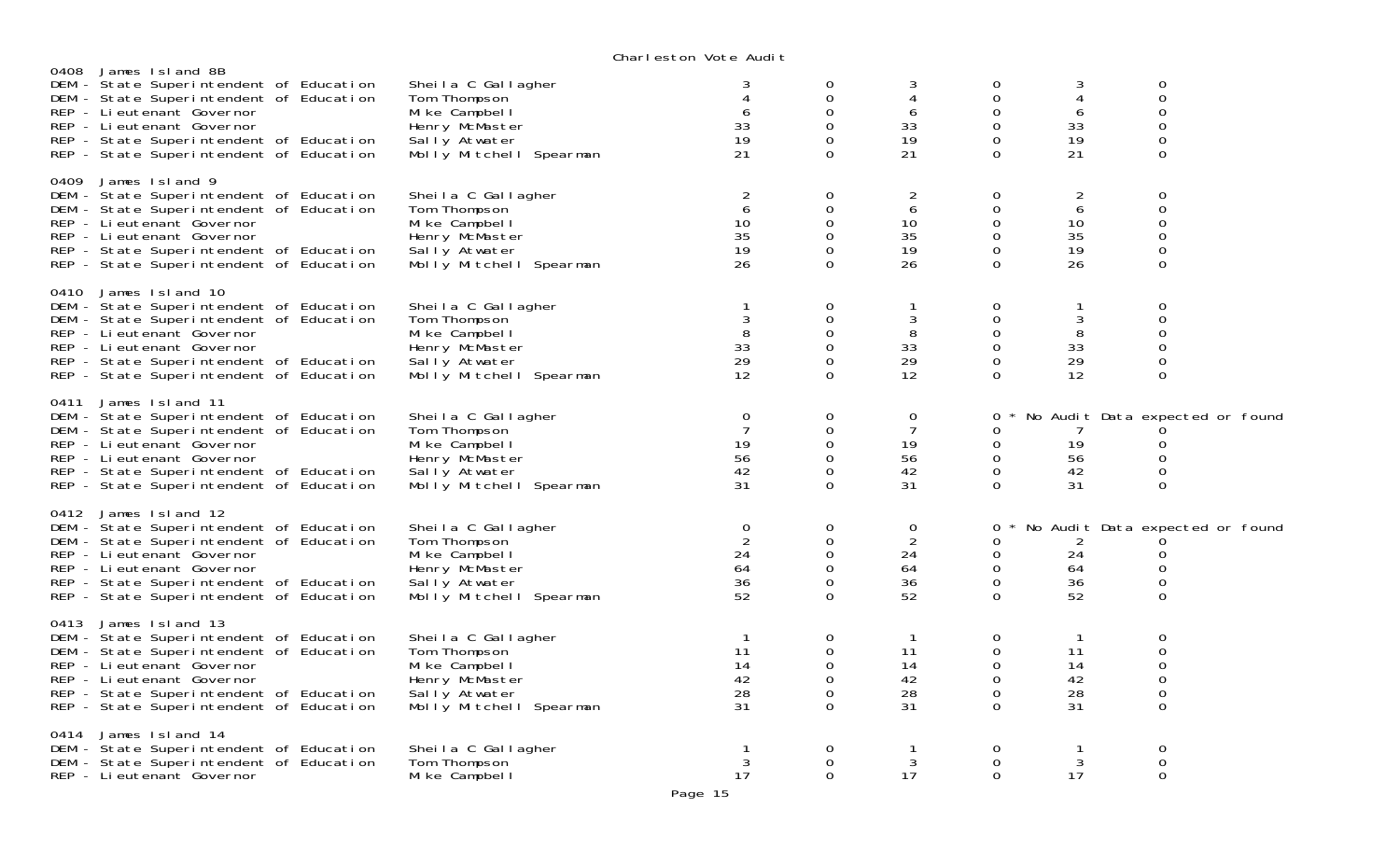|                                                                                                                                                                                                                                                                |                                                                                                                     | onar reston vote naart                                |                                                                            |                                                       |                                                       |                                              |                                                                   |  |
|----------------------------------------------------------------------------------------------------------------------------------------------------------------------------------------------------------------------------------------------------------------|---------------------------------------------------------------------------------------------------------------------|-------------------------------------------------------|----------------------------------------------------------------------------|-------------------------------------------------------|-------------------------------------------------------|----------------------------------------------|-------------------------------------------------------------------|--|
| James Island 8B<br>0408<br>DEM - State Superintendent of Education<br>DEM - State Superintendent of Education<br>REP - Li eutenant Governor<br>REP - Lieutenant Governor<br>REP - State Superintendent of Education<br>REP - State Superintendent of Education | Sheila C Gallagher<br>Tom Thompson<br>Mike Campbell<br>Henry McMaster<br>Sally Atwater<br>Molly Mitchell Spearman   | 6<br>33<br>19<br>21                                   | 0<br>$\mathbf 0$<br>$\Omega$<br>$\mathbf{O}$<br>0<br>$\Omega$              | 3<br>$\overline{4}$<br>6<br>33<br>19<br>21            | 0<br>0<br>$\Omega$<br>0<br>$\mathbf 0$<br>$\Omega$    | 3<br>4<br>6<br>33<br>19<br>21                | 0<br>0<br>$\Omega$<br>0<br>0<br>$\Omega$                          |  |
| 0409 James Island 9<br>DEM - State Superintendent of Education<br>DEM - State Superintendent of Education<br>REP - Li eutenant Governor<br>REP - Lieutenant Governor<br>REP - State Superintendent of Education<br>REP - State Superintendent of Education     | Sheila C Gallagher<br>Tom Thompson<br>Mike Campbell<br>Henry McMaster<br>Sally Atwater<br>Molly Mitchell Spearman   | $\overline{2}$<br>6<br>10<br>35<br>19<br>26           | $\mathbf 0$<br>0<br>$\Omega$<br>0<br>$\Omega$<br>$\Omega$                  | $\overline{a}$<br>6<br>10<br>35<br>19<br>26           | $\mathbf 0$<br>0<br>0<br>0<br>0<br>0                  | $\overline{c}$<br>6<br>10<br>35<br>19<br>26  | 0<br>$\Omega$<br>O<br>0<br>0<br>$\Omega$                          |  |
| 0410 James Island 10<br>DEM - State Superintendent of Education<br>DEM - State Superintendent of Education<br>REP - Li eutenant Governor<br>REP - Li eutenant Governor<br>REP - State Superintendent of Education<br>REP - State Superintendent of Education   | Sheila C Gallagher<br>Tom Thompson<br>Mi ke Campbel I<br>Henry McMaster<br>Sally Atwater<br>Molly Mitchell Spearman | $\mathbf{1}$<br>3<br>8<br>33<br>29<br>12              | $\mathbf 0$<br>0<br>$\mathbf 0$<br>$\mathbf{O}$<br>$\mathbf 0$<br>$\Omega$ | 3<br>8<br>33<br>29<br>12                              | 0<br>0<br>$\mathbf 0$<br>0<br>$\mathbf 0$<br>$\Omega$ | 1<br>3<br>8<br>33<br>29<br>12                | 0<br>0<br>$\Omega$<br>0<br>0<br>0                                 |  |
| 0411 James Island 11<br>DEM - State Superintendent of Education<br>DEM - State Superintendent of Education<br>REP - Lieutenant Governor<br>REP - Lieutenant Governor<br>REP - State Superintendent of Education<br>REP - State Superintendent of Education     | Sheila C Gallagher<br>Tom Thompson<br>Mi ke Campbel I<br>Henry McMaster<br>Sally Atwater<br>Molly Mitchell Spearman | $\mathbf 0$<br>$\overline{7}$<br>19<br>56<br>42<br>31 | 0<br>$\mathbf 0$<br>0<br>$\mathbf 0$<br>$\Omega$<br>$\Omega$               | $\mathbf 0$<br>7<br>19<br>56<br>42<br>31              | 0<br>0<br>0<br>0<br>0<br>0                            | 7<br>19<br>56<br>42<br>31                    | No Audit Data expected or found<br>0<br>0<br>0<br>0               |  |
| 0412 James Island 12<br>DEM - State Superintendent of Education<br>DEM - State Superintendent of Education<br>REP - Lieutenant Governor<br>REP - Lieutenant Governor<br>REP - State Superintendent of Education<br>REP - State Superintendent of Education     | Sheila C Gallagher<br>Tom Thompson<br>Mi ke Campbel I<br>Henry McMaster<br>Sally Atwater<br>Molly Mitchell Spearman | $\mathbf 0$<br>24<br>64<br>36<br>52                   | $\mathbf 0$<br>0<br>$\mathsf{O}\xspace$<br>$\Omega$<br>0<br>$\Omega$       | $\mathbf 0$<br>$\overline{2}$<br>24<br>64<br>36<br>52 | 0<br>0<br>0<br>0<br>0<br>$\mathbf 0$                  | 2<br>24<br>64<br>36<br>52                    | No Audit Data expected or found<br>0<br>$\Omega$<br>0<br>$\Omega$ |  |
| 0413 James Island 13<br>DEM - State Superintendent of Education<br>DEM - State Superintendent of Education<br>REP - Li eutenant Governor<br>REP - Lieutenant Governor<br>REP - State Superintendent of Education<br>REP - State Superintendent of Education    | Sheila C Gallagher<br>Tom Thompson<br>Mi ke Campbel I<br>Henry McMaster<br>Sally Atwater<br>Molly Mitchell Spearman | $\overline{1}$<br>11<br>14<br>42<br>28<br>31          | 0<br>$\mathbf 0$<br>0<br>$\Omega$<br>$\mathbf{O}$<br>$\Omega$              | -1<br>11<br>14<br>42<br>28<br>31                      | 0<br>$\mathbf 0$<br>0<br>0<br>$\mathbf 0$<br>$\Omega$ | $\overline{1}$<br>11<br>14<br>42<br>28<br>31 | 0<br>0<br>0<br>O<br>$\overline{0}$<br>$\Omega$                    |  |
| 0414 James Island 14<br>DEM - State Superintendent of Education<br>DEM - State Superintendent of Education<br>REP - Lieutenant Governor                                                                                                                        | Sheila C Gallagher<br>Tom Thompson<br>Mike Campbell                                                                 | 3<br>17                                               | 0<br>$\Omega$<br>$\Omega$                                                  | 3<br>17                                               | 0<br>0<br>$\Omega$                                    | $\mathbf{1}$<br>3<br>17                      | 0<br>0<br>$\overline{0}$                                          |  |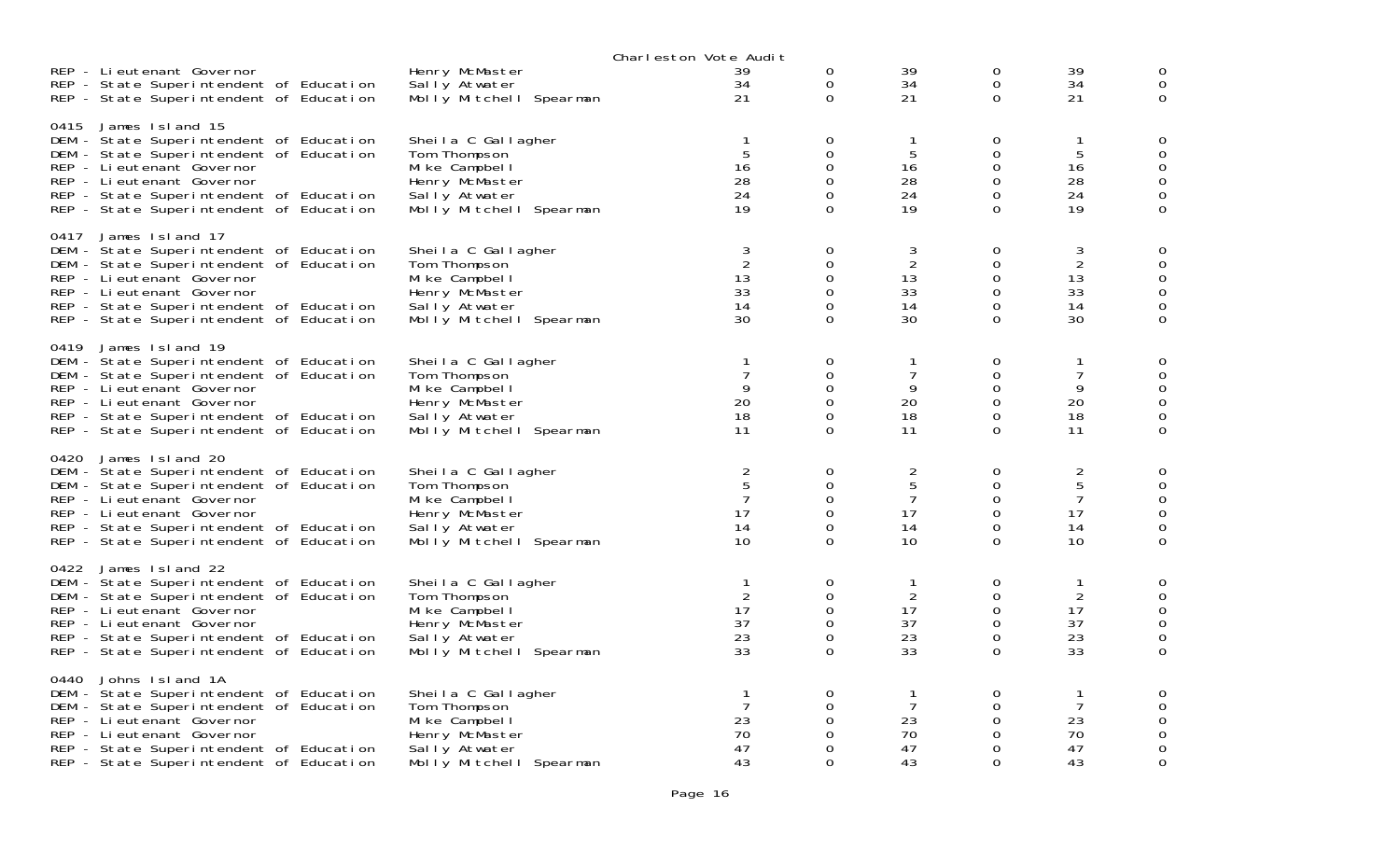|      |                                                                                                                                                                                                                                                        |                                                                                                                     | Charleston Vote Audit                                 |                                                                            |                                                       |                                   |                                                                  |                                        |
|------|--------------------------------------------------------------------------------------------------------------------------------------------------------------------------------------------------------------------------------------------------------|---------------------------------------------------------------------------------------------------------------------|-------------------------------------------------------|----------------------------------------------------------------------------|-------------------------------------------------------|-----------------------------------|------------------------------------------------------------------|----------------------------------------|
|      | REP - Lieutenant Governor<br>REP - State Superintendent of Education<br>REP - State Superintendent of Education                                                                                                                                        | Henry McMaster<br>Sally Atwater<br>Molly Mitchell Spearman                                                          | 39<br>34<br>21                                        | $\mathbf 0$<br>0<br>$\mathbf{O}$                                           | 39<br>34<br>21                                        | 0<br>$\mathbf 0$<br>0             | 39<br>34<br>21                                                   | 0<br>0                                 |
| 0415 | James Island 15<br>DEM - State Superintendent of Education<br>DEM - State Superintendent of Education<br>REP - Li eutenant Governor<br>REP - Lieutenant Governor<br>REP - State Superintendent of Education<br>REP - State Superintendent of Education | Sheila C Gallagher<br>Tom Thompson<br>Mike Campbell<br>Henry McMaster<br>Sally Atwater<br>Molly Mitchell Spearman   | 1<br>5<br>16<br>28<br>24<br>19                        | 0<br>0<br>$\mathbf 0$<br>$\Omega$<br>$\Omega$<br>$\Omega$                  | 5<br>16<br>28<br>24<br>19                             | 0<br>0<br>0<br>0<br>0<br>$\Omega$ | 1<br>5<br>16<br>28<br>24<br>19                                   | 0<br>0<br>0<br>0                       |
| 0417 | James Island 17<br>DEM - State Superintendent of Education<br>DEM - State Superintendent of Education<br>REP - Lieutenant Governor<br>REP - Li eutenant Governor<br>REP - State Superintendent of Education<br>REP - State Superintendent of Education | Sheila C Gallagher<br>Tom Thompson<br>Mike Campbell<br>Henry McMaster<br>Sally Atwater<br>Molly Mitchell Spearman   | 3<br>$\overline{2}$<br>13<br>33<br>14<br>30           | 0<br>0<br>0<br>$\Omega$<br>0<br>$\Omega$                                   | 3<br>$\overline{2}$<br>13<br>33<br>14<br>30           | 0<br>0<br>0<br>0<br>0<br>0        | 3<br>$\sqrt{2}$<br>13<br>33<br>14<br>30                          | 0<br>0<br>0<br>0<br>0                  |
| 0419 | James Island 19<br>DEM - State Superintendent of Education<br>DEM - State Superintendent of Education<br>REP - Lieutenant Governor<br>REP - Lieutenant Governor<br>REP - State Superintendent of Education<br>REP - State Superintendent of Education  | Sheila C Gallagher<br>Tom Thompson<br>Mi ke Campbel I<br>Henry McMaster<br>Sally Atwater<br>Molly Mitchell Spearman | $\mathbf{1}$<br>$\overline{7}$<br>9<br>20<br>18<br>11 | 0<br>$\Omega$<br>$\Omega$<br>$\mathbf 0$<br>$\Omega$<br>0                  | $\mathbf{1}$<br>$\overline{7}$<br>9<br>20<br>18<br>11 | 0<br>0<br>0<br>0<br>0<br>0        | 1<br>$\overline{7}$<br>9<br>20<br>18<br>11                       | 0<br>0<br>0                            |
| 0420 | James Island 20<br>DEM - State Superintendent of Education<br>DEM - State Superintendent of Education<br>REP - Lieutenant Governor<br>REP - Li eutenant Governor<br>REP - State Superintendent of Education<br>REP - State Superintendent of Education | Sheila C Gallagher<br>Tom Thompson<br>Mike Campbell<br>Henry McMaster<br>Sally Atwater<br>Molly Mitchell Spearman   | 2<br>$\mathbf 5$<br>$\overline{7}$<br>17<br>14<br>10  | $\mathbf 0$<br>$\Omega$<br>$\mathbf 0$<br>$\Omega$<br>$\Omega$<br>$\Omega$ | $\overline{2}$<br>5<br>7<br>17<br>14<br>10            | 0<br>0<br>0<br>0<br>0<br>$\Omega$ | $\overline{c}$<br>$\sqrt{5}$<br>$\overline{7}$<br>17<br>14<br>10 | 0<br>0<br>0<br>0<br>0                  |
| 0422 | James Island 22<br>DEM - State Superintendent of Education<br>DEM - State Superintendent of Education<br>REP - Li eutenant Governor<br>REP - Lieutenant Governor<br>REP - State Superintendent of Education<br>REP - State Superintendent of Education | Sheila C Gallagher<br>Tom Thompson<br>Mi ke Campbel I<br>Henry McMaster<br>Sally Atwater<br>Molly Mitchell Spearman | $\mathbf 1$<br>2<br>17<br>37<br>23<br>33              | 0<br>$\mathbf 0$<br>$\mathbf 0$<br>$\Omega$<br>$\mathbf 0$<br>$\Omega$     | -1<br>2<br>17<br>37<br>23<br>33                       | 0<br>0<br>0<br>0<br>0<br>0        | $\mathbf{1}$<br>$\overline{2}$<br>17<br>37<br>23<br>33           | 0<br>0<br>0<br>$\Omega$<br>$\mathbf 0$ |
| 0440 | Johns Island 1A<br>DEM - State Superintendent of Education<br>DEM - State Superintendent of Education<br>REP - Lieutenant Governor<br>REP - Li eutenant Governor<br>REP - State Superintendent of Education<br>REP - State Superintendent of Education | Sheila C Gallagher<br>Tom Thompson<br>Mike Campbell<br>Henry McMaster<br>Sally Atwater<br>Molly Mitchell Spearman   | $\mathbf{1}$<br>7<br>23<br>70<br>47<br>43             | 0<br>$\Omega$<br>$\Omega$<br>$\Omega$<br>0<br>$\Omega$                     | 7<br>23<br>70<br>47<br>43                             | 0<br>0<br>0<br>0<br>0<br>$\Omega$ | 1<br>7<br>23<br>70<br>47<br>43                                   | 0<br>0<br>0<br>0                       |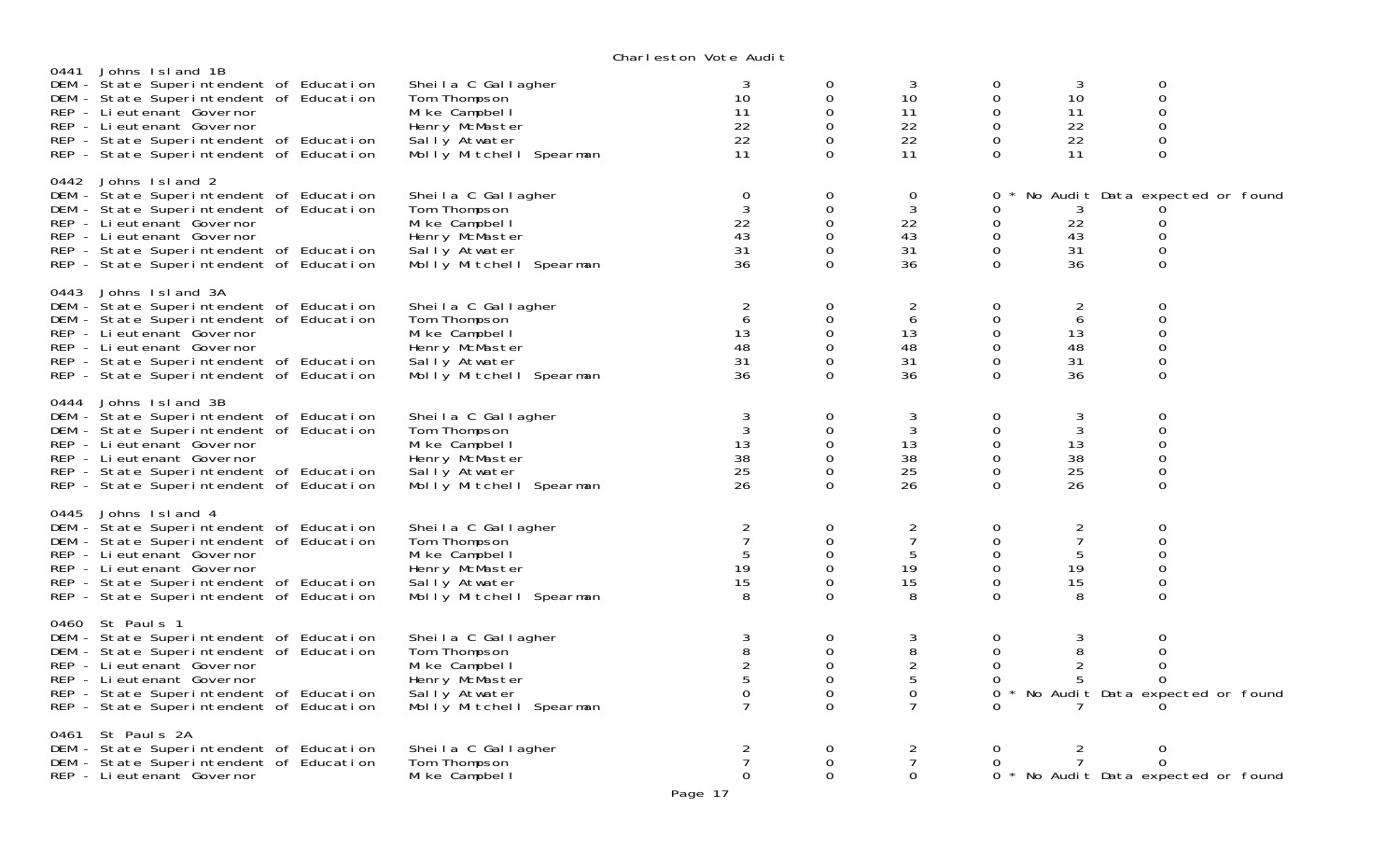|      |                                                                                                                                                                                                                                                              |                                                                                                                     | Charteston vote Addit                                    |                                                                               |                                                        |                                                       |                                                        |                                                                                |  |
|------|--------------------------------------------------------------------------------------------------------------------------------------------------------------------------------------------------------------------------------------------------------------|---------------------------------------------------------------------------------------------------------------------|----------------------------------------------------------|-------------------------------------------------------------------------------|--------------------------------------------------------|-------------------------------------------------------|--------------------------------------------------------|--------------------------------------------------------------------------------|--|
|      | 0441 Johns Island 1B<br>DEM - State Superintendent of Education<br>DEM - State Superintendent of Education<br>REP - Li eutenant Governor<br>REP - Li eutenant Governor<br>REP - State Superintendent of Education<br>REP - State Superintendent of Education | Sheila C Gallagher<br>Tom Thompson<br>Mi ke Campbel I<br>Henry McMaster<br>Sally Atwater<br>Molly Mitchell Spearman | 3<br>10<br>11<br>22<br>22<br>11                          | 0<br>0<br>0<br>$\Omega$<br>$\Omega$<br>$\Omega$                               | 3<br>10<br>11<br>22<br>22<br>11                        | 0<br>0<br>0<br>$\overline{0}$<br>$\Omega$<br>$\Omega$ | 3<br>10<br>11<br>22<br>22<br>11                        | $\mathbf 0$<br>$\boldsymbol{0}$<br>0<br>$\mathbf 0$<br>0<br>0                  |  |
|      | 0442 Johns Island 2<br>DEM - State Superintendent of Education<br>DEM - State Superintendent of Education<br>REP - Li eutenant Governor<br>REP - Lieutenant Governor<br>REP - State Superintendent of Education<br>REP - State Superintendent of Education   | Sheila C Gallagher<br>Tom Thompson<br>Mi ke Campbel I<br>Henry McMaster<br>Sally Atwater<br>Molly Mitchell Spearman | $\mathbf 0$<br>$\mathbf{3}$<br>22<br>43<br>31<br>36      | 0<br>$\mathbf 0$<br>0<br>$\Omega$<br>$\mathbf 0$<br>$\Omega$                  | 0<br>3<br>22<br>43<br>31<br>36                         | 0<br>0<br>$\mathbf 0$<br>$\Omega$<br>0<br>$\Omega$    | 3<br>22<br>43<br>31<br>36                              | No Audit Data expected or found<br>0<br>$\Omega$<br>$\mathbf 0$<br>$\Omega$    |  |
|      | 0443 Johns Island 3A<br>DEM - State Superintendent of Education<br>DEM - State Superintendent of Education<br>REP - Li eutenant Governor<br>REP - Lieutenant Governor<br>REP - State Superintendent of Education<br>REP - State Superintendent of Education  | Sheila C Gallagher<br>Tom Thompson<br>Mike Campbell<br>Henry McMaster<br>Sally Atwater<br>Molly Mitchell Spearman   | 2<br>6<br>13<br>48<br>31<br>36                           | 0<br>0<br>0<br>$\Omega$<br>$\Omega$<br>$\Omega$                               | 2<br>6<br>13<br>48<br>31<br>36                         | 0<br>0<br>0<br>0<br>$\Omega$<br>$\Omega$              | 2<br>6<br>13<br>48<br>31<br>36                         | 0<br>0<br>$\mathbf 0$<br>$\mathbf 0$<br>0<br>$\mathbf 0$                       |  |
|      | 0444 Johns Island 3B<br>DEM - State Superintendent of Education<br>DEM - State Superintendent of Education<br>REP - Lieutenant Governor<br>REP - Lieutenant Governor<br>REP - State Superintendent of Education<br>REP - State Superintendent of Education   | Sheila C Gallagher<br>Tom Thompson<br>Mike Campbell<br>Henry McMaster<br>Sally Atwater<br>Molly Mitchell Spearman   | $\mathbf{3}$<br>$\mathbf{3}$<br>13<br>38<br>25<br>26     | $\Omega$<br>$\mathbf 0$<br>$\mathbf 0$<br>$\mathbf 0$<br>$\Omega$<br>$\Omega$ | 3<br>3<br>13<br>38<br>25<br>26                         | $\Omega$<br>0<br>0<br>0<br>$\Omega$<br>$\Omega$       | 3<br>3<br>13<br>38<br>25<br>26                         | $\mathbf 0$<br>$\mathbf 0$<br>$\mathbf 0$<br>$\mathbf 0$<br>$\mathbf 0$<br>0   |  |
|      | 0445 Johns Island 4<br>DEM - State Superintendent of Education<br>DEM - State Superintendent of Education<br>REP - Lieutenant Governor<br>REP - Li eutenant Governor<br>REP - State Superintendent of Education<br>REP - State Superintendent of Education   | Sheila C Gallagher<br>Tom Thompson<br>Mi ke Campbel I<br>Henry McMaster<br>Sally Atwater<br>Molly Mitchell Spearman | $\overline{2}$<br>$\overline{7}$<br>5<br>19<br>15<br>8   | 0<br>$\mathbf 0$<br>0<br>$\mathbf 0$<br>$\Omega$<br>$\Omega$                  | $\overline{2}$<br>$\overline{7}$<br>5<br>19<br>15<br>8 | $\overline{0}$<br>0<br>0<br>0<br>0<br>$\Omega$        | $\overline{c}$<br>$\overline{7}$<br>5<br>19<br>15<br>8 | $\mathbf 0$<br>$\mathbf 0$<br>$\boldsymbol{0}$<br>$\mathbf 0$<br>0<br>$\Omega$ |  |
|      | 0460 St Paul s 1<br>DEM - State Superintendent of Education<br>DEM - State Superintendent of Education<br>REP - Li eutenant Governor<br>REP - Lieutenant Governor<br>REP - State Superintendent of Education<br>REP - State Superintendent of Education      | Sheila C Gallagher<br>Tom Thompson<br>Mi ke Campbel I<br>Henry McMaster<br>Sally Atwater<br>Molly Mitchell Spearman | 3<br>$\, 8$<br>$rac{2}{5}$<br>$\Omega$<br>$\overline{7}$ | 0<br>$\mathbf 0$<br>$\mathbf 0$<br>0<br>0<br>$\Omega$                         | 3<br>8<br>$\sqrt{2}$<br>5<br>0                         | 0<br>$\mathbf 0$<br>0<br>0<br>$\Omega$                | 3<br>8<br>2<br>5                                       | 0<br>0<br>0<br>$\Omega$<br>No Audit Data expected or found                     |  |
| 0461 | St Pauls 2A<br>DEM - State Superintendent of Education<br>DEM - State Superintendent of Education<br>REP - Li eutenant Governor                                                                                                                              | Sheila C Gallagher<br>Tom Thompson<br>Mike Campbell                                                                 | 2<br>$\Omega$                                            | 0<br>$\Omega$<br>$\Omega$                                                     | $\overline{2}$<br>$\overline{7}$<br>$\mathbf 0$        | 0<br>0                                                | $\overline{2}$<br>$\overline{7}$                       | 0<br>$\Omega$<br>0 * No Audit Data expected or found                           |  |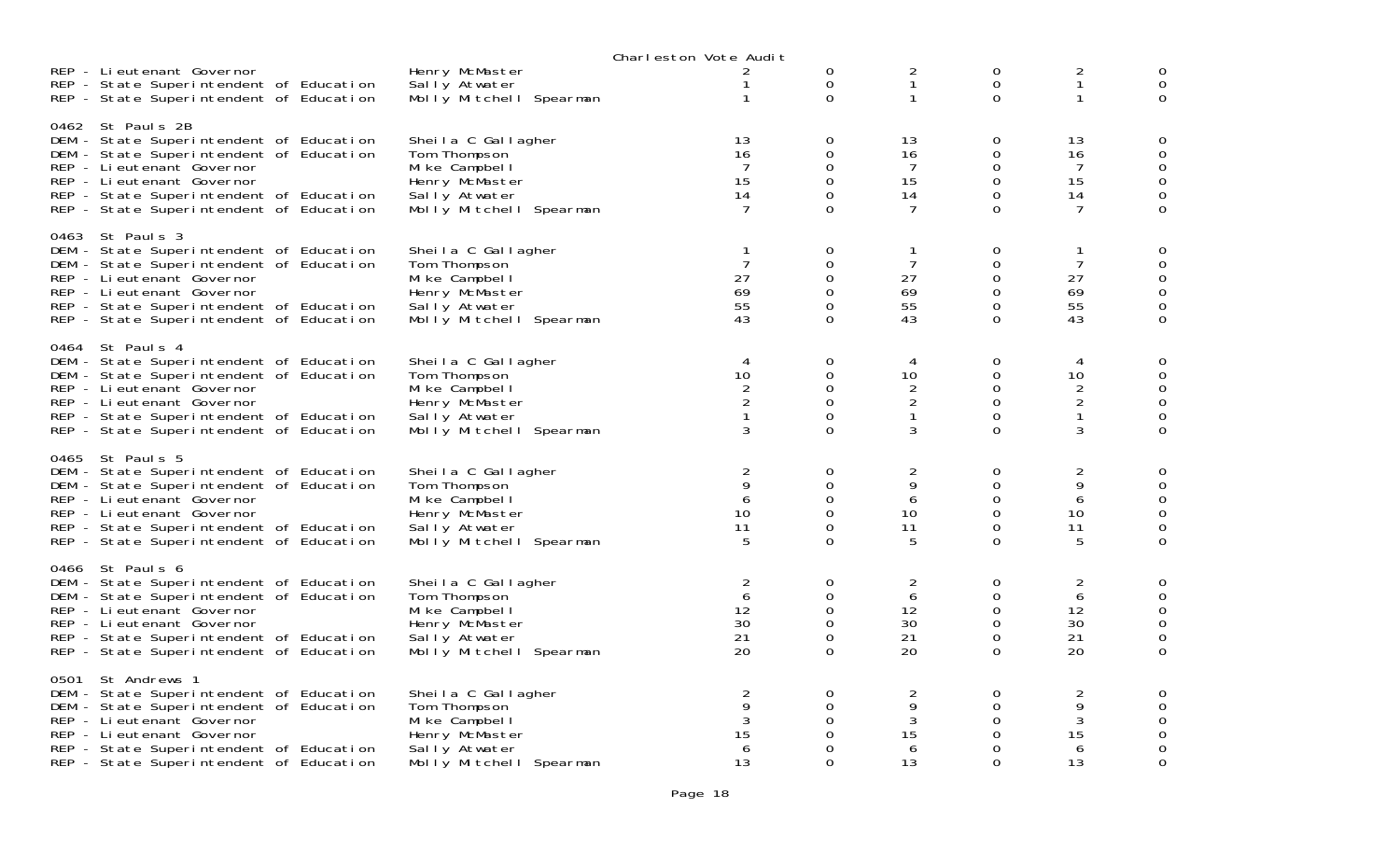|                                                                                                                                                                                                                                                          |                                                                                                                     | Charleston Vote Audit                               |                                                                            |                                           |                                                    |                                                       |                                        |
|----------------------------------------------------------------------------------------------------------------------------------------------------------------------------------------------------------------------------------------------------------|---------------------------------------------------------------------------------------------------------------------|-----------------------------------------------------|----------------------------------------------------------------------------|-------------------------------------------|----------------------------------------------------|-------------------------------------------------------|----------------------------------------|
| REP - Lieutenant Governor<br>REP - State Superintendent of Education<br>REP - State Superintendent of Education                                                                                                                                          | Henry McMaster<br>Sally Atwater<br>Molly Mitchell Spearman                                                          | 2<br>$\mathbf{1}$<br>$\mathbf{1}$                   | $\mathbf 0$<br>$\mathbf 0$<br>0                                            | 2<br>$\mathbf{1}$                         | 0<br>$\mathbf 0$<br>0                              | $\frac{2}{1}$<br>1                                    | 0<br>0                                 |
| 0462 St Pauls 2B<br>DEM - State Superintendent of Education<br>DEM - State Superintendent of Education<br>REP - Lieutenant Governor<br>REP - Lieutenant Governor<br>REP - State Superintendent of Education<br>REP - State Superintendent of Education   | Sheila C Gallagher<br>Tom Thompson<br>Mike Campbell<br>Henry McMaster<br>Sally Atwater<br>Molly Mitchell Spearman   | 13<br>16<br>7<br>15<br>14<br>7                      | 0<br>$\mathbf 0$<br>$\mathbf 0$<br>0<br>$\Omega$<br>$\Omega$               | 13<br>16<br>7<br>15<br>14<br>7            | 0<br>0<br>0<br>0<br>0<br>$\Omega$                  | 13<br>16<br>7<br>15<br>14<br>7                        | 0<br>$\mathbf 0$<br>0<br>0<br>0        |
| 0463 St Pauls 3<br>DEM - State Superintendent of Education<br>DEM - State Superintendent of Education<br>REP - Li eutenant Governor<br>REP - Li eutenant Governor<br>REP - State Superintendent of Education<br>REP - State Superintendent of Education  | Sheila C Gallagher<br>Tom Thompson<br>Mike Campbell<br>Henry McMaster<br>Sally Atwater<br>Molly Mitchell Spearman   | 1<br>$\overline{7}$<br>27<br>69<br>55<br>43         | 0<br>0<br>$\Omega$<br>$\Omega$<br>0<br>$\Omega$                            | $\overline{7}$<br>27<br>69<br>55<br>43    | 0<br>0<br>0<br>0<br>0<br>0                         | $\overline{7}$<br>27<br>69<br>55<br>43                | 0<br>0<br>0<br>0<br>0                  |
| 0464 St Pauls 4<br>DEM - State Superintendent of Education<br>DEM - State Superintendent of Education<br>REP - Lieutenant Governor<br>REP - Lieutenant Governor<br>REP - State Superintendent of Education<br>REP - State Superintendent of Education    | Sheila C Gallagher<br>Tom Thompson<br>Mi ke Campbel I<br>Henry McMaster<br>Sally Atwater<br>Molly Mitchell Spearman | 4<br>10<br>2<br>$\overline{2}$<br>$\mathbf{1}$<br>3 | 0<br>$\Omega$<br>$\Omega$<br>$\mathbf 0$<br>$\Omega$<br>$\Omega$           | 4<br>10<br>2<br>2<br>$\mathbf{1}$<br>3    | 0<br>0<br>0<br>0<br>0<br>$\mathbf{O}$              | 4<br>10<br>$\overline{c}$<br>$\overline{2}$<br>1<br>3 | 0<br>0<br>0<br>0<br>$\mathbf 0$        |
| 0465 St Paul s 5<br>DEM - State Superintendent of Education<br>DEM - State Superintendent of Education<br>REP - Li eutenant Governor<br>REP - Lieutenant Governor<br>REP - State Superintendent of Education<br>REP - State Superintendent of Education  | Sheila C Gallagher<br>Tom Thompson<br>Mike Campbell<br>Henry McMaster<br>Sally Atwater<br>Molly Mitchell Spearman   | $\overline{a}$<br>9<br>6<br>10<br>11<br>5           | $\mathbf 0$<br>$\Omega$<br>$\mathbf 0$<br>$\Omega$<br>$\Omega$<br>$\Omega$ | $\overline{2}$<br>9<br>6<br>10<br>11<br>5 | 0<br>0<br>0<br>0<br>0<br>$\Omega$                  | $\overline{2}$<br>9<br>6<br>10<br>11<br>5             | 0<br>0<br>0<br>0<br>0<br>$\mathbf 0$   |
| 0466 St Pauls 6<br>DEM - State Superintendent of Education<br>DEM - State Superintendent of Education<br>REP - Li eutenant Governor<br>REP - Lieutenant Governor<br>REP - State Superintendent of Education<br>REP - State Superintendent of Education   | Sheila C Gallagher<br>Tom Thompson<br>Mi ke Campbel I<br>Henry McMaster<br>Sally Atwater<br>Molly Mitchell Spearman | 2<br>6<br>12<br>30<br>21<br>20                      | 0<br>$\mathbf 0$<br>$\mathbf 0$<br>$\Omega$<br>$\mathbf 0$<br>0            | 2<br>6<br>12<br>30<br>21<br>20            | 0<br>0<br>0<br>$\Omega$<br>0<br>0                  | $\overline{c}$<br>6<br>12<br>30<br>21<br>20           | 0<br>0<br>0<br>$\Omega$<br>$\mathbf 0$ |
| 0501 St Andrews 1<br>DEM - State Superintendent of Education<br>DEM - State Superintendent of Education<br>REP - Lieutenant Governor<br>REP - Li eutenant Governor<br>REP - State Superintendent of Education<br>REP - State Superintendent of Education | Sheila C Gallagher<br>Tom Thompson<br>Mike Campbell<br>Henry McMaster<br>Sally Atwater<br>Molly Mitchell Spearman   | $\frac{2}{9}$<br>3<br>15<br>6<br>13                 | 0<br>$\Omega$<br>$\Omega$<br>$\Omega$<br>0<br>$\Omega$                     | $\overline{2}$<br>9<br>3<br>15<br>6<br>13 | $\mathbf 0$<br>0<br>$\Omega$<br>0<br>0<br>$\Omega$ | $\frac{2}{9}$<br>$\sqrt{3}$<br>15<br>6<br>13          | 0<br>0<br>0<br>0<br>0<br>0             |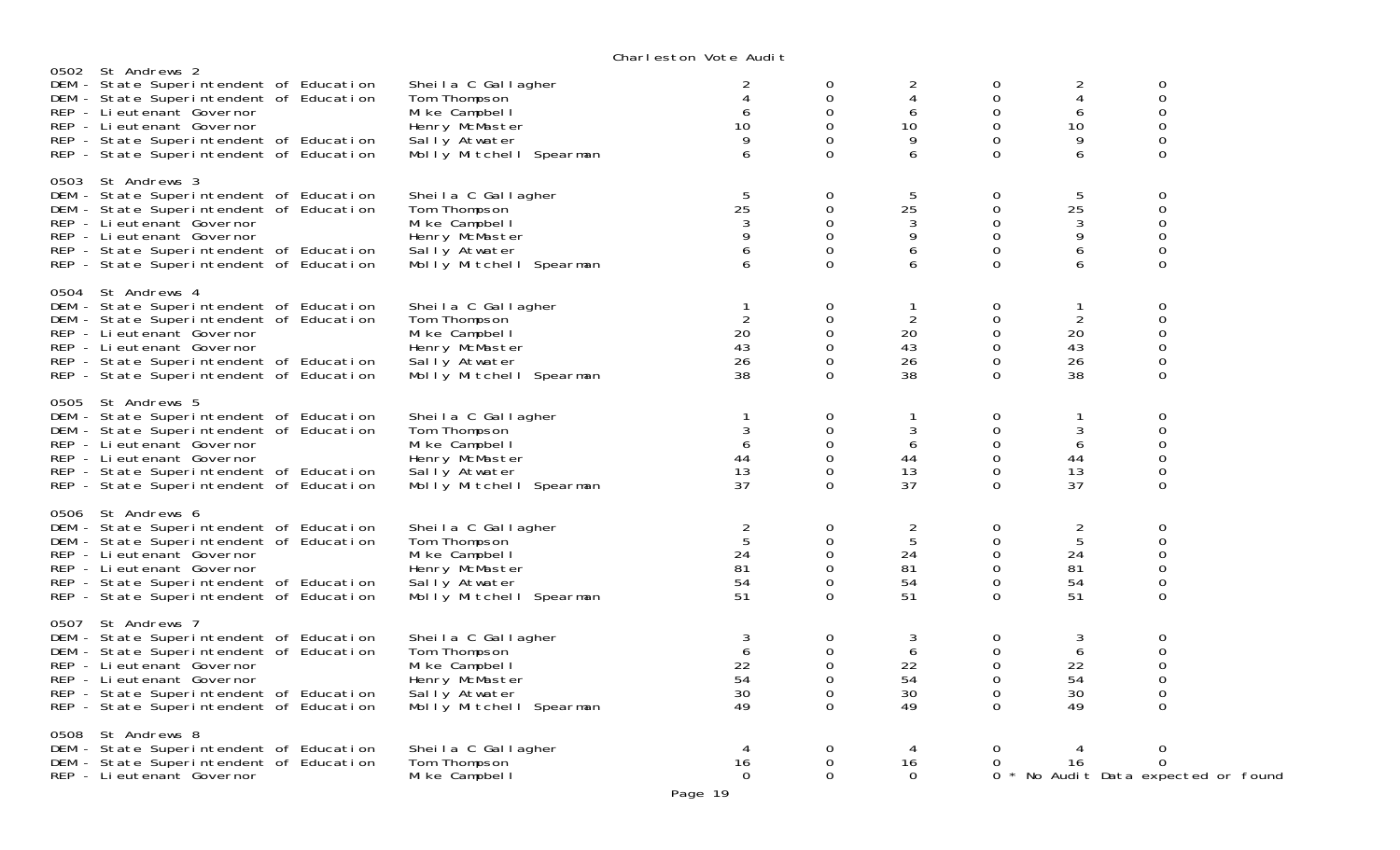|                                                                                                                                                                                                                                                           |                                                                                                                     | VIKIT CSLOT TOLC MAN L                      |                                                                  |                                          |                                                                           |                                             |                                                     |  |
|-----------------------------------------------------------------------------------------------------------------------------------------------------------------------------------------------------------------------------------------------------------|---------------------------------------------------------------------------------------------------------------------|---------------------------------------------|------------------------------------------------------------------|------------------------------------------|---------------------------------------------------------------------------|---------------------------------------------|-----------------------------------------------------|--|
| 0502 St Andrews 2<br>DEM - State Superintendent of Education<br>DEM - State Superintendent of Education<br>REP - Lieutenant Governor<br>REP - Lieutenant Governor<br>REP - State Superintendent of Education<br>REP - State Superintendent of Education   | Sheila C Gallagher<br>Tom Thompson<br>Mike Campbell<br>Henry McMaster<br>Sally Atwater<br>Molly Mitchell Spearman   | 6<br>10<br>9<br>6                           | 0<br>0<br>$\Omega$<br>$\Omega$<br>$\Omega$<br>$\Omega$           | $\overline{2}$<br>4<br>6<br>10<br>9<br>6 | 0<br>$\mathbf 0$<br>$\Omega$<br>0<br>0<br>$\Omega$                        | 2<br>4<br>6<br>10<br>9<br>6                 | 0<br>$\mathsf{O}\xspace$<br>0<br>0<br>0<br>$\Omega$ |  |
| 0503 St Andrews 3<br>DEM - State Superintendent of Education<br>DEM - State Superintendent of Education<br>REP - Li eutenant Governor<br>REP - Li eutenant Governor<br>REP - State Superintendent of Education<br>REP - State Superintendent of Education | Sheila C Gallagher<br>Tom Thompson<br>Mike Campbell<br>Henry McMaster<br>Sally Atwater<br>Molly Mitchell Spearman   | 5<br>25<br>9                                | 0<br>0<br>$\Omega$<br>0<br>$\Omega$<br>$\overline{O}$            | 5<br>25<br>3<br>9<br>6<br>6              | 0<br>$\mathbf 0$<br>0<br>$\mathbf 0$<br>$\mathbf 0$<br>$\Omega$           | 5<br>25<br>$\sqrt{3}$<br>9<br>6<br>6        | 0<br>0<br>0<br>0<br>0<br>$\Omega$                   |  |
| 0504 St Andrews 4<br>DEM - State Superintendent of Education<br>DEM - State Superintendent of Education<br>REP - Li eutenant Governor<br>REP - Lieutenant Governor<br>REP - State Superintendent of Education<br>REP - State Superintendent of Education  | Sheila C Gallagher<br>Tom Thompson<br>Mi ke Campbel I<br>Henry McMaster<br>Sally Atwater<br>Molly Mitchell Spearman | $\overline{2}$<br>20<br>43<br>26<br>38      | 0<br>$\Omega$<br>0<br>0<br>0<br>$\overline{O}$                   | $\overline{c}$<br>20<br>43<br>26<br>38   | 0<br>0<br>$\mathbf 0$<br>$\mathbf 0$<br>0<br>$\mathbf 0$                  | 1<br>$\overline{2}$<br>20<br>43<br>26<br>38 | 0<br>0<br>0<br>0<br>0<br>$\overline{0}$             |  |
| 0505 St Andrews 5<br>DEM - State Superintendent of Education<br>DEM - State Superintendent of Education<br>REP - Lieutenant Governor<br>REP - Li eutenant Governor<br>REP - State Superintendent of Education<br>REP - State Superintendent of Education  | Sheila C Gallagher<br>Tom Thompson<br>Mi ke Campbel I<br>Henry McMaster<br>Sally Atwater<br>Molly Mitchell Spearman | 3<br>6<br>44<br>13<br>37                    | $\Omega$<br>0<br>0<br>0<br>$\mathbf{O}$<br>0                     | 3<br>6<br>44<br>13<br>37                 | 0<br>$\mathbf 0$<br>0<br>0<br>0<br>0                                      | 1<br>3<br>6<br>44<br>13<br>37               | 0<br>0<br>0<br>0<br>0<br>0                          |  |
| 0506 St Andrews 6<br>DEM - State Superintendent of Education<br>DEM - State Superintendent of Education<br>REP - Li eutenant Governor<br>REP - Li eutenant Governor<br>REP - State Superintendent of Education<br>REP - State Superintendent of Education | Sheila C Gallagher<br>Tom Thompson<br>Mike Campbell<br>Henry McMaster<br>Sally Atwater<br>Molly Mitchell Spearman   | $\overline{2}$<br>5<br>24<br>81<br>54<br>51 | 0<br>0<br>0<br>$\mathbf{O}$<br>0<br>$\Omega$                     | $rac{2}{5}$<br>24<br>81<br>54<br>51      | $\mathbf 0$<br>$\mathbf 0$<br>0<br>$\mathbf 0$<br>$\mathbf 0$<br>$\Omega$ | $\overline{c}$<br>5<br>24<br>81<br>54<br>51 | 0<br>0<br>0<br>$\overline{0}$<br>0<br>$\Omega$      |  |
| 0507 St Andrews 7<br>DEM - State Superintendent of Education<br>DEM - State Superintendent of Education<br>REP - Li eutenant Governor<br>REP - Lieutenant Governor<br>REP - State Superintendent of Education<br>REP - State Superintendent of Education  | Sheila C Gallagher<br>Tom Thompson<br>Mike Campbell<br>Henry McMaster<br>Sally Atwater<br>Molly Mitchell Spearman   | 3<br>6<br>22<br>54<br>30<br>49              | $\mathbf 0$<br>0<br>$\Omega$<br>$\Omega$<br>$\Omega$<br>$\Omega$ | 3<br>6<br>22<br>54<br>30<br>49           | $\mathbf 0$<br>0<br>$\Omega$<br>0<br>0<br>$\Omega$                        | 3<br>6<br>22<br>54<br>30<br>49              | 0<br>0<br>$\Omega$<br>0<br>0<br>$\Omega$            |  |
| 0508 St Andrews 8<br>DEM - State Superintendent of Education<br>DEM - State Superintendent of Education<br>REP - Lieutenant Governor                                                                                                                      | Sheila C Gallagher<br>Tom Thompson<br>Mi ke Campbel I                                                               | 4<br>16<br>$\Omega$                         | 0<br>$\Omega$<br>$\Omega$                                        | 4<br>16<br>$\Omega$                      | 0<br>0                                                                    | 4<br>16                                     | 0<br>0<br>0 * No Audit Data expected or found       |  |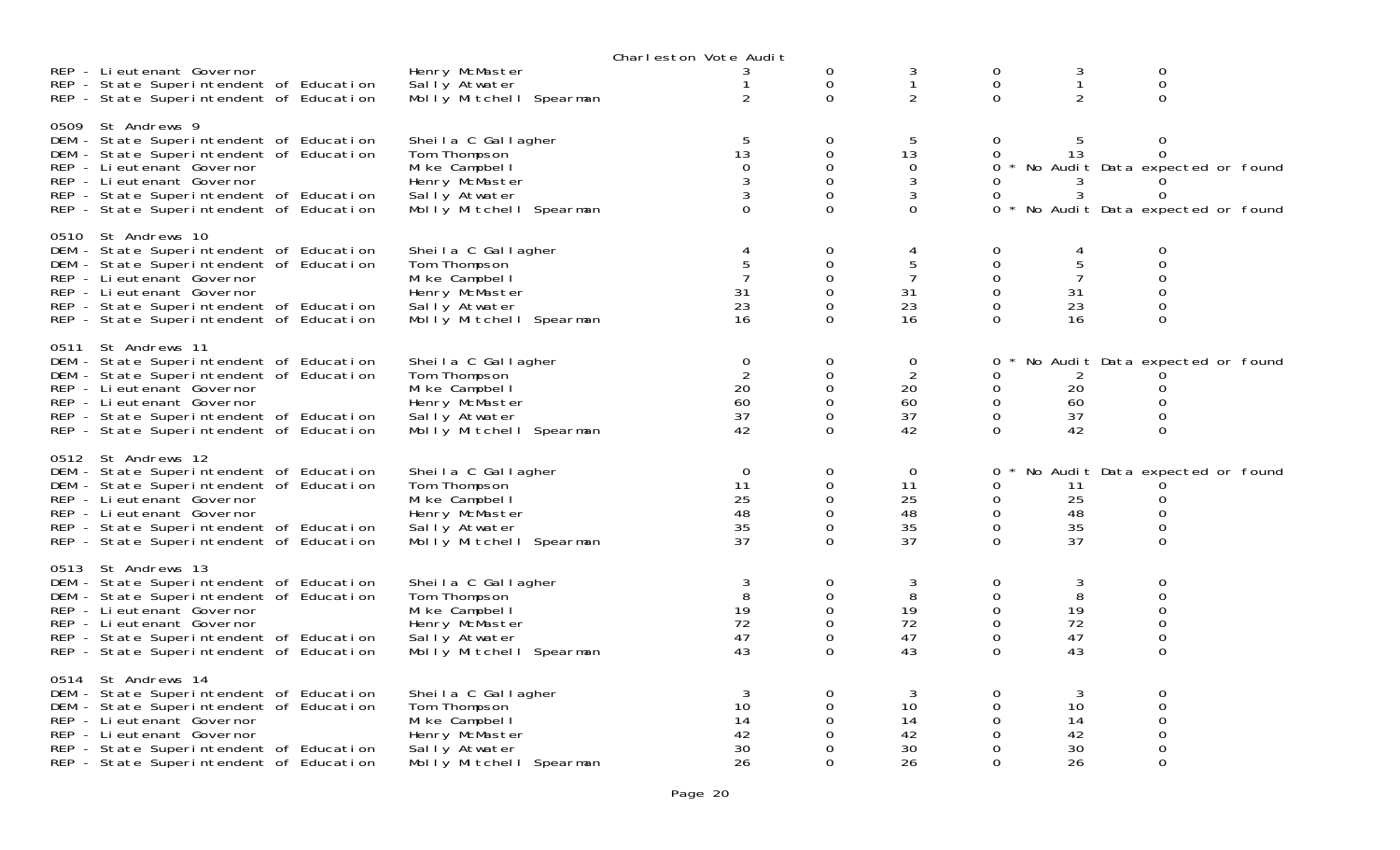|      |                                                                                                                                                                                                                                                           |                                                                                                                     | Charleston Vote Audit                     |                                                 |                                              |                                                                               |                                            |                                                                                                         |  |
|------|-----------------------------------------------------------------------------------------------------------------------------------------------------------------------------------------------------------------------------------------------------------|---------------------------------------------------------------------------------------------------------------------|-------------------------------------------|-------------------------------------------------|----------------------------------------------|-------------------------------------------------------------------------------|--------------------------------------------|---------------------------------------------------------------------------------------------------------|--|
|      | REP - Lieutenant Governor<br>REP - State Superintendent of Education<br>REP - State Superintendent of Education                                                                                                                                           | Henry McMaster<br>Sally Atwater<br>Molly Mitchell Spearman                                                          | 2                                         | 0<br>$\mathbf 0$<br>$\Omega$                    | 3<br>$\mathbf{1}$<br>$\overline{2}$          | $\mathbf 0$<br>$\mathbf 0$<br>$\Omega$                                        | 3<br>$\mathbf{1}$<br>2                     | 0<br>$\mathsf{O}\xspace$<br>$\Omega$                                                                    |  |
|      | 0509 St Andrews 9<br>DEM - State Superintendent of Education<br>DEM - State Superintendent of Education<br>REP - Lieutenant Governor<br>REP - Lieutenant Governor<br>REP - State Superintendent of Education<br>REP - State Superintendent of Education   | Sheila C Gallagher<br>Tom Thompson<br>Mike Campbell<br>Henry McMaster<br>Sally Atwater<br>Molly Mitchell Spearman   | 5<br>13<br>0<br>$\Omega$                  | 0<br>0<br>0<br>$\Omega$<br>0<br>$\Omega$        | 5<br>13<br>0<br>3<br>3<br>$\Omega$           | $\Omega$<br>0<br>0<br>$\Omega$<br>0<br>0                                      | 5<br>13<br>3<br>3                          | $\mathbf 0$<br>0<br>No Audit Data expected or found<br>0<br>$\Omega$<br>No Audit Data expected or found |  |
|      | 0510 St Andrews 10<br>DEM - State Superintendent of Education<br>DEM - State Superintendent of Education<br>REP - Lieutenant Governor<br>REP - Lieutenant Governor<br>REP - State Superintendent of Education<br>REP - State Superintendent of Education  | Sheila C Gallagher<br>Tom Thompson<br>Mike Campbell<br>Henry McMaster<br>Sally Atwater<br>Molly Mitchell Spearman   | 4<br>31<br>23<br>16                       | 0<br>0<br>0<br>$\Omega$<br>0<br>$\Omega$        | 4<br>5<br>7<br>31<br>23<br>16                | 0<br>0<br>0<br>0<br>0<br>$\Omega$                                             | 4<br>5<br>$\overline{7}$<br>31<br>23<br>16 | 0<br>0<br>0<br>$\Omega$<br>0<br>$\mathbf 0$                                                             |  |
| 0511 | St Andrews 11<br>DEM - State Superintendent of Education<br>DEM - State Superintendent of Education<br>REP - Lieutenant Governor<br>REP - Lieutenant Governor<br>REP - State Superintendent of Education<br>REP - State Superintendent of Education       | Sheila C Gallagher<br>Tom Thompson<br>Mi ke Campbel I<br>Henry McMaster<br>Sally Atwater<br>Molly Mitchell Spearman | $\mathbf 0$<br>2<br>20<br>60<br>37<br>42  | 0<br>0<br>$\Omega$<br>0<br>$\Omega$<br>$\Omega$ | 0<br>2<br>20<br>60<br>37<br>42               | 0<br>0<br>0<br>$\mathbf 0$<br>$\mathbf 0$<br>$\Omega$                         | 2<br>20<br>60<br>37<br>42                  | No Audit Data expected or found<br>0<br>0<br>0<br>$\overline{0}$                                        |  |
|      | 0512 St Andrews 12<br>DEM - State Superintendent of Education<br>DEM - State Superintendent of Education<br>REP - Li eutenant Governor<br>REP - Lieutenant Governor<br>REP - State Superintendent of Education<br>REP - State Superintendent of Education | Sheila C Gallagher<br>Tom Thompson<br>Mike Campbell<br>Henry McMaster<br>Sally Atwater<br>Molly Mitchell Spearman   | $\mathbf 0$<br>11<br>25<br>48<br>35<br>37 | 0<br>0<br>$\Omega$<br>0<br>0<br>$\Omega$        | $\overline{0}$<br>11<br>25<br>48<br>35<br>37 | 0<br>0<br>0<br>0<br>$\mathbf 0$<br>$\Omega$                                   | 11<br>25<br>48<br>35<br>37                 | No Audit Data expected or found<br>0<br>0<br>0<br>$\Omega$                                              |  |
|      | 0513 St Andrews 13<br>DEM - State Superintendent of Education<br>DEM - State Superintendent of Education<br>REP - Li eutenant Governor<br>REP - Lieutenant Governor<br>REP - State Superintendent of Education<br>REP - State Superintendent of Education | Sheila C Gallagher<br>Tom Thompson<br>Mi ke Campbel I<br>Henry McMaster<br>Sally Atwater<br>Molly Mitchell Spearman | 3<br>8<br>19<br>72<br>47<br>43            | 0<br>0<br>0<br>$\Omega$<br>0<br>$\Omega$        | 3<br>8<br>19<br>72<br>47<br>43               | 0<br>$\mathbf 0$<br>$\mathbf 0$<br>$\mathbf 0$<br>$\mathbf 0$<br>$\mathbf{O}$ | 3<br>8<br>19<br>72<br>47<br>43             | 0<br>0<br>0<br>$\Omega$<br>0<br>$\Omega$                                                                |  |
|      | 0514 St Andrews 14<br>DEM - State Superintendent of Education<br>DEM - State Superintendent of Education<br>REP - Lieutenant Governor<br>REP - Lieutenant Governor<br>REP - State Superintendent of Education<br>REP - State Superintendent of Education  | Sheila C Gallagher<br>Tom Thompson<br>Mi ke Campbel I<br>Henry McMaster<br>Sally Atwater<br>Molly Mitchell Spearman | 3<br>10<br>14<br>42<br>30<br>26           | $\Omega$<br>0<br>0<br>0<br>0<br>0               | 3<br>10<br>14<br>42<br>30<br>26              | $\Omega$<br>0<br>0<br>0<br>$\Omega$<br>$\Omega$                               | 3<br>10<br>14<br>42<br>30<br>26            | 0<br>0<br>0<br>0<br>0<br>$\Omega$                                                                       |  |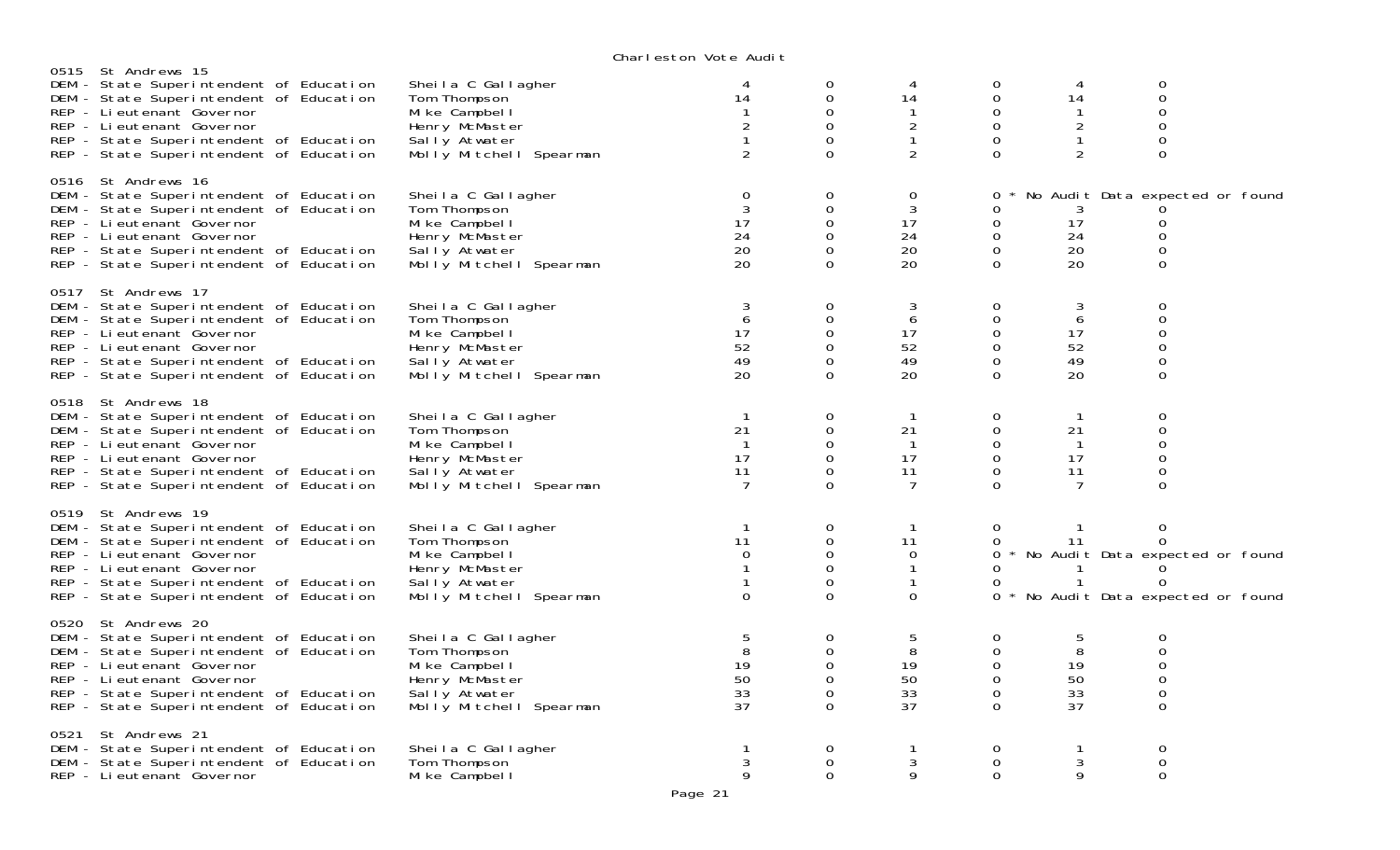|      |                                                                                                                                                                                                                                                            |                                                                                                                     | onar reston vote naart                                               |                                                                    |                                                                            |                                                                                 |                                                      |                                                                                                    |  |
|------|------------------------------------------------------------------------------------------------------------------------------------------------------------------------------------------------------------------------------------------------------------|---------------------------------------------------------------------------------------------------------------------|----------------------------------------------------------------------|--------------------------------------------------------------------|----------------------------------------------------------------------------|---------------------------------------------------------------------------------|------------------------------------------------------|----------------------------------------------------------------------------------------------------|--|
|      | 0515 St Andrews 15<br>DEM - State Superintendent of Education<br>DEM - State Superintendent of Education<br>REP - Lieutenant Governor<br>REP - Lieutenant Governor<br>REP - State Superintendent of Education<br>REP - State Superintendent of Education   | Sheila C Gallagher<br>Tom Thompson<br>Mi ke Campbel I<br>Henry McMaster<br>Sally Atwater<br>Molly Mitchell Spearman | 4<br>14<br>$\overline{2}$<br>2                                       | 0<br>0<br>$\Omega$<br>$\Omega$<br>0<br>$\Omega$                    | $\overline{4}$<br>14<br>-1<br>$\overline{a}$<br>$\mathbf{1}$<br>2          | 0<br>$\mathbf 0$<br>$\Omega$<br>$\mathbf 0$<br>$\mathbf 0$<br>$\Omega$          | 4<br>14<br>-1<br>$\overline{c}$<br>$\mathbf{1}$<br>2 | 0<br>$\mathsf{O}\xspace$<br>$\Omega$<br>0<br>$\mathbf 0$<br>0                                      |  |
|      | 0516 St Andrews 16<br>DEM - State Superintendent of Education<br>DEM - State Superintendent of Education<br>REP - Li eutenant Governor<br>REP - Li eutenant Governor<br>REP - State Superintendent of Education<br>REP - State Superintendent of Education | Sheila C Gallagher<br>Tom Thompson<br>Mi ke Campbel I<br>Henry McMaster<br>Sally Atwater<br>Molly Mitchell Spearman | $\overline{0}$<br>3<br>17<br>24<br>20<br>20                          | 0<br>$\overline{O}$<br>$\overline{O}$<br>0<br>$\Omega$<br>$\Omega$ | $\mathbf 0$<br>3<br>17<br>24<br>20<br>20                                   | 0<br>0<br>$\mathbf 0$<br>$\mathbf 0$<br>$\mathbf 0$<br>$\Omega$                 | 3<br>17<br>24<br>20<br>20                            | No Audit Data expected or found<br>0<br>$\mathbf 0$<br>0<br>$\Omega$                               |  |
|      | 0517 St Andrews 17<br>DEM - State Superintendent of Education<br>DEM - State Superintendent of Education<br>REP - Lieutenant Governor<br>REP - Lieutenant Governor<br>REP - State Superintendent of Education<br>REP - State Superintendent of Education   | Sheila C Gallagher<br>Tom Thompson<br>Mi ke Campbel I<br>Henry McMaster<br>Sally Atwater<br>Molly Mitchell Spearman | 3<br>6<br>17<br>52<br>49<br>20                                       | 0<br>$\Omega$<br>0<br>$\Omega$<br>0<br>$\overline{O}$              | 3<br>6<br>17<br>52<br>49<br>20                                             | $\mathbf 0$<br>$\mathbf 0$<br>$\mathbf 0$<br>$\mathbf 0$<br>0<br>$\overline{0}$ | 3<br>6<br>17<br>52<br>49<br>20                       | $\Omega$<br>$\mathbf 0$<br>$\mathbf 0$<br>0<br>0<br>$\mathbf{O}$                                   |  |
|      | 0518 St Andrews 18<br>DEM - State Superintendent of Education<br>DEM - State Superintendent of Education<br>REP - Lieutenant Governor<br>REP - Lieutenant Governor<br>REP - State Superintendent of Education<br>REP - State Superintendent of Education   | Sheila C Gallagher<br>Tom Thompson<br>Mi ke Campbel I<br>Henry McMaster<br>Sally Atwater<br>Molly Mitchell Spearman | $\overline{1}$<br>21<br>$\overline{1}$<br>17<br>11<br>$\overline{7}$ | $\Omega$<br>0<br>$\Omega$<br>$\Omega$<br>$\mathbf{O}$<br>$\Omega$  | $\mathbf{1}$<br>21<br>$\overline{1}$<br>17<br>11<br>7                      | $\mathbf 0$<br>$\mathbf 0$<br>0<br>$\mathbf 0$<br>$\mathbf 0$<br>$\Omega$       | -1<br>21<br>-1<br>17<br>11<br>7                      | 0<br>$\mathbf 0$<br>0<br>0<br>0<br>0                                                               |  |
|      | 0519 St Andrews 19<br>DEM - State Superintendent of Education<br>DEM - State Superintendent of Education<br>REP - Li eutenant Governor<br>REP - Li eutenant Governor<br>REP - State Superintendent of Education<br>REP - State Superintendent of Education | Sheila C Gallagher<br>Tom Thompson<br>Mike Campbell<br>Henry McMaster<br>Sally Atwater<br>Molly Mitchell Spearman   | $\mathbf{1}$<br>11<br>$\Omega$<br>$\Omega$                           | 0<br>0<br>$\Omega$<br>$\mathbf{O}$<br>0<br>$\Omega$                | $\mathbf{1}$<br>11<br>$\Omega$<br>$\mathbf{1}$<br>$\mathbf{1}$<br>$\Omega$ | $\mathbf 0$<br>0<br>$\mathbf{O}$<br>0<br>0<br>$\Omega$                          | 11<br>$\mathbf 1$                                    | $\mathbf 0$<br>0<br>No Audit Data expected or found<br>$\Omega$<br>No Audit Data expected or found |  |
|      | 0520 St Andrews 20<br>DEM - State Superintendent of Education<br>DEM - State Superintendent of Education<br>REP - Li eutenant Governor<br>REP - Lieutenant Governor<br>REP - State Superintendent of Education<br>REP - State Superintendent of Education  | Sheila C Gallagher<br>Tom Thompson<br>Mike Campbell<br>Henry McMaster<br>Sally Atwater<br>Molly Mitchell Spearman   | 5<br>8<br>19<br>50<br>33<br>37                                       | 0<br>0<br>$\Omega$<br>$\Omega$<br>$\Omega$<br>$\Omega$             | 5<br>8<br>19<br>50<br>33<br>37                                             | 0<br>$\mathbf 0$<br>$\Omega$<br>$\mathbf 0$<br>$\mathbf 0$<br>$\Omega$          | 5<br>8<br>19<br>50<br>33<br>37                       | 0<br>$\mathbf 0$<br>$\Omega$<br>0<br>0<br>0                                                        |  |
| 0521 | St Andrews 21<br>DEM - State Superintendent of Education<br>DEM - State Superintendent of Education<br>REP - Lieutenant Governor                                                                                                                           | Sheila C Gallagher<br>Tom Thompson<br>Mi ke Campbel I                                                               | 3<br>9                                                               | 0<br>$\Omega$<br>$\Omega$                                          | 1<br>3<br>9                                                                | 0<br>$\mathbf 0$<br>$\overline{0}$                                              | -1<br>3<br>9                                         | 0<br>0<br>$\mathbf 0$                                                                              |  |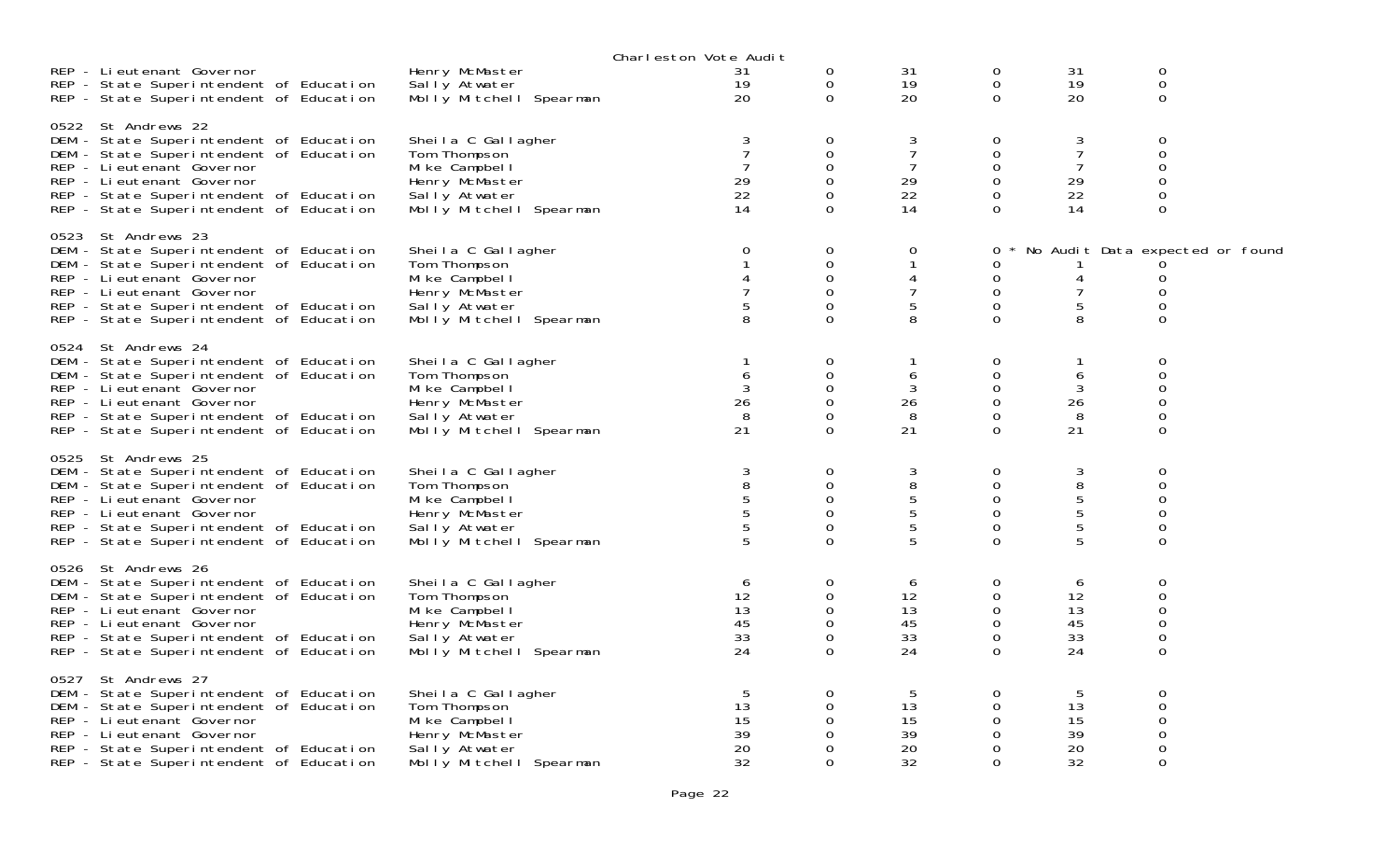|                                                                                                                                                                                                                                                           |                                                                                                                     | Charleston Vote Audit           |                                                           |                                            |                                                          |                                             |                                                            |  |
|-----------------------------------------------------------------------------------------------------------------------------------------------------------------------------------------------------------------------------------------------------------|---------------------------------------------------------------------------------------------------------------------|---------------------------------|-----------------------------------------------------------|--------------------------------------------|----------------------------------------------------------|---------------------------------------------|------------------------------------------------------------|--|
| REP - Lieutenant Governor<br>REP - State Superintendent of Education<br>REP - State Superintendent of Education                                                                                                                                           | Henry McMaster<br>Sally Atwater<br>Molly Mitchell Spearman                                                          | 31<br>19<br>20                  | 0<br>0<br>$\overline{O}$                                  | 31<br>19<br>20                             | 0<br>$\mathbf 0$<br>$\mathbf 0$                          | 31<br>19<br>20                              | 0<br>0<br>$\overline{0}$                                   |  |
| 0522 St Andrews 22<br>DEM - State Superintendent of Education<br>DEM - State Superintendent of Education<br>REP - Li eutenant Governor<br>REP - Lieutenant Governor<br>REP - State Superintendent of Education<br>REP - State Superintendent of Education | Sheila C Gallagher<br>Tom Thompson<br>Mi ke Campbel I<br>Henry McMaster<br>Sally Atwater<br>Molly Mitchell Spearman | 3<br>29<br>22<br>14             | 0<br>0<br>0<br>$\Omega$<br>$\Omega$<br>0                  | 3<br>$\overline{7}$<br>7<br>29<br>22<br>14 | 0<br>0<br>0<br>0<br>$\Omega$<br>0                        | 3<br>$\overline{7}$<br>7<br>29<br>22<br>14  | 0<br>0<br>0<br>$\Omega$<br>0<br>0                          |  |
| 0523 St Andrews 23<br>DEM - State Superintendent of Education<br>DEM - State Superintendent of Education<br>REP - Li eutenant Governor<br>REP - Lieutenant Governor<br>REP - State Superintendent of Education<br>REP - State Superintendent of Education | Sheila C Gallagher<br>Tom Thompson<br>Mi ke Campbel I<br>Henry McMaster<br>Sally Atwater<br>Molly Mitchell Spearman | 0<br>5<br>8                     | 0<br>$\Omega$<br>$\mathbf 0$<br>$\Omega$<br>0<br>$\Omega$ | 0<br>4<br>7<br>5<br>8                      | 0<br>0<br>0<br>0<br>$\mathbf 0$<br>$\Omega$              | 4<br>7<br>5<br>8                            | No Audit Data expected or found<br>0<br>0<br>0<br>$\Omega$ |  |
| 0524 St Andrews 24<br>DEM - State Superintendent of Education<br>DEM - State Superintendent of Education<br>REP - Lieutenant Governor<br>REP - Lieutenant Governor<br>REP - State Superintendent of Education<br>REP - State Superintendent of Education  | Sheila C Gallagher<br>Tom Thompson<br>Mi ke Campbel I<br>Henry McMaster<br>Sally Atwater<br>Molly Mitchell Spearman | 6<br>26<br>8<br>21              | 0<br>0<br>$\Omega$<br>0<br>$\Omega$<br>$\Omega$           | 6<br>3<br>26<br>8<br>21                    | 0<br>0<br>0<br>$\mathbf 0$<br>$\Omega$<br>$\overline{0}$ | 1<br>6<br>3<br>26<br>-8<br>21               | 0<br>0<br>0<br>0<br>$\Omega$<br>0                          |  |
| 0525 St Andrews 25<br>DEM - State Superintendent of Education<br>DEM - State Superintendent of Education<br>REP - Li eutenant Governor<br>REP - Lieutenant Governor<br>REP - State Superintendent of Education<br>REP - State Superintendent of Education | Sheila C Gallagher<br>Tom Thompson<br>Mike Campbell<br>Henry McMaster<br>Sally Atwater<br>Molly Mitchell Spearman   | $\sqrt{3}$<br>8<br>5            | 0<br>0<br>$\Omega$<br>$\Omega$<br>0<br>$\Omega$           | 3<br>8<br>5<br>5<br>$\sqrt{5}$<br>5        | 0<br>0<br>$\mathbf 0$<br>0<br>$\mathbf 0$<br>$\Omega$    | 3<br>8<br>$\frac{5}{5}$<br>$\mathbf 5$<br>5 | 0<br>0<br>0<br>0<br>0<br>$\Omega$                          |  |
| 0526 St Andrews 26<br>DEM - State Superintendent of Education<br>DEM - State Superintendent of Education<br>REP - Li eutenant Governor<br>REP - Lieutenant Governor<br>REP - State Superintendent of Education<br>REP - State Superintendent of Education | Sheila C Gallagher<br>Tom Thompson<br>Mi ke Campbel I<br>Henry McMaster<br>Sally Atwater<br>Molly Mitchell Spearman | 6<br>12<br>13<br>45<br>33<br>24 | 0<br>0<br>$\Omega$<br>0<br>0<br>$\Omega$                  | 6<br>12<br>13<br>45<br>33<br>24            | 0<br>0<br>0<br>0<br>0<br>$\Omega$                        | 6<br>12<br>13<br>45<br>33<br>24             | 0<br>0<br>$\Omega$<br>0<br>0<br>0                          |  |
| 0527 St Andrews 27<br>DEM - State Superintendent of Education<br>DEM - State Superintendent of Education<br>REP - Lieutenant Governor<br>REP - Lieutenant Governor<br>REP - State Superintendent of Education<br>REP - State Superintendent of Education  | Sheila C Gallagher<br>Tom Thompson<br>Mike Campbell<br>Henry McMaster<br>Sally Atwater<br>Molly Mitchell Spearman   | 5<br>13<br>15<br>39<br>20<br>32 | 0<br>$\Omega$<br>0<br>0<br>$\Omega$<br>$\Omega$           | 5<br>13<br>15<br>39<br>20<br>32            | 0<br>0<br>0<br>0<br>0<br>$\Omega$                        | 5<br>13<br>15<br>39<br>20<br>32             | 0<br>$\Omega$<br>0<br>0<br>0<br>0                          |  |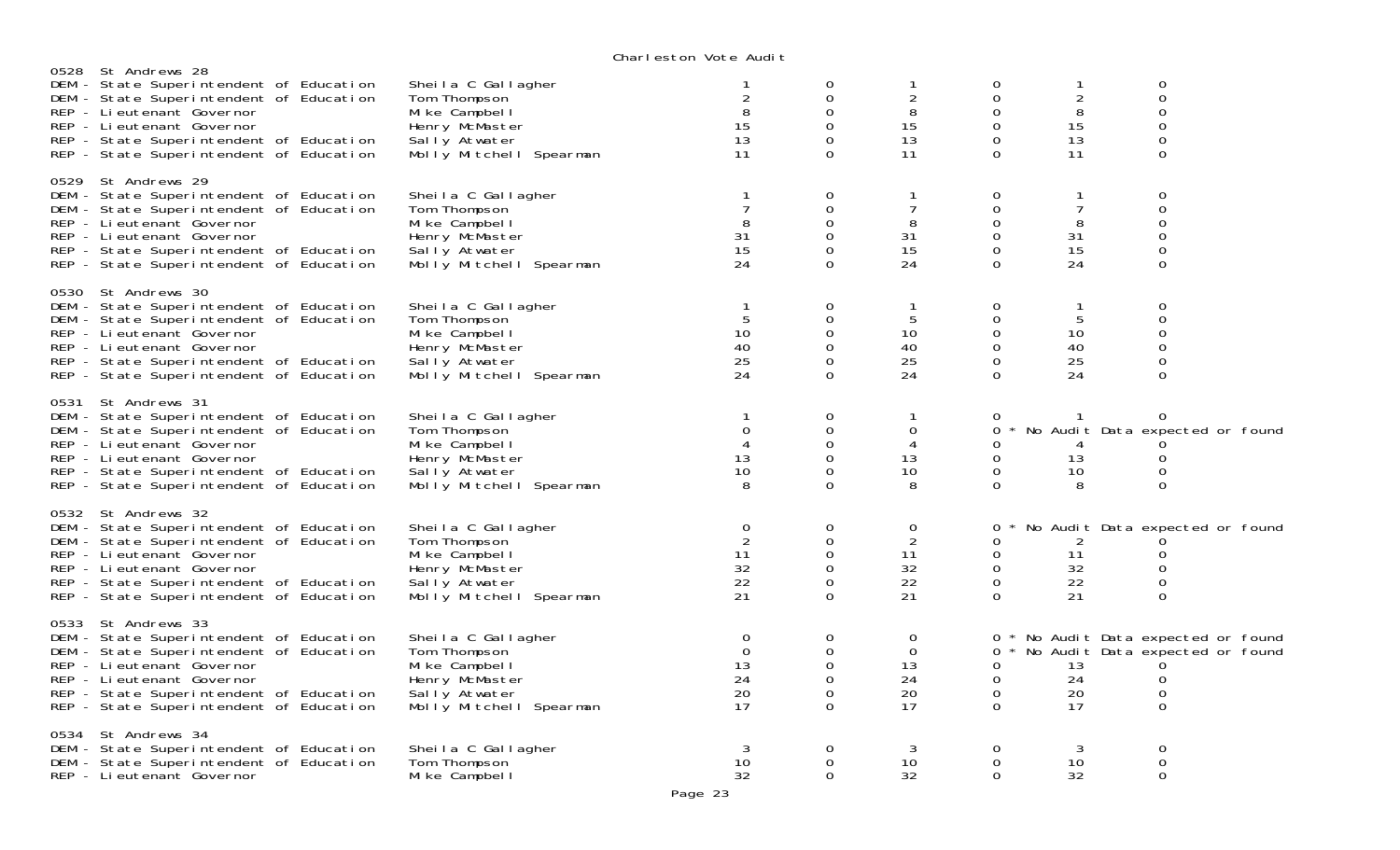|                                                                                |                                                                                                                                                                          |                                                                                                                     | onar reston vote naart                                   |                                                                        |                                                |                                                    |                                            |                                                                                              |  |
|--------------------------------------------------------------------------------|--------------------------------------------------------------------------------------------------------------------------------------------------------------------------|---------------------------------------------------------------------------------------------------------------------|----------------------------------------------------------|------------------------------------------------------------------------|------------------------------------------------|----------------------------------------------------|--------------------------------------------|----------------------------------------------------------------------------------------------|--|
| 0528 St Andrews 28<br>REP - Lieutenant Governor<br>REP - Lieutenant Governor   | DEM - State Superintendent of Education<br>DEM - State Superintendent of Education<br>REP - State Superintendent of Education<br>REP - State Superintendent of Education | Sheila C Gallagher<br>Tom Thompson<br>Mike Campbell<br>Henry McMaster<br>Sally Atwater<br>Molly Mitchell Spearman   | 2<br>8<br>15<br>13<br>11                                 | 0<br>$\mathbf 0$<br>$\Omega$<br>$\mathbf{O}$<br>0<br>$\Omega$          | $\overline{2}$<br>8<br>15<br>13<br>11          | 0<br>0<br>$\Omega$<br>0<br>$\mathbf 0$<br>$\Omega$ | 1<br>$\overline{c}$<br>8<br>15<br>13<br>11 | 0<br>0<br>$\Omega$<br>0<br>0<br>$\Omega$                                                     |  |
| 0529 St Andrews 29<br>REP - Li eutenant Governor<br>REP - Lieutenant Governor  | DEM - State Superintendent of Education<br>DEM - State Superintendent of Education<br>REP - State Superintendent of Education<br>REP - State Superintendent of Education | Sheila C Gallagher<br>Tom Thompson<br>Mike Campbell<br>Henry McMaster<br>Sally Atwater<br>Molly Mitchell Spearman   | $\overline{7}$<br>8<br>31<br>15<br>24                    | 0<br>$\Omega$<br>$\mathbf{O}$<br>$\mathbf 0$<br>0<br>$\Omega$          | 7<br>8<br>31<br>15<br>24                       | 0<br>$\Omega$<br>0<br>$\mathbf 0$<br>0<br>$\Omega$ | 1<br>7<br>8<br>31<br>15<br>24              | 0<br>$\Omega$<br>0<br>0<br>0<br>$\Omega$                                                     |  |
| 0530 St Andrews 30<br>REP - Li eutenant Governor<br>REP - Li eutenant Governor | DEM - State Superintendent of Education<br>DEM - State Superintendent of Education<br>REP - State Superintendent of Education<br>REP - State Superintendent of Education | Sheila C Gallagher<br>Tom Thompson<br>Mike Campbell<br>Henry McMaster<br>Sally Atwater<br>Molly Mitchell Spearman   | 5<br>10<br>40<br>25<br>24                                | $\mathbf 0$<br>$\Omega$<br>$\mathbf 0$<br>$\mathbf 0$<br>0<br>$\Omega$ | 5<br>10<br>40<br>25<br>24                      | 0<br>$\mathbf 0$<br>0<br>0<br>0<br>$\Omega$        | 1<br>5<br>10<br>40<br>25<br>24             | 0<br>$\overline{0}$<br>0<br>0<br>0<br>$\Omega$                                               |  |
| 0531 St Andrews 31<br>REP - Li eutenant Governor<br>REP - Lieutenant Governor  | DEM - State Superintendent of Education<br>DEM - State Superintendent of Education<br>REP - State Superintendent of Education<br>REP - State Superintendent of Education | Sheila C Gallagher<br>Tom Thompson<br>Mi ke Campbel I<br>Henry McMaster<br>Sally Atwater<br>Molly Mitchell Spearman | $\mathbf{1}$<br>$\mathbf 0$<br>13<br>10<br>8             | 0<br>0<br>$\mathbf 0$<br>$\mathbf 0$<br>$\Omega$<br>$\Omega$           | $\mathsf O$<br>$\overline{4}$<br>13<br>10<br>8 | 0<br>0<br>0<br>0<br>0<br>0                         | 4<br>13<br>10<br>8                         | 0<br>* No Audit Data expected or found<br>0<br>0<br>0                                        |  |
| 0532 St Andrews 32<br>REP - Lieutenant Governor<br>REP - Li eutenant Governor  | DEM - State Superintendent of Education<br>DEM - State Superintendent of Education<br>REP - State Superintendent of Education<br>REP - State Superintendent of Education | Sheila C Gallagher<br>Tom Thompson<br>Mi ke Campbel I<br>Henry McMaster<br>Sally Atwater<br>Molly Mitchell Spearman | $\overline{0}$<br>2<br>11<br>32<br>22<br>21              | 0<br>$\Omega$<br>$\mathbf 0$<br>0<br>$\Omega$<br>$\Omega$              | $\mathbf 0$<br>2<br>11<br>32<br>22<br>21       | 0<br>0<br>0<br>0<br>$\mathbf 0$<br>$\Omega$        | 2<br>11<br>32<br>22<br>21                  | No Audit Data expected or found<br>0<br>0<br>$\Omega$                                        |  |
| 0533 St Andrews 33<br>REP - Li eutenant Governor<br>REP - Lieutenant Governor  | DEM - State Superintendent of Education<br>DEM - State Superintendent of Education<br>REP - State Superintendent of Education<br>REP - State Superintendent of Education | Sheila C Gallagher<br>Tom Thompson<br>Mi ke Campbel I<br>Henry McMaster<br>Sally Atwater<br>Molly Mitchell Spearman | $\overline{0}$<br>$\overline{0}$<br>13<br>24<br>20<br>17 | 0<br>$\mathbf 0$<br>$\mathbf 0$<br>0<br>0<br>$\Omega$                  | 0<br>$\mathbf 0$<br>13<br>24<br>20<br>17       | 0<br>0<br>0<br>0<br>$\mathbf 0$<br>$\mathbf 0$     | 13<br>24<br>20<br>17                       | * No Audit Data expected or found<br>* No Audit Data expected or found<br>0<br>0<br>$\Omega$ |  |
| 0534 St Andrews 34<br>REP - Lieutenant Governor                                | DEM - State Superintendent of Education<br>DEM - State Superintendent of Education                                                                                       | Sheila C Gallagher<br>Tom Thompson<br>Mike Campbell                                                                 | 3<br>10<br>32                                            | 0<br>0<br>$\Omega$                                                     | 3<br>10<br>32                                  | 0<br>0<br>$\Omega$                                 | 3<br>10<br>32                              | 0<br>0<br>0                                                                                  |  |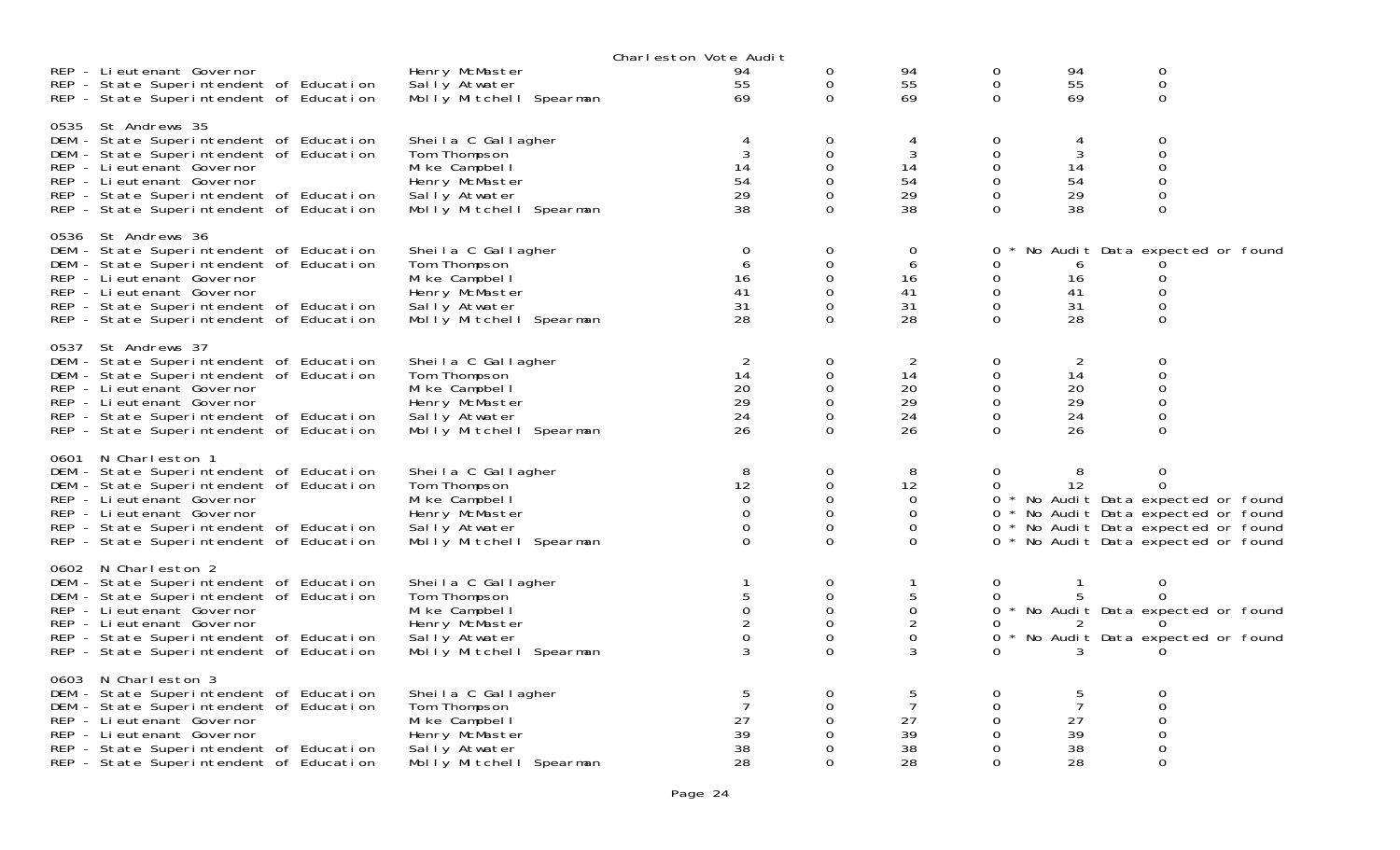|                                                                                                                                                                                                                                                            |                                                                                                                     | Charleston Vote Audit                                   |                                                    |                                                          |                                                               |                                             |                                                                                                                                                                            |  |
|------------------------------------------------------------------------------------------------------------------------------------------------------------------------------------------------------------------------------------------------------------|---------------------------------------------------------------------------------------------------------------------|---------------------------------------------------------|----------------------------------------------------|----------------------------------------------------------|---------------------------------------------------------------|---------------------------------------------|----------------------------------------------------------------------------------------------------------------------------------------------------------------------------|--|
| REP - Lieutenant Governor<br>REP - State Superintendent of Education<br>REP - State Superintendent of Education                                                                                                                                            | Henry McMaster<br>Sally Atwater<br>Molly Mitchell Spearman                                                          | 94<br>55<br>69                                          | 0<br>0<br>$\Omega$                                 | 94<br>55<br>69                                           | $\mathbf 0$<br>$\mathbf 0$<br>$\Omega$                        | 94<br>55<br>69                              | $\mbox{O}$<br>$\mathsf{O}\xspace$<br>0                                                                                                                                     |  |
| 0535 St Andrews 35<br>DEM - State Superintendent of Education<br>DEM - State Superintendent of Education<br>REP - Lieutenant Governor<br>REP - Li eutenant Governor<br>REP - State Superintendent of Education<br>REP - State Superintendent of Education  | Sheila C Gallagher<br>Tom Thompson<br>Mike Campbell<br>Henry McMaster<br>Sally Atwater<br>Molly Mitchell Spearman   | $\overline{4}$<br>3<br>14<br>54<br>29<br>38             | 0<br>0<br>$\Omega$<br>$\Omega$<br>0                | 4<br>3<br>14<br>54<br>29<br>38                           | 0<br>$\mathbf 0$<br>0<br>0<br>$\Omega$<br>0                   | 4<br>3<br>14<br>54<br>29<br>38              | 0<br>0<br>0<br>0<br>0<br>0                                                                                                                                                 |  |
| 0536 St Andrews 36<br>DEM - State Superintendent of Education<br>DEM - State Superintendent of Education<br>REP - Li eutenant Governor<br>REP - Lieutenant Governor<br>REP - State Superintendent of Education<br>REP - State Superintendent of Education  | Sheila C Gallagher<br>Tom Thompson<br>Mike Campbell<br>Henry McMaster<br>Sally Atwater<br>Molly Mitchell Spearman   | $\mathbf 0$<br>6<br>16<br>41<br>31<br>28                | 0<br>0<br>$\Omega$<br>$\Omega$<br>0<br>$\Omega$    | $\overline{0}$<br>6<br>16<br>41<br>31<br>28              | 0<br>0<br>0<br>0<br>$\mathbf 0$<br>$\Omega$                   | 6<br>16<br>41<br>31<br>28                   | No Audit Data expected or found<br>0<br>$\Omega$<br>0<br>$\mathbf 0$                                                                                                       |  |
| 0537 St Andrews 37<br>DEM - State Superintendent of Education<br>DEM - State Superintendent of Education<br>REP - Lieutenant Governor<br>REP - Lieutenant Governor<br>REP - State Superintendent of Education<br>REP - State Superintendent of Education   | Sheila C Gallagher<br>Tom Thompson<br>Mi ke Campbel I<br>Henry McMaster<br>Sally Atwater<br>Molly Mitchell Spearman | 2<br>14<br>20<br>29<br>24<br>26                         | 0<br>0<br>$\Omega$<br>0<br>$\Omega$<br>0           | $\overline{2}$<br>14<br>20<br>29<br>24<br>26             | $\mathbf 0$<br>0<br>$\mathbf{O}$<br>0<br>$\Omega$<br>$\Omega$ | 2<br>14<br>20<br>29<br>24<br>26             | $\mathbf 0$<br>0<br>$\Omega$<br>0<br>0<br>0                                                                                                                                |  |
| 0601 N Charleston 1<br>DEM - State Superintendent of Education<br>DEM - State Superintendent of Education<br>REP - Li eutenant Governor<br>REP - Lieutenant Governor<br>REP - State Superintendent of Education<br>REP - State Superintendent of Education | Sheila C Gallagher<br>Tom Thompson<br>Mike Campbell<br>Henry McMaster<br>Sally Atwater<br>Molly Mitchell Spearman   | 8<br>12<br>$\Omega$<br>$\Omega$<br>$\Omega$<br>$\Omega$ | 0<br>$\Omega$<br>0<br>$\Omega$<br>0<br>$\Omega$    | 8<br>12<br>0<br>0<br>0<br>$\Omega$                       | 0<br>$\Omega$<br>0                                            | 8<br>12                                     | $\mathbf 0$<br>O<br>0 * No Audit Data expected or found<br>* No Audit Data expected or found<br>0 * No Audit Data expected or found<br>0 * No Audit Data expected or found |  |
| 0602 N Charleston 2<br>DEM - State Superintendent of Education<br>DEM - State Superintendent of Education<br>REP - Lieutenant Governor<br>REP - Lieutenant Governor<br>REP - State Superintendent of Education<br>REP - State Superintendent of Education  | Sheila C Gallagher<br>Tom Thompson<br>Mike Campbell<br>Henry McMaster<br>Sally Atwater<br>Molly Mitchell Spearman   | 5<br>$\mathbf{O}$<br>0                                  | 0<br>0<br>$\Omega$<br>0<br>$\mathbf 0$<br>$\Omega$ | 1<br>5<br>$\Omega$<br>$\overline{2}$<br>$\mathbf 0$<br>3 | 0<br>0<br>0<br>0<br>$\star$                                   | -1<br>5                                     | 0<br>0<br>0 * No Audit Data expected or found<br>O<br>No Audit Data expected or found                                                                                      |  |
| 0603 N Charleston 3<br>DEM - State Superintendent of Education<br>DEM - State Superintendent of Education<br>REP - Lieutenant Governor<br>REP - Lieutenant Governor<br>REP - State Superintendent of Education<br>REP - State Superintendent of Education  | Sheila C Gallagher<br>Tom Thompson<br>Mike Campbell<br>Henry McMaster<br>Sally Atwater<br>Molly Mitchell Spearman   | 5<br>27<br>39<br>38<br>28                               | 0<br>$\Omega$<br>0<br>0<br>∩<br>$\Omega$           | 5<br>7<br>27<br>39<br>38<br>28                           | 0<br>$\Omega$<br>$\Omega$<br>0<br>0<br>$\mathbf 0$            | 5<br>$\overline{7}$<br>27<br>39<br>38<br>28 | 0<br>$\Omega$<br>0<br>0<br>0<br>0                                                                                                                                          |  |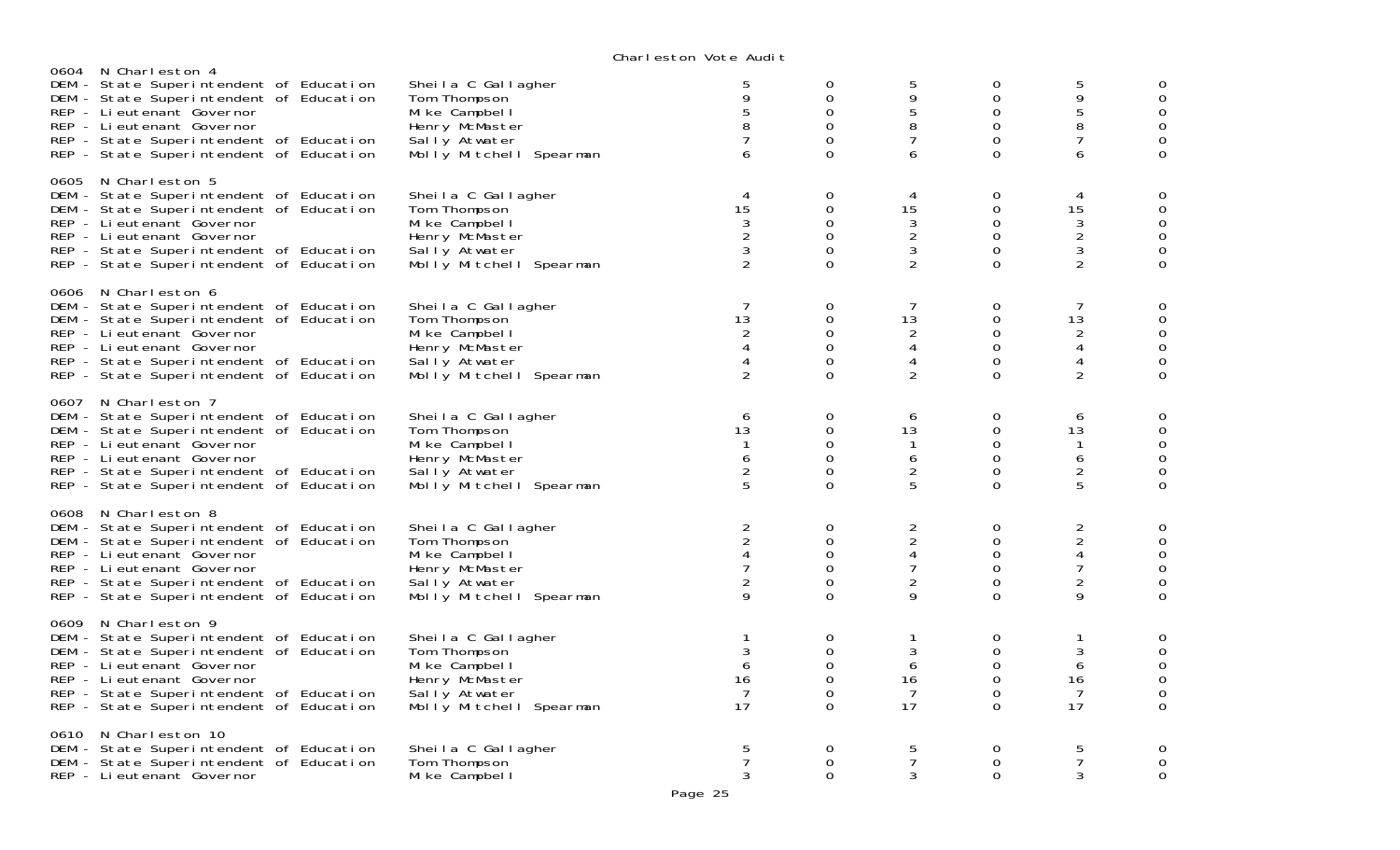|      | 0604 N Charleston 4<br>DEM - State Superintendent of Education<br>DEM - State Superintendent of Education<br>REP - Li eutenant Governor<br>REP - Li eutenant Governor<br>REP - State Superintendent of Education<br>REP - State Superintendent of Education | Sheila C Gallagher<br>Tom Thompson<br>Mi ke Campbel I<br>Henry McMaster<br>Sally Atwater<br>Molly Mitchell Spearman | 5<br>9<br>5<br>8<br>$\overline{7}$<br>6                                                     | 0<br>$\mathbf 0$<br>0<br>0<br>0<br>$\Omega$                  | 5<br>9<br>5<br>8<br>$\overline{7}$<br>6                                                     | 0<br>$\mathbf{0}$<br>$\mathbf 0$<br>$\mathbf 0$<br>$\mathbf 0$<br>$\Omega$                   | 5<br>9<br>5<br>8<br>$\overline{7}$<br>6                                                                 | $\mathbf 0$<br>$\mathbf 0$<br>$\mathbf 0$<br>$\mathbf 0$<br>$\mathbf 0$<br>$\mathbf 0$         |
|------|-------------------------------------------------------------------------------------------------------------------------------------------------------------------------------------------------------------------------------------------------------------|---------------------------------------------------------------------------------------------------------------------|---------------------------------------------------------------------------------------------|--------------------------------------------------------------|---------------------------------------------------------------------------------------------|----------------------------------------------------------------------------------------------|---------------------------------------------------------------------------------------------------------|------------------------------------------------------------------------------------------------|
|      | 0605 N Charleston 5<br>DEM - State Superintendent of Education<br>DEM - State Superintendent of Education<br>REP - Li eutenant Governor<br>REP - Lieutenant Governor<br>REP - State Superintendent of Education<br>REP - State Superintendent of Education  | Sheila C Gallagher<br>Tom Thompson<br>Mike Campbell<br>Henry McMaster<br>Sally Atwater<br>Molly Mitchell Spearman   | 4<br>15<br>3<br>$\overline{2}$<br>3<br>$\overline{2}$                                       | $\mathbf 0$<br>$\mathbf 0$<br>0<br>0<br>$\Omega$<br>0        | 4<br>15<br>$\mathfrak{Z}$<br>$\overline{2}$<br>3<br>$\overline{2}$                          | $\mathbf 0$<br>$\mathbf 0$<br>$\mathbf 0$<br>$\mathbf 0$<br>$\mathbf 0$<br>$\mathbf 0$       | 4<br>15<br>3<br>$\overline{c}$<br>$\mathfrak{Z}$<br>$\overline{2}$                                      | 0<br>$\mathsf{O}$<br>$\mathbf 0$<br>$\mathsf{O}$<br>$\mathbf 0$<br>$\mathbf 0$                 |
| 0606 | N Charleston 6<br>DEM - State Superintendent of Education<br>DEM - State Superintendent of Education<br>REP - Lieutenant Governor<br>REP - Li eutenant Governor<br>REP - State Superintendent of Education<br>REP - State Superintendent of Education       | Sheila C Gallagher<br>Tom Thompson<br>Mi ke Campbel I<br>Henry McMaster<br>Sally Atwater<br>Molly Mitchell Spearman | 7<br>13<br>$\overline{2}$<br>4<br>4<br>$\overline{2}$                                       | 0<br>0<br>0<br>0<br>$\mathbf 0$<br>$\Omega$                  | 7<br>13<br>$\overline{c}$<br>4<br>$\overline{4}$<br>$\overline{2}$                          | 0<br>$\mathbf 0$<br>$\mathbf 0$<br>$\mathbf 0$<br>$\mathbf 0$<br>$\Omega$                    | 7<br>13<br>$\overline{2}$<br>$\overline{\mathcal{A}}$<br>$\overline{\mathcal{A}}$<br>$\overline{2}$     | $\mathbf 0$<br>$\mathbf 0$<br>$\mathsf{O}$<br>$\mathsf{O}$<br>$\mathbf 0$<br>$\Omega$          |
|      | 0607 N Charleston 7<br>DEM - State Superintendent of Education<br>DEM - State Superintendent of Education<br>REP - Li eutenant Governor<br>REP - Lieutenant Governor<br>REP - State Superintendent of Education<br>REP - State Superintendent of Education  | Sheila C Gallagher<br>Tom Thompson<br>Mi ke Campbel I<br>Henry McMaster<br>Sally Atwater<br>Molly Mitchell Spearman | 6<br>13<br>$\mathbf{1}$<br>6<br>$\frac{2}{5}$                                               | 0<br>0<br>$\Omega$<br>$\mathbf 0$<br>$\Omega$<br>$\Omega$    | 6<br>13<br>$\mathbf{1}$<br>6<br>$\frac{2}{5}$                                               | 0<br>$\mathbf 0$<br>$\mathbf 0$<br>$\mathsf{O}\xspace$<br>$\Omega$<br>$\mathbf 0$            | 6<br>13<br>$\mathbf{1}$<br>$\boldsymbol{6}$<br>$\frac{2}{5}$                                            | $\mathbf 0$<br>$\mathbf 0$<br>$\mathsf{O}\xspace$<br>$\mathbf 0$<br>$\mathbf 0$<br>$\mathbf 0$ |
|      | 0608 N Charleston 8<br>DEM - State Superintendent of Education<br>DEM - State Superintendent of Education<br>REP - Li eutenant Governor<br>REP - Li eutenant Governor<br>REP - State Superintendent of Education<br>REP - State Superintendent of Education | Sheila C Gallagher<br>Tom Thompson<br>Mi ke Campbel I<br>Henry McMaster<br>Sally Atwater<br>Molly Mitchell Spearman | $\overline{a}$<br>$\overline{2}$<br>$\overline{4}$<br>$\overline{7}$<br>$\overline{2}$<br>9 | $\mathbf 0$<br>0<br>$\mathbf 0$<br>$\Omega$<br>0<br>$\Omega$ | $\overline{c}$<br>$\overline{2}$<br>$\overline{4}$<br>$\overline{7}$<br>$\overline{c}$<br>9 | $\mathbf 0$<br>$\mathbf 0$<br>$\mathsf{O}\xspace$<br>$\mathbf{O}$<br>$\mathbf 0$<br>$\Omega$ | $\overline{2}$<br>$\overline{2}$<br>$\overline{\mathcal{A}}$<br>$\overline{7}$<br>$\boldsymbol{2}$<br>9 | $\mathbf{O}$<br>$\mathsf{O}$<br>$\mathsf{O}$<br>$\mathsf{O}$<br>$\mathsf O$<br>$\mathbf 0$     |
| 0609 | N Charleston 9<br>DEM - State Superintendent of Education<br>DEM - State Superintendent of Education<br>REP - Li eutenant Governor<br>REP - Lieutenant Governor<br>REP - State Superintendent of Education<br>REP - State Superintendent of Education       | Sheila C Gallagher<br>Tom Thompson<br>Mi ke Campbel I<br>Henry McMaster<br>Sally Atwater<br>Molly Mitchell Spearman | 1<br>$\mathbf{3}$<br>6<br>16<br>7<br>17                                                     | 0<br>$\mathbf 0$<br>$\Omega$<br>0<br>0<br>$\Omega$           | $\mathbf{1}$<br>$\mathfrak{Z}$<br>6<br>16<br>7<br>17                                        | 0<br>$\mathbf 0$<br>$\Omega$<br>$\mathbf 0$<br>$\mathbf 0$<br>$\Omega$                       | $\mathbf{1}$<br>$\sqrt{3}$<br>6<br>16<br>7<br>17                                                        | 0<br>$\boldsymbol{0}$<br>$\mathbf 0$<br>$\mathsf O$<br>$\mathbf 0$<br>$\Omega$                 |
| 0610 | N Charleston 10<br>DEM - State Superintendent of Education<br>DEM - State Superintendent of Education<br>REP - Li eutenant Governor                                                                                                                         | Sheila C Gallagher<br>Tom Thompson<br>Mi ke Campbel I                                                               | 5<br>7<br>3                                                                                 | $\mathbf 0$<br>0<br>$\Omega$                                 | 5<br>7<br>3                                                                                 | 0<br>$\Omega$<br>$\Omega$                                                                    | 5<br>7<br>3                                                                                             | $\mathbf 0$<br>$\mathbf 0$<br>$\mathbf 0$                                                      |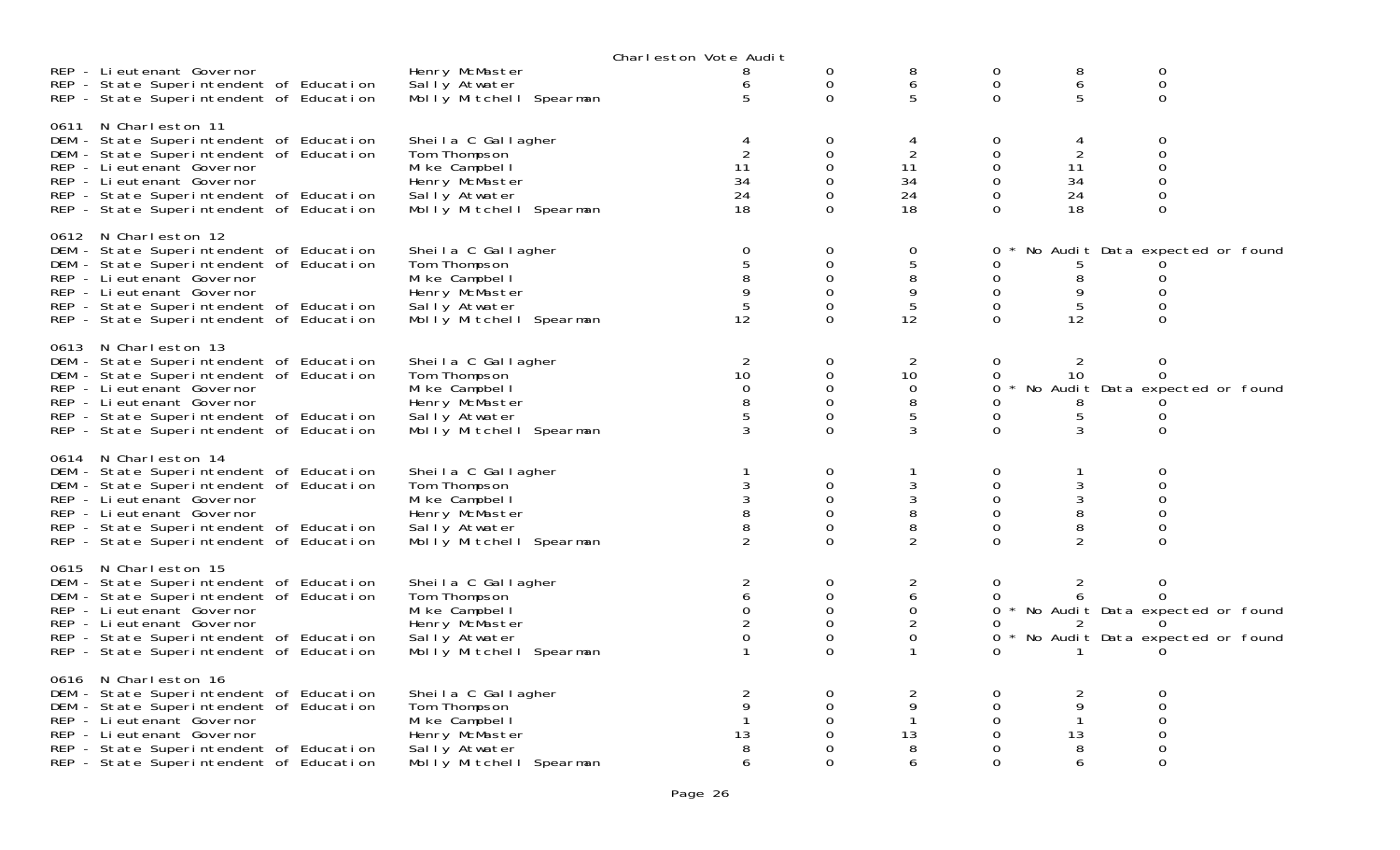|                                         |                         | Charleston Vote Audit |                     |                |          |                |                                     |  |
|-----------------------------------------|-------------------------|-----------------------|---------------------|----------------|----------|----------------|-------------------------------------|--|
| REP - Lieutenant Governor               | Henry McMaster          | 8                     | 0                   | 8              | 0        | 8              | 0                                   |  |
| REP - State Superintendent of Education | Sally Atwater           |                       | 0                   | 6              | 0        | 6              | 0                                   |  |
| REP - State Superintendent of Education | Molly Mitchell Spearman | 5                     | $\Omega$            | 5              | $\Omega$ | 5              | $\Omega$                            |  |
|                                         |                         |                       |                     |                |          |                |                                     |  |
| 0611 N Charleston 11                    |                         |                       |                     |                |          |                |                                     |  |
| DEM - State Superintendent of Education | Sheila C Gallagher      |                       | 0                   |                | 0        |                | 0                                   |  |
|                                         |                         |                       |                     |                |          | 4              |                                     |  |
| DEM - State Superintendent of Education | Tom Thompson            |                       | $\Omega$            | $\overline{2}$ | 0        | 2              | $\Omega$                            |  |
| REP - Li eutenant Governor              | Mi ke Campbel I         | 11                    | $\mathsf{O}\xspace$ | 11             | 0        | 11             | 0                                   |  |
| REP - Li eutenant Governor              | Henry McMaster          | 34                    | $\Omega$            | 34             | 0        | 34             | 0                                   |  |
| REP - State Superintendent of Education | Sally Atwater           | 24                    | 0                   | 24             | 0        | 24             | 0                                   |  |
| REP - State Superintendent of Education | Molly Mitchell Spearman | 18                    | $\Omega$            | 18             | $\Omega$ | 18             | $\overline{0}$                      |  |
|                                         |                         |                       |                     |                |          |                |                                     |  |
| 0612 N Charleston 12                    |                         |                       |                     |                |          |                |                                     |  |
| DEM - State Superintendent of Education | Sheila C Gallagher      | $\mathbf 0$           | 0                   | $\mathbf 0$    | 0        |                | No Audit Data expected or found     |  |
| DEM - State Superintendent of Education | Tom Thompson            | 5                     | 0                   | 5              | 0        |                |                                     |  |
| REP - Li eutenant Governor              | Mi ke Campbel I         |                       | $\Omega$            | 8              | 0        | 8              | 0                                   |  |
|                                         |                         |                       |                     |                |          |                |                                     |  |
| REP - Lieutenant Governor               | Henry McMaster          | 9                     | $\mathbf 0$         | 9              | 0        | 9              | 0                                   |  |
| REP - State Superintendent of Education | Sally Atwater           | 5                     | $\Omega$            | 5              | 0        | 5              | O                                   |  |
| REP - State Superintendent of Education | Molly Mitchell Spearman | 12                    | $\Omega$            | 12             | $\Omega$ | 12             | $\Omega$                            |  |
|                                         |                         |                       |                     |                |          |                |                                     |  |
| 0613 N Charleston 13                    |                         |                       |                     |                |          |                |                                     |  |
| DEM - State Superintendent of Education | Sheila C Gallagher      | 2                     | 0                   | 2              | 0        | 2              | 0                                   |  |
| DEM - State Superintendent of Education | Tom Thompson            | 10                    | 0                   | 10             | 0        | 10             | 0                                   |  |
| REP - Lieutenant Governor               | Mi ke Campbel I         | $\Omega$              | $\mathbf 0$         | $\mathbf 0$    | 0        |                | No Audit Data expected or found     |  |
| REP - Lieutenant Governor               | Henry McMaster          |                       | $\mathbf 0$         | 8              | 0        | 8              |                                     |  |
| REP - State Superintendent of Education | Sally Atwater           | 5                     | $\mathbf 0$         | 5              | 0        | 5              | 0                                   |  |
|                                         | Molly Mitchell Spearman |                       | $\Omega$            | 3              | $\Omega$ | 3              | $\Omega$                            |  |
| REP - State Superintendent of Education |                         |                       |                     |                |          |                |                                     |  |
| 0614 N Charleston 14                    |                         |                       |                     |                |          |                |                                     |  |
| DEM - State Superintendent of Education | Sheila C Gallagher      |                       | 0                   |                | 0        |                | 0                                   |  |
|                                         |                         | 3                     | 0                   | 3              | 0        | 3              | $\Omega$                            |  |
| DEM - State Superintendent of Education | Tom Thompson            |                       |                     |                |          |                |                                     |  |
| REP - Li eutenant Governor              | Mi ke Campbel I         |                       | 0                   | 3              | 0        | 3              | 0                                   |  |
| REP - Li eutenant Governor              | Henry McMaster          | 8                     | $\overline{O}$      | $\, 8$         | 0        | 8              | 0                                   |  |
| REP - State Superintendent of Education | Sally Atwater           |                       | $\mathbf 0$         | 8              | 0        | 8              | 0                                   |  |
| REP - State Superintendent of Education | Molly Mitchell Spearman | 2                     | $\Omega$            | $\overline{2}$ | $\Omega$ | $\overline{2}$ | $\Omega$                            |  |
|                                         |                         |                       |                     |                |          |                |                                     |  |
| 0615 N Charleston 15                    |                         |                       |                     |                |          |                |                                     |  |
| DEM - State Superintendent of Education | Sheila C Gallagher      | 2                     | 0                   | 2              | 0        | $\overline{2}$ | 0                                   |  |
| DEM - State Superintendent of Education | Tom Thompson            | 6                     | 0                   | 6              | 0        | 6              | 0                                   |  |
| REP - Li eutenant Governor              | Mi ke Campbel I         | $\mathbf 0$           | 0                   | $\mathbf 0$    |          |                | 0 * No Audit Data expected or found |  |
| REP - Li eutenant Governor              | Henry McMaster          |                       | $\mathbf 0$         | 2              | 0        |                |                                     |  |
| REP - State Superintendent of Education | Sally Atwater           | $\Omega$              | $\mathbf 0$         | $\mathbf 0$    | 0        |                | * No Audit Data expected or found   |  |
| REP - State Superintendent of Education | Molly Mitchell Spearman |                       | $\Omega$            |                |          |                |                                     |  |
|                                         |                         |                       |                     |                |          |                |                                     |  |
| 0616 N Charleston 16                    |                         |                       |                     |                |          |                |                                     |  |
| DEM - State Superintendent of Education | Sheila C Gallagher      | $\overline{2}$        | $\Omega$            | 2              | $\Omega$ | 2              | $\Omega$                            |  |
| DEM - State Superintendent of Education | Tom Thompson            | 9                     | 0                   | 9              | 0        | 9              | 0                                   |  |
|                                         | Mike Campbell           |                       | 0                   |                | 0        | 1              |                                     |  |
| REP - Lieutenant Governor               |                         |                       |                     | 13             |          |                | 0                                   |  |
| REP - Lieutenant Governor               | Henry McMaster          | 13                    | 0                   |                | 0        | 13             |                                     |  |
| REP - State Superintendent of Education | Sally Atwater           |                       |                     | 8              | 0        | 8              | 0                                   |  |
| REP - State Superintendent of Education | Molly Mitchell Spearman | 6                     | $\Omega$            | 6              | $\Omega$ | 6              | 0                                   |  |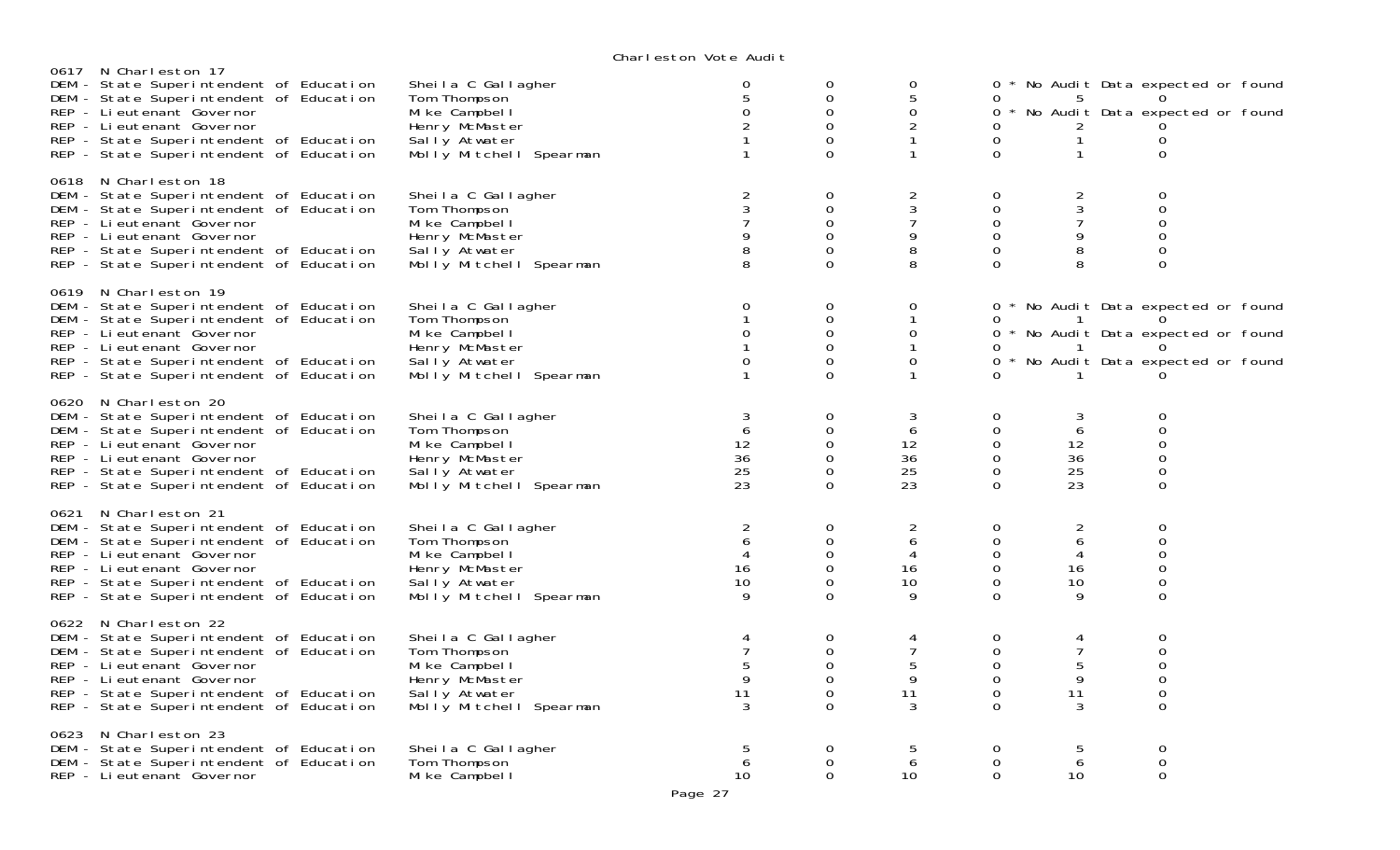| 0617 N Charleston 17                    |                         |                |             |                |                |                |                                     |  |
|-----------------------------------------|-------------------------|----------------|-------------|----------------|----------------|----------------|-------------------------------------|--|
| DEM - State Superintendent of Education | Sheila C Gallagher      | 0              | 0           | 0              | $\mathbf{O}$   |                | * No Audit Data expected or found   |  |
| DEM - State Superintendent of Education | Tom Thompson            | 5              | 0           | 5              | $\Omega$       | $\mathbf{b}$   |                                     |  |
| REP - Li eutenant Governor              | Mike Campbell           | $\Omega$       | $\mathbf 0$ | 0              | 0              |                | * No Audit Data expected or found   |  |
| REP - Lieutenant Governor               | Henry McMaster          |                | 0           | 2              | 0              |                |                                     |  |
| REP - State Superintendent of Education | Sally Atwater           |                | $\Omega$    | $\mathbf{1}$   | $\Omega$       | 1              | 0                                   |  |
| REP - State Superintendent of Education | Molly Mitchell Spearman |                | $\Omega$    |                | $\Omega$       | 1              | $\Omega$                            |  |
|                                         |                         |                |             |                |                |                |                                     |  |
| 0618 N Charleston 18                    |                         |                |             |                |                |                |                                     |  |
| DEM - State Superintendent of Education | Sheila C Gallagher      | 2              | $\Omega$    | $\frac{2}{3}$  | $\Omega$       | $\frac{2}{3}$  | $\Omega$                            |  |
| DEM - State Superintendent of Education | Tom Thompson            | 3              | 0           |                | $\mathbf 0$    |                | $\mathbf 0$                         |  |
| REP - Lieutenant Governor               | Mike Campbell           |                | $\Omega$    | $\overline{7}$ | 0              | $\overline{7}$ | 0                                   |  |
| REP - Lieutenant Governor               | Henry McMaster          | 9              | $\Omega$    | 9              | 0              | 9              | 0                                   |  |
| REP - State Superintendent of Education | Sally Atwater           |                |             | 8              | $\Omega$       | 8              | 0                                   |  |
| REP - State Superintendent of Education | Molly Mitchell Spearman | 8              | $\Omega$    | 8              | $\Omega$       | 8              | 0                                   |  |
| 0619 N Charleston 19                    |                         |                |             |                |                |                |                                     |  |
| DEM - State Superintendent of Education | Sheila C Gallagher      | 0              | 0           | 0              |                |                | 0 * No Audit Data expected or found |  |
| DEM - State Superintendent of Education | Tom Thompson            |                | 0           | 1              | 0              |                |                                     |  |
| REP - Lieutenant Governor               | Mi ke Campbel I         | $\Omega$       | $\Omega$    | 0              |                |                | 0 * No Audit Data expected or found |  |
| REP - Li eutenant Governor              | Henry McMaster          |                | $\Omega$    |                | O              |                |                                     |  |
| REP - State Superintendent of Education | Sally Atwater           |                | 0           | 0              | $\overline{O}$ |                | * No Audit Data expected or found   |  |
| REP - State Superintendent of Education | Molly Mitchell Spearman |                | $\Omega$    |                | 0              |                |                                     |  |
| 0620 N Charleston 20                    |                         |                |             |                |                |                |                                     |  |
| DEM - State Superintendent of Education | Sheila C Gallagher      | 3              | 0           | 3              | 0              | 3              | 0                                   |  |
| DEM - State Superintendent of Education | Tom Thompson            | 6              | 0           | 6              | 0              | 6              | 0                                   |  |
| REP - Lieutenant Governor               | Mi ke Campbel I         | 12             | 0           | 12             | 0              | 12             | 0                                   |  |
| REP - Lieutenant Governor               | Henry McMaster          | 36             | $\mathbf 0$ | 36             | $\mathbf 0$    | 36             | 0                                   |  |
| REP - State Superintendent of Education | Sally Atwater           | 25             | $\Omega$    | 25             | $\Omega$       | 25             | 0                                   |  |
| REP - State Superintendent of Education | Molly Mitchell Spearman | 23             | $\Omega$    | 23             | $\Omega$       | 23             | 0                                   |  |
|                                         |                         |                |             |                |                |                |                                     |  |
| 0621 N Charleston 21                    |                         |                |             |                |                |                |                                     |  |
| DEM - State Superintendent of Education | Sheila C Gallagher      | $\overline{2}$ | 0           | 2              | 0              | 2              | 0                                   |  |
| DEM - State Superintendent of Education | Tom Thompson            | 6              | $\mathbf 0$ | 6              | $\Omega$       | 6              | 0                                   |  |
| REP - Li eutenant Governor              | Mi ke Campbel I         | 4              | 0           | 4              | $\mathbf 0$    | 4              | 0                                   |  |
| REP - Lieutenant Governor               | Henry McMaster          | 16             | $\Omega$    | 16             | 0              | 16             | $\Omega$                            |  |
| REP - State Superintendent of Education | Sally Atwater           | 10             | 0           | 10             | 0              | 10             | 0                                   |  |
| REP - State Superintendent of Education | Molly Mitchell Spearman | 9              | $\Omega$    | 9              | $\Omega$       | 9              | $\Omega$                            |  |
| 0622 N Charleston 22                    |                         |                |             |                |                |                |                                     |  |
| DEM - State Superintendent of Education | Sheila C Gallagher      | 4              | 0           | 4              | 0              | 4              | 0                                   |  |
| DEM - State Superintendent of Education | Tom Thompson            | $\overline{7}$ | $\Omega$    | 7              | 0              | $\overline{7}$ | $\mathbf 0$                         |  |
| REP - Li eutenant Governor              | Mike Campbell           | 5              | $\Omega$    | 5              | $\Omega$       | 5              | 0                                   |  |
| REP - Lieutenant Governor               | Henry McMaster          | 9              | $\Omega$    | 9              | $\Omega$       | 9              | 0                                   |  |
| REP - State Superintendent of Education | Sally Atwater           | 11             | 0           | 11             | 0              | 11             | $\mathbf 0$                         |  |
| REP - State Superintendent of Education | Molly Mitchell Spearman | 3              |             | 3              | $\Omega$       | 3              | $\Omega$                            |  |
| 0623 N Charleston 23                    |                         |                |             |                |                |                |                                     |  |
| DEM - State Superintendent of Education | Sheila C Gallagher      | 5              | 0           | 5              | 0              | 5              | $\mathbf 0$                         |  |
| DEM - State Superintendent of Education | Tom Thompson            | 6              | $\Omega$    | 6              | $\Omega$       | 6              | 0                                   |  |
| REP - Lieutenant Governor               | Mike Campbell           | 10             | 0           | 10             | $\Omega$       | 10             | $\mathbf 0$                         |  |
|                                         |                         |                |             |                |                |                |                                     |  |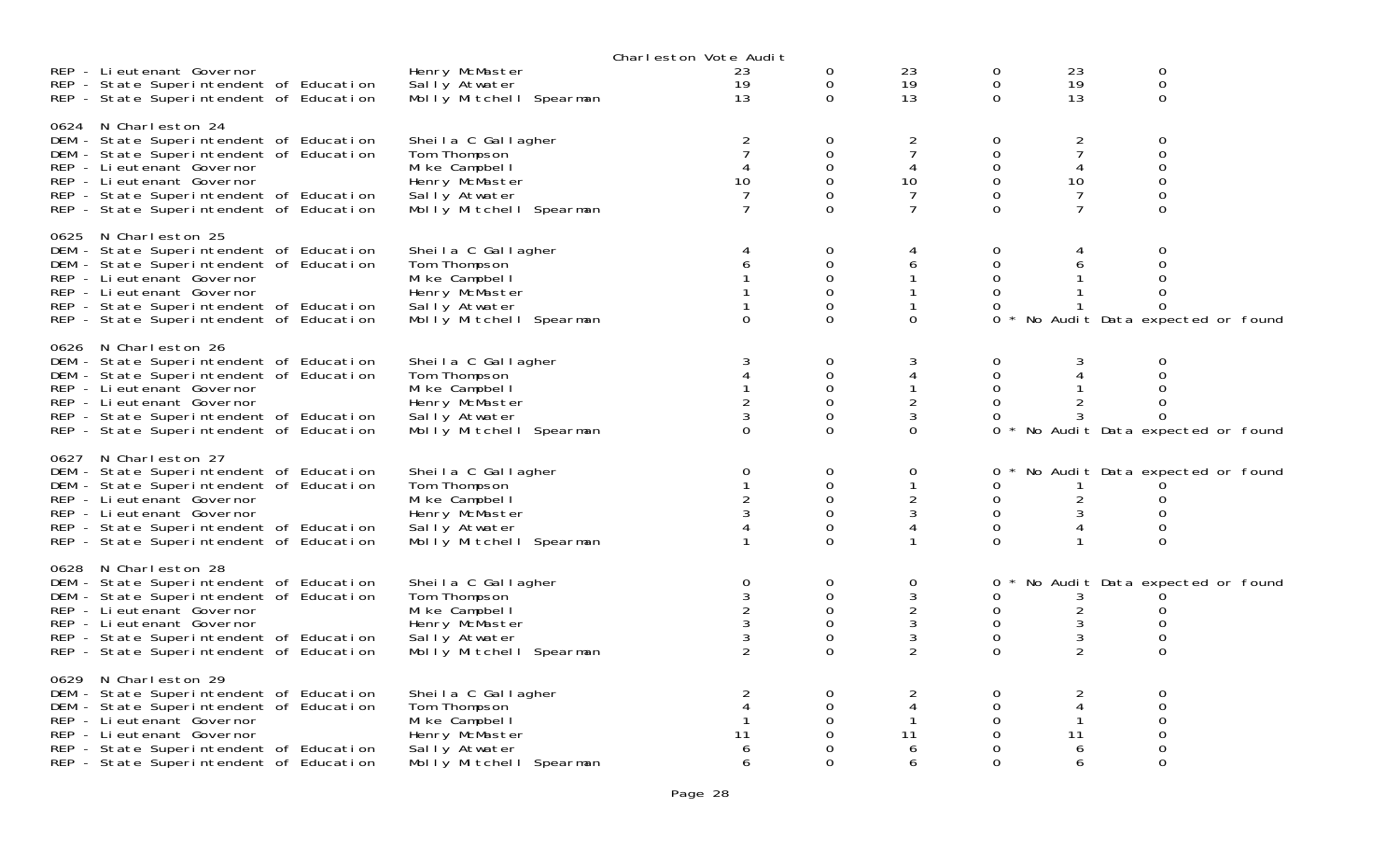|      |                                                                                                                                                                                                                                                              |                                                                                                                     | Charleston Vote Audit                                    |                                                                               |                                                       |                                                 |                                                 |                                                                                                   |  |
|------|--------------------------------------------------------------------------------------------------------------------------------------------------------------------------------------------------------------------------------------------------------------|---------------------------------------------------------------------------------------------------------------------|----------------------------------------------------------|-------------------------------------------------------------------------------|-------------------------------------------------------|-------------------------------------------------|-------------------------------------------------|---------------------------------------------------------------------------------------------------|--|
|      | REP - Lieutenant Governor<br>REP - State Superintendent of Education<br>REP - State Superintendent of Education                                                                                                                                              | Henry McMaster<br>Sally Atwater<br>Molly Mitchell Spearman                                                          | 23<br>19<br>13                                           | 0<br>$\mathbf 0$<br>$\Omega$                                                  | 23<br>19<br>13                                        | 0<br>$\mathbf 0$<br>$\Omega$                    | 23<br>19<br>13                                  | $\mathbf 0$<br>$\mathbf 0$<br>$\Omega$                                                            |  |
|      | 0624 N Charleston 24<br>DEM - State Superintendent of Education<br>DEM - State Superintendent of Education<br>REP - Li eutenant Governor<br>REP - Li eutenant Governor<br>REP - State Superintendent of Education<br>REP - State Superintendent of Education | Sheila C Gallagher<br>Tom Thompson<br>Mike Campbell<br>Henry McMaster<br>Sally Atwater<br>Molly Mitchell Spearman   | $\overline{2}$<br>$\overline{7}$<br>10<br>$\overline{7}$ | 0<br>$\mathbf 0$<br>$\mathbf 0$<br>$\mathbf 0$<br>$\Omega$                    | $\overline{2}$<br>$\overline{7}$<br>4<br>10<br>7<br>7 | 0<br>0<br>0<br>$\Omega$<br>$\Omega$             | 2<br>7<br>4<br>10<br>$\overline{7}$             | $\mathbf 0$<br>$\mathbf 0$<br>$\mathbf 0$<br>$\mathbf 0$<br>0<br>$\Omega$                         |  |
| 0625 | N Charleston 25<br>DEM - State Superintendent of Education<br>DEM - State Superintendent of Education<br>REP - Li eutenant Governor<br>REP - Lieutenant Governor<br>REP - State Superintendent of Education<br>REP - State Superintendent of Education       | Sheila C Gallagher<br>Tom Thompson<br>Mi ke Campbel I<br>Henry McMaster<br>Sally Atwater<br>Molly Mitchell Spearman | 6<br>$\Omega$                                            | 0<br>$\mathbf 0$<br>$\Omega$<br>$\Omega$<br>0<br>$\Omega$                     | 6<br>$\Omega$                                         | 0<br>0<br>$\Omega$<br>$\Omega$<br>0<br>$\Omega$ | 6                                               | $\mathbf 0$<br>$\mathbf 0$<br>$\Omega$<br>$\Omega$<br>$\Omega$<br>No Audit Data expected or found |  |
|      | 0626 N Charleston 26<br>DEM - State Superintendent of Education<br>DEM - State Superintendent of Education<br>REP - Lieutenant Governor<br>REP - Lieutenant Governor<br>REP - State Superintendent of Education<br>REP - State Superintendent of Education   | Sheila C Gallagher<br>Tom Thompson<br>Mike Campbell<br>Henry McMaster<br>Sally Atwater<br>Molly Mitchell Spearman   | 3<br>$\overline{4}$<br>$\overline{2}$<br>0               | $\mathbf 0$<br>$\mathbf 0$<br>$\Omega$<br>$\mathbf 0$<br>$\Omega$<br>$\Omega$ | 3<br>4<br>$\overline{2}$<br>3<br>$\Omega$             | 0<br>0<br>$\Omega$<br>0<br>0                    | 3<br>4<br>$\overline{2}$                        | $\mathbf 0$<br>$\mathbf 0$<br>$\Omega$<br>0<br>$\Omega$<br>* No Audit Data expected or found      |  |
|      | 0627 N Charleston 27<br>DEM - State Superintendent of Education<br>DEM - State Superintendent of Education<br>REP - Lieutenant Governor<br>REP - Lieutenant Governor<br>REP - State Superintendent of Education<br>REP - State Superintendent of Education   | Sheila C Gallagher<br>Tom Thompson<br>Mike Campbell<br>Henry McMaster<br>Sally Atwater<br>Molly Mitchell Spearman   | 0                                                        | 0<br>$\mathbf 0$<br>$\mathbf 0$<br>$\Omega$<br>0<br>$\Omega$                  | 0<br>$\overline{c}$<br>3<br>4                         | 0<br>0<br>0<br>0<br>$\Omega$                    | $\overline{2}$<br>3<br>4                        | No Audit Data expected or found<br>0<br>$\Omega$<br>$\mathbf 0$<br>$\Omega$                       |  |
|      | 0628 N Charleston 28<br>DEM - State Superintendent of Education<br>DEM - State Superintendent of Education<br>REP - Li eutenant Governor<br>REP - Lieutenant Governor<br>REP - State Superintendent of Education<br>REP - State Superintendent of Education  | Sheila C Gallagher<br>Tom Thompson<br>Mi ke Campbel I<br>Henry McMaster<br>Sally Atwater<br>Molly Mitchell Spearman | 0<br>$\frac{3}{2}$                                       | 0<br>0<br>$\Omega$<br>$\Omega$<br>0<br>$\Omega$                               | 0<br>3<br>2<br>3<br>3<br>$\overline{2}$               | 0<br>0<br>0<br>0<br>0<br>$\Omega$               | 3<br>$\overline{c}$<br>3<br>3<br>$\overline{2}$ | No Audit Data expected or found<br>0<br>$\Omega$<br>$\mathbf 0$<br>$\Omega$                       |  |
|      | 0629 N Charleston 29<br>DEM - State Superintendent of Education<br>DEM - State Superintendent of Education<br>REP - Li eutenant Governor<br>REP - Lieutenant Governor<br>REP - State Superintendent of Education<br>REP - State Superintendent of Education  | Sheila C Gallagher<br>Tom Thompson<br>Mike Campbell<br>Henry McMaster<br>Sally Atwater<br>Molly Mitchell Spearman   | 4<br>11<br>6<br>6                                        | 0<br>$\Omega$<br>0<br>0<br>$\Omega$                                           | $\overline{2}$<br>4<br>11<br>6<br>6                   | 0<br>0<br>0<br>0<br>$\Omega$                    | $\overline{2}$<br>4<br>11<br>6<br>6             | $\mathbf 0$<br>$\Omega$<br>$\Omega$<br>$\mathbf 0$<br>0<br>$\Omega$                               |  |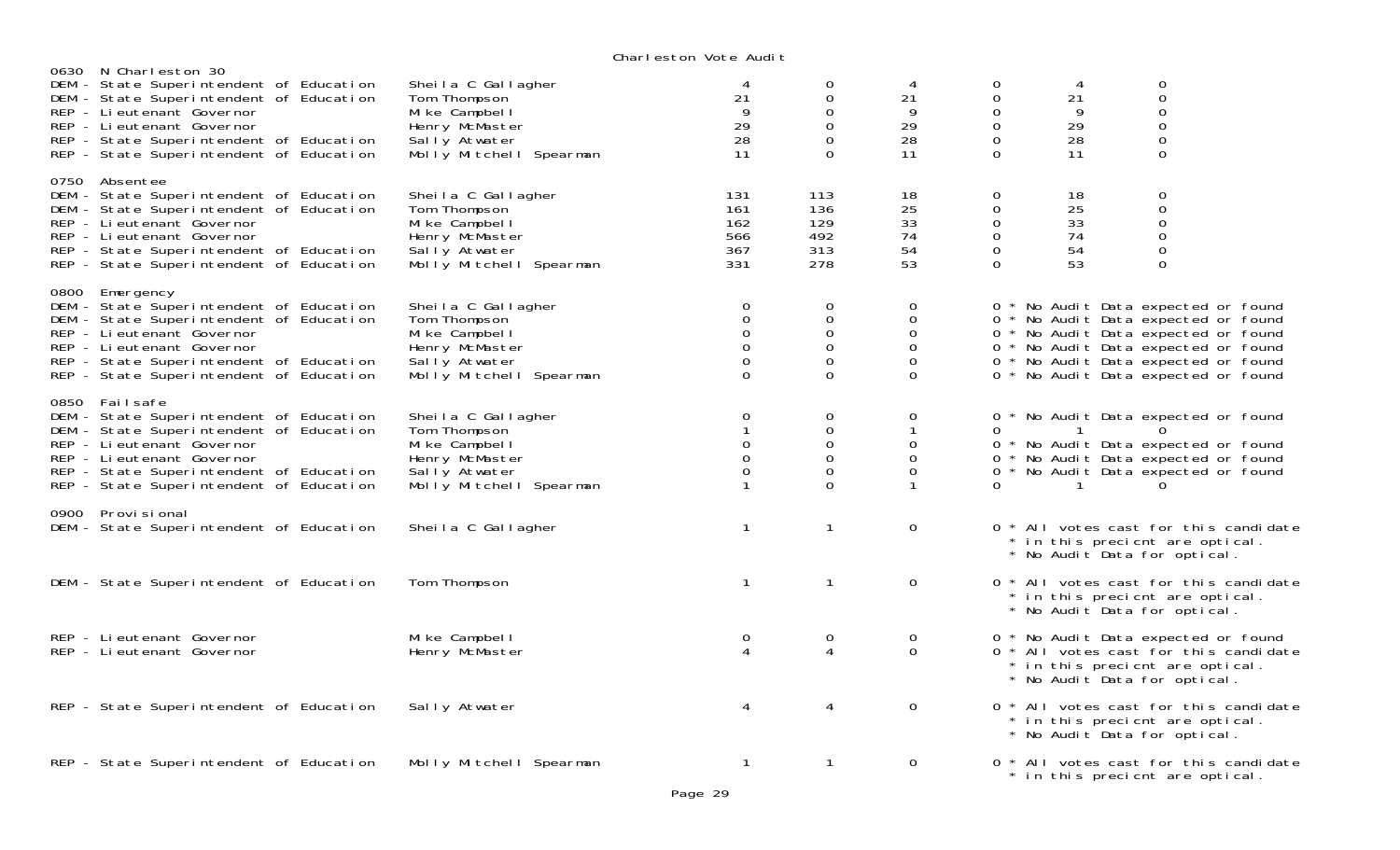| 0630 N Charleston 30                                                                                                                                                                                                                                  |                                                                                                                     | onar reston vote naart                                                                                  |                                                                                                        |                                                                                              |                                                                                             |                                  |                                                                                                                                                                                                                                        |  |
|-------------------------------------------------------------------------------------------------------------------------------------------------------------------------------------------------------------------------------------------------------|---------------------------------------------------------------------------------------------------------------------|---------------------------------------------------------------------------------------------------------|--------------------------------------------------------------------------------------------------------|----------------------------------------------------------------------------------------------|---------------------------------------------------------------------------------------------|----------------------------------|----------------------------------------------------------------------------------------------------------------------------------------------------------------------------------------------------------------------------------------|--|
| DEM - State Superintendent of Education<br>DEM - State Superintendent of Education<br>REP - Li eutenant Governor<br>REP - Li eutenant Governor<br>REP - State Superintendent of Education<br>REP - State Superintendent of Education                  | Sheila C Gallagher<br>Tom Thompson<br>Mi ke Campbel I<br>Henry McMaster<br>Sally Atwater<br>Molly Mitchell Spearman | 4<br>21<br>9<br>29<br>28<br>11                                                                          | 0<br>$\mathsf{O}$<br>$\boldsymbol{0}$<br>$\mathsf{O}\xspace$<br>$\mathbf{O}$<br>$\mathbf 0$            | 4<br>21<br>9<br>29<br>28<br>11                                                               | 0<br>$\mathsf{O}\xspace$<br>$\mathbf 0$<br>$\mathbf 0$<br>$\mathbf 0$<br>$\mathbf{O}$       | 4<br>21<br>9<br>29<br>28<br>11   | 0<br>$\overline{0}$<br>0<br>0<br>$\overline{0}$<br>0                                                                                                                                                                                   |  |
| 0750 Absentee<br>DEM - State Superintendent of Education<br>DEM - State Superintendent of Education<br>REP - Li eutenant Governor<br>REP - Lieutenant Governor<br>REP - State Superintendent of Education<br>REP - State Superintendent of Education  | Sheila C Gallagher<br>Tom Thompson<br>Mike Campbell<br>Henry McMaster<br>Sally Atwater<br>Molly Mitchell Spearman   | 131<br>161<br>162<br>566<br>367<br>331                                                                  | 113<br>136<br>129<br>492<br>313<br>278                                                                 | 18<br>25<br>33<br>74<br>54<br>53                                                             | $\mathbf 0$<br>$\mathbf 0$<br>$\mathbf 0$<br>$\mathbf 0$<br>$\mathsf{O}\xspace$<br>$\Omega$ | 18<br>25<br>33<br>74<br>54<br>53 | 0<br>$\boldsymbol{0}$<br>$\mathsf{O}\xspace$<br>$\mathbf 0$<br>0<br>0                                                                                                                                                                  |  |
| 0800 Emergency<br>DEM - State Superintendent of Education<br>DEM - State Superintendent of Education<br>REP - Li eutenant Governor<br>REP - Lieutenant Governor<br>REP - State Superintendent of Education<br>REP - State Superintendent of Education | Sheila C Gallagher<br>Tom Thompson<br>Mike Campbell<br>Henry McMaster<br>Sally Atwater<br>Molly Mitchell Spearman   | 0<br>$_{\rm 0}^{\rm 0}$<br>$\mathbf 0$<br>$\mathsf{O}\xspace$<br>$\Omega$                               | $\mathbf 0$<br>$\mathsf{O}\xspace$<br>$\overline{0}$<br>$\mathbf 0$<br>$\mathsf{O}\xspace$<br>$\Omega$ | $\mathbf{O}$<br>$\mathsf{O}\xspace$<br>$\mathbf 0$<br>$\mathbf 0$<br>$\mathbf 0$<br>$\Omega$ |                                                                                             |                                  | 0 * No Audit Data expected or found<br>0 * No Audit Data expected or found<br>0 * No Audit Data expected or found<br>0 * No Audit Data expected or found<br>0 * No Audit Data expected or found<br>0 * No Audit Data expected or found |  |
| 0850 Failsafe<br>DEM - State Superintendent of Education<br>DEM - State Superintendent of Education<br>REP - Lieutenant Governor<br>REP - Lieutenant Governor<br>REP - State Superintendent of Education<br>REP - State Superintendent of Education   | Sheila C Gallagher<br>Tom Thompson<br>Mike Campbell<br>Henry McMaster<br>Sally Atwater<br>Molly Mitchell Spearman   | $\begin{smallmatrix}0\\1\end{smallmatrix}$<br>$\mathsf{O}\xspace$<br>$\mathsf{O}\xspace$<br>$\mathbf 0$ | 0<br>$\mathbf 0$<br>$\mathsf{O}\xspace$<br>$\mathsf{O}\xspace$<br>$\mathbf 0$<br>$\overline{O}$        | 0<br>$\mathbf{1}$<br>0<br>$\mathbf 0$<br>$\mathbf 0$<br>$\mathbf{1}$                         | 0<br>$\Omega$<br>0<br>$\Omega$<br>0                                                         | $\mathbf{1}$<br>$\mathbf{1}$     | * No Audit Data expected or found<br>0 * No Audit Data expected or found<br>* No Audit Data expected or found<br>* No Audit Data expected or found<br>0                                                                                |  |
| 0900 Provisional<br>DEM - State Superintendent of Education                                                                                                                                                                                           | Sheila C Gallagher                                                                                                  | $\mathbf{1}$                                                                                            | $\mathbf{1}$                                                                                           | $\mathsf{O}$                                                                                 |                                                                                             |                                  | 0 * All votes cast for this candidate<br>* in this precient are optical.<br>* No Audit Data for optical.                                                                                                                               |  |
| DEM - State Superintendent of Education                                                                                                                                                                                                               | Tom Thompson                                                                                                        | $\mathbf{1}$                                                                                            | $\mathbf{1}$                                                                                           | $\mathbf{0}$                                                                                 |                                                                                             |                                  | 0 * All votes cast for this candidate<br>* in this precient are optical.<br>* No Audit Data for optical.                                                                                                                               |  |
| REP - Lieutenant Governor<br>REP - Lieutenant Governor                                                                                                                                                                                                | Mike Campbell<br>Henry McMaster                                                                                     | 0<br>$\boldsymbol{\vartriangle}$                                                                        | 0<br>4                                                                                                 | $\mathbf{O}$<br>$\Omega$                                                                     |                                                                                             |                                  | 0 * No Audit Data expected or found<br>0 * All votes cast for this candidate<br>* in this precient are optical.<br>* No Audit Data for optical.                                                                                        |  |
| REP - State Superintendent of Education                                                                                                                                                                                                               | Sally Atwater                                                                                                       | 4                                                                                                       | 4                                                                                                      | 0                                                                                            |                                                                                             |                                  | 0 * All votes cast for this candidate<br>* in this precient are optical.<br>* No Audit Data for optical.                                                                                                                               |  |
| REP - State Superintendent of Education                                                                                                                                                                                                               | Molly Mitchell Spearman                                                                                             | $\mathbf{1}$                                                                                            | $\mathbf{1}$                                                                                           | $\mathbf 0$                                                                                  |                                                                                             |                                  | 0 * All votes cast for this candidate<br>* in this precient are optical.                                                                                                                                                               |  |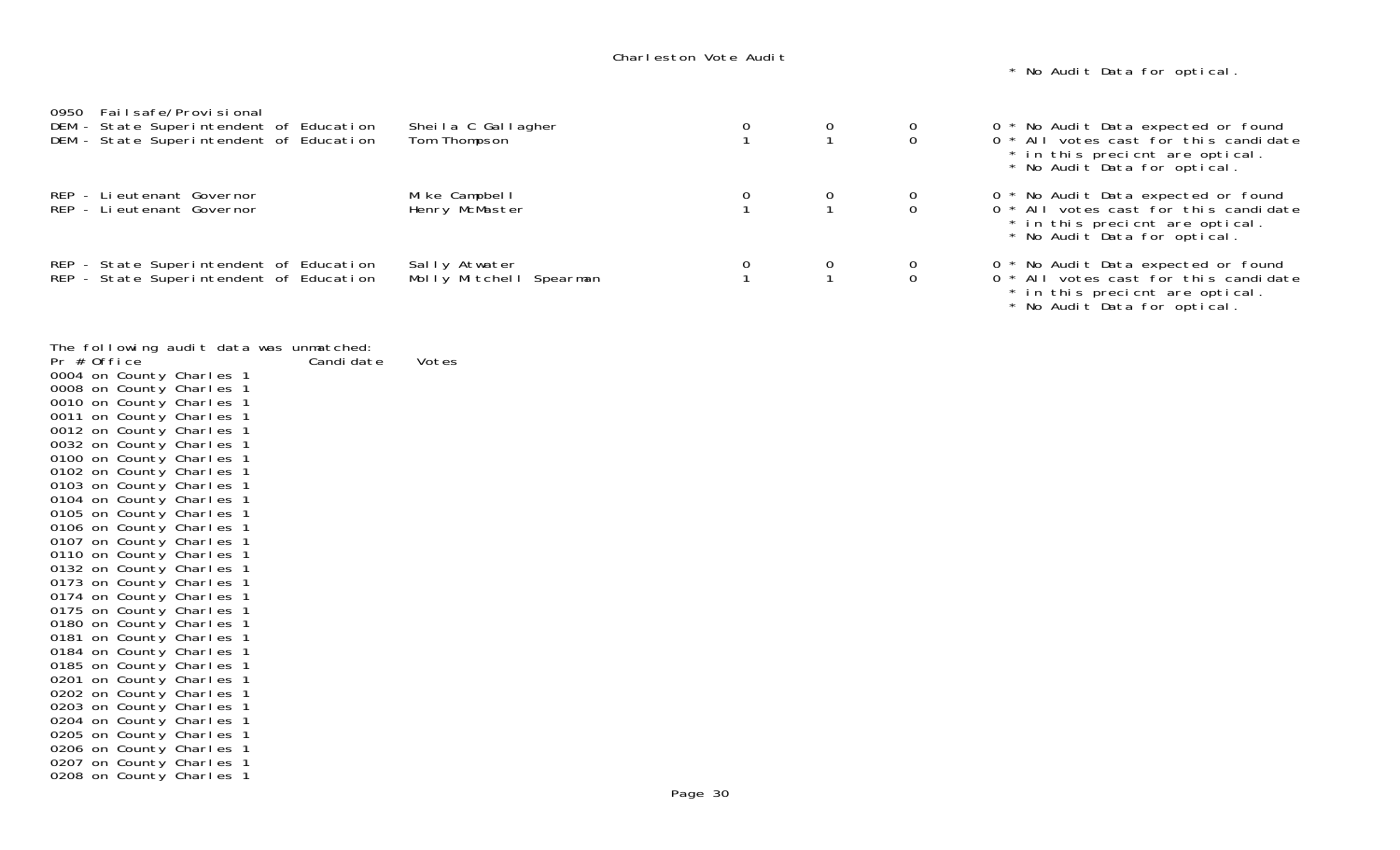\* No Audit Data for optical.

| Failsafe/Provisional<br>0950<br>DEM - State Superintendent of Education<br>DEM - State Superintendent of Education | Sheila C Gallagher<br>Tom Thompson       | $\begin{array}{c} 0 \\ 1 \end{array}$               |                                      | 0 * No Audit Data expected or found<br>0 * All votes cast for this candidate<br>* in this precient are optical.<br>* No Audit Data for optical. |
|--------------------------------------------------------------------------------------------------------------------|------------------------------------------|-----------------------------------------------------|--------------------------------------|-------------------------------------------------------------------------------------------------------------------------------------------------|
| REP - Lieutenant Governor<br>REP - Lieutenant Governor                                                             | Mike Campbell<br>Henry McMaster          |                                                     | $\begin{matrix} 0 \\ 0 \end{matrix}$ | 0 * No Audit Data expected or found<br>0 * All votes cast for this candidate<br>* in this precient are optical.<br>* No Audit Data for optical. |
| REP - State Superintendent of Education<br>REP - State Superintendent of Education                                 | Sally Atwater<br>Molly Mitchell Spearman | $\begin{array}{ccc} 0 & & 0 \\ 1 & & 1 \end{array}$ | $\frac{0}{0}$                        | 0 * No Audit Data expected or found<br>0 * All votes cast for this candidate<br>* in this precient are optical.                                 |

\* No Audit Data for optical.

|                                                  |  |                             | The following audit data was unmatched: |       |
|--------------------------------------------------|--|-----------------------------|-----------------------------------------|-------|
| Pr # Office                                      |  |                             | Candi date                              | Votes |
| 0004 on County Charles 1                         |  |                             |                                         |       |
| 0008 on County Charles 1                         |  |                             |                                         |       |
| 0010 on County Charles                           |  | $\mathbf 1$                 |                                         |       |
| 0011 on County Charles                           |  | -1                          |                                         |       |
| 0012 on County Charles                           |  | $\overline{\mathbf{1}}$     |                                         |       |
| 0032 on County Charles                           |  | $\mathbf{1}$                |                                         |       |
| 0100 on County Charles                           |  | $\mathbf 1$                 |                                         |       |
| 0102 on County Charles                           |  | $\mathbf{1}$                |                                         |       |
| 0103 on County Charles 1                         |  |                             |                                         |       |
| 0104 on County Charles                           |  | $\mathbf 1$                 |                                         |       |
| 0105 on County Charles                           |  | $\mathbf 1$                 |                                         |       |
| 0106 on County Charles                           |  | $\overline{\mathbf{1}}$     |                                         |       |
| 0107 on County Charles<br>0110 on County Charles |  | $\mathbf{1}$<br>$\mathbf 1$ |                                         |       |
| 0132 on County Charles                           |  | $\mathbf{1}$                |                                         |       |
| 0173 on County Charles 1                         |  |                             |                                         |       |
| 0174 on County Charles                           |  | $\mathbf 1$                 |                                         |       |
| 0175 on County Charles                           |  | -1                          |                                         |       |
| 0180 on County Charles                           |  | $\mathbf{1}$                |                                         |       |
| 0181 on County Charles                           |  | $\mathbf{1}$                |                                         |       |
| 0184 on County Charles                           |  | $\mathbf 1$                 |                                         |       |
| 0185 on County Charles                           |  | $\mathbf{1}$                |                                         |       |
| 0201 on County Charles 1                         |  |                             |                                         |       |
| 0202 on County Charles                           |  | $\mathbf 1$                 |                                         |       |
| 0203 on County Charles                           |  | -1                          |                                         |       |
| 0204 on County Charles                           |  | $\mathbf{1}$                |                                         |       |
| 0205 on County Charles                           |  | $\mathbf{1}$                |                                         |       |
| 0206 on County Charles                           |  | $\mathbf 1$                 |                                         |       |
| 0207 on County Charles 1                         |  |                             |                                         |       |
| 0208 on County Charles 1                         |  |                             |                                         |       |
|                                                  |  |                             |                                         |       |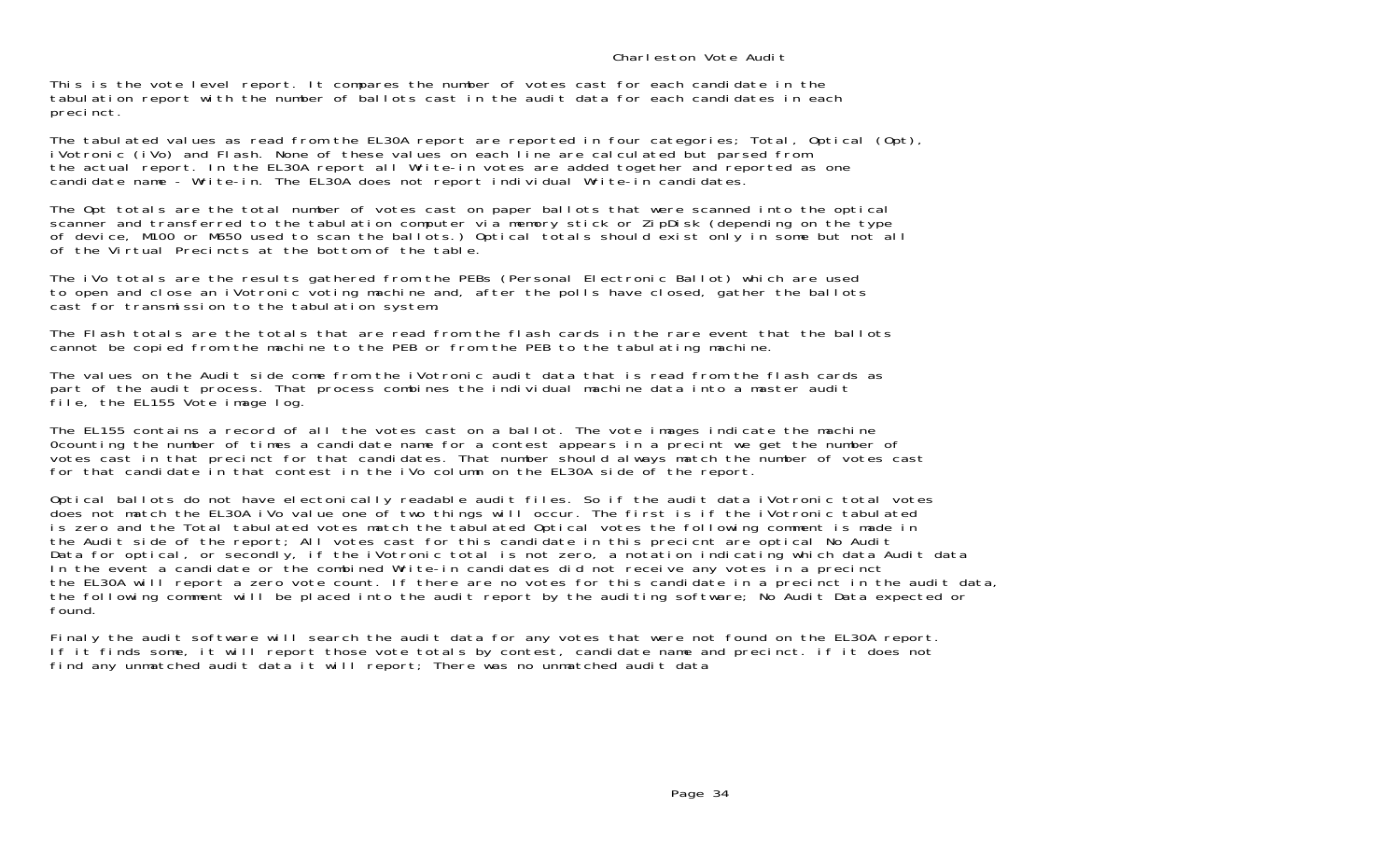This is the vote level report. It compares the number of votes cast for each candidate in the tabulation report with the number of ballots cast in the audit data for each candidates in each precinct.

The tabulated values as read from the EL30A report are reported in four categories; Total, Optical (Opt), iVotronic (iVo) and Flash. None of these values on each line are calculated but parsed from the actual report. In the EL30A report all Write-in votes are added together and reported as one candidate name - Write-in. The EL30A does not report individual Write-in candidates.

The Opt totals are the total number of votes cast on paper ballots that were scanned into the optical scanner and transferred to the tabulation computer via memory stick or ZipDisk (depending on the type of device, M100 or M650 used to scan the ballots.) Optical totals should exist only in some but not all of the Virtual Precincts at the bottom of the table.

The iVo totals are the results gathered from the PEBs (Personal Electronic Ballot) which are used to open and close an iVotronic voting machine and, after the polls have closed, gather the ballots cast for transmission to the tabulation system.

The Flash totals are the totals that are read from the flash cards in the rare event that the ballotscannot be copied from the machine to the PEB or from the PEB to the tabulating machine.

The values on the Audit side come from the iVotronic audit data that is read from the flash cards as part of the audit process. That process combines the individual machine data into a master audit file, the EL155 Vote image log.

The EL155 contains a record of all the votes cast on a ballot. The vote images indicate the machine 0counting the number of times a candidate name for a contest appears in a precint we get the number of votes cast in that precinct for that candidates. That number should always match the number of votes cast for that candidate in that contest in the iVo column on the EL30A side of the report.

Optical ballots do not have electonically readable audit files. So if the audit data iVotronic total votes does not match the EL30A iVo value one of two things will occur. The first is if the iVotronic tabulated is zero and the Total tabulated votes match the tabulated Optical votes the following comment is made in the Audit side of the report; All votes cast for this candidate in this precicnt are optical No Audit Data for optical, or secondly, if the iVotronic total is not zero, a notation indicating which data Audit data In the event a candidate or the combined Write-in candidates did not receive any votes in a precinct the EL30A will report a zero vote count. If there are no votes for this candidate in a precinct in the audit data, the following comment will be placed into the audit report by the auditing software; No Audit Data expected or found.

Finaly the audit software will search the audit data for any votes that were not found on the EL30A report. If it finds some, it will report those vote totals by contest, candidate name and precinct. if it does not find any unmatched audit data it will report; There was no unmatched audit data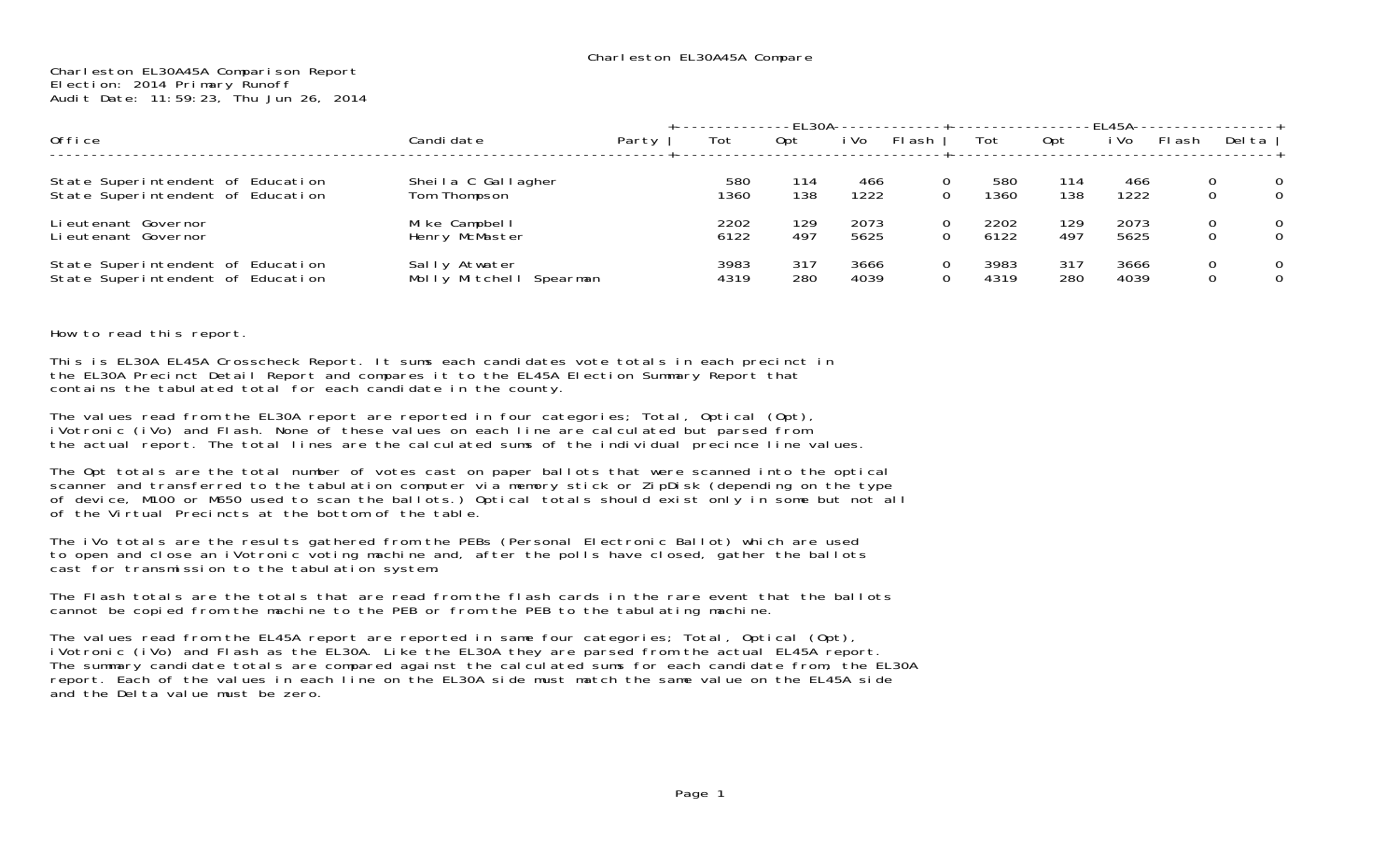## Charleston EL30A45A Comparison Report Election: 2014 Primary Runoff Audit Date: 11:59:23, Thu Jun 26, 2014

|                                                                        |                                          |       |              |            |              |        |              |            | -FI 45A---   |       |                  |        |
|------------------------------------------------------------------------|------------------------------------------|-------|--------------|------------|--------------|--------|--------------|------------|--------------|-------|------------------|--------|
| Office                                                                 | Candi date                               | Party | Tot          | Opt        | i Vo         | FI ash | Tot          | 0pt        | i Vo         | Flash | Del ta           |        |
| State Superintendent of Education<br>State Superintendent of Education | Sheila C Gallagher<br>Tom Thompson       |       | 580<br>1360  | 114<br>138 | 466<br>1222  | 0<br>0 | 580<br>1360  | 114<br>138 | 466<br>1222  |       | 0<br>$\mathbf 0$ | 0<br>0 |
| Li eutenant Governor<br>Lieutenant Governor                            | Mike Campbell<br>Henry McMaster          |       | 2202<br>6122 | 129<br>497 | 2073<br>5625 | 0      | 2202<br>6122 | 129<br>497 | 2073<br>5625 |       | 0<br>0           | 0<br>0 |
| State Superintendent of Education<br>State Superintendent of Education | Sally Atwater<br>Molly Mitchell Spearman |       | 3983<br>4319 | 317<br>280 | 3666<br>4039 | O<br>0 | 3983<br>4319 | 317<br>280 | 3666<br>4039 |       | 0<br>0           | 0<br>0 |

How to read this report.

This is EL30A EL45A Crosscheck Report. It sums each candidates vote totals in each precinct in the EL30A Precinct Detail Report and compares it to the EL45A Election Summary Report that contains the tabulated total for each candidate in the county.

The values read from the EL30A report are reported in four categories; Total, Optical (Opt), iVotronic (iVo) and Flash. None of these values on each line are calculated but parsed from the actual report. The total lines are the calculated sums of the individual precince line values.

The Opt totals are the total number of votes cast on paper ballots that were scanned into the optical scanner and transferred to the tabulation computer via memory stick or ZipDisk (depending on the type of device, M100 or M650 used to scan the ballots.) Optical totals should exist only in some but not all of the Virtual Precincts at the bottom of the table.

The iVo totals are the results gathered from the PEBs (Personal Electronic Ballot) which are used to open and close an iVotronic voting machine and, after the polls have closed, gather the ballots cast for transmission to the tabulation system.

The Flash totals are the totals that are read from the flash cards in the rare event that the ballots cannot be copied from the machine to the PEB or from the PEB to the tabulating machine.

The values read from the EL45A report are reported in same four categories; Total, Optical (Opt), iVotronic (iVo) and Flash as the EL30A. Like the EL30A they are parsed from the actual EL45A report. The summary candidate totals are compared against the calculated sums for each candidate from, the EL30A report. Each of the values in each line on the EL30A side must match the same value on the EL45A side and the Delta value must be zero.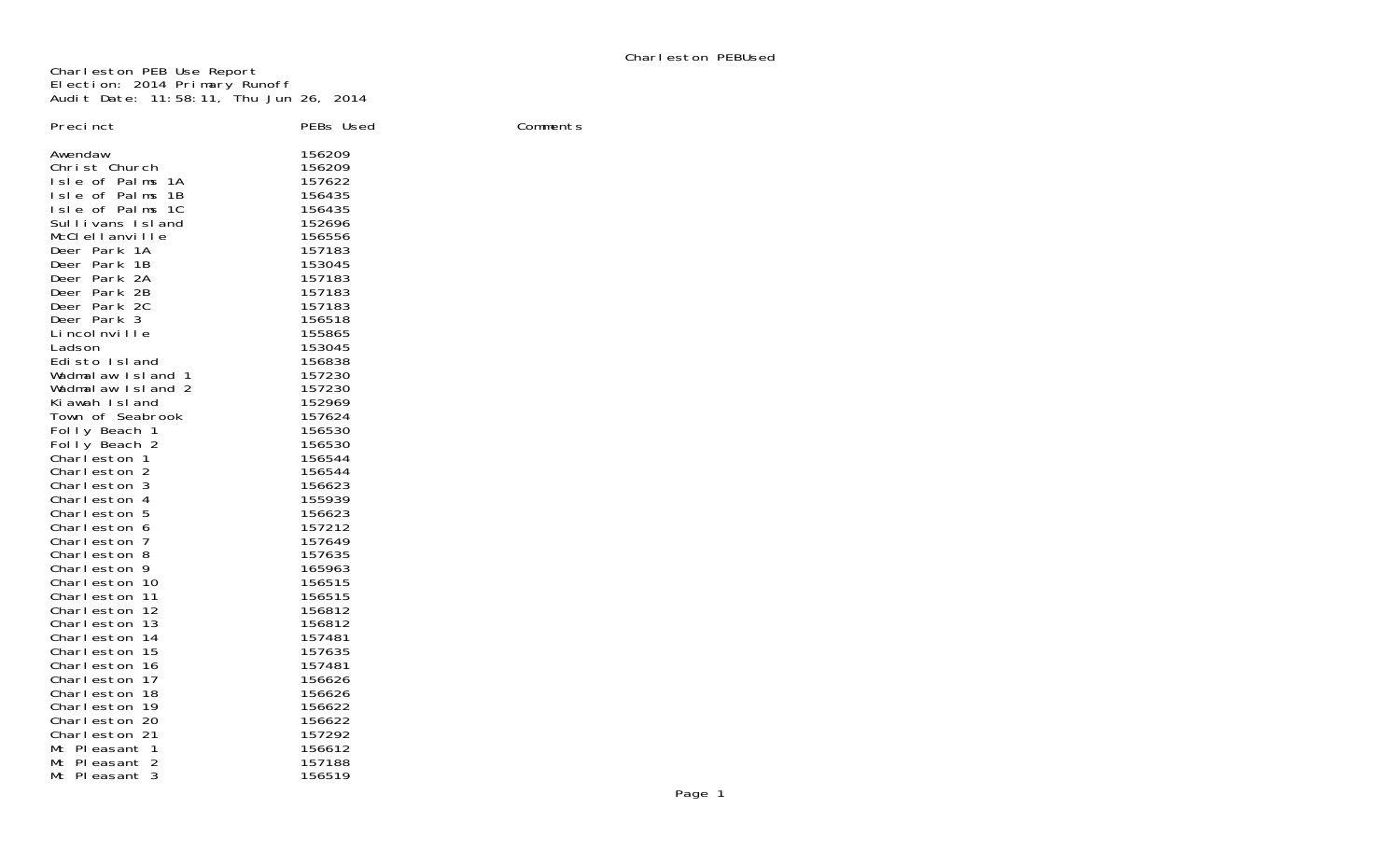Charleston PEB Use Report Election: 2014 Primary Runoff Audit Date: 11:58:11, Thu Jun 26, 2014

| Precinct                                                                                                                                                                                                                                                                                                                                                                                                                                                                                                                                                                  |                                                                                                                                                                                                                                                                                                                                                     |          |
|---------------------------------------------------------------------------------------------------------------------------------------------------------------------------------------------------------------------------------------------------------------------------------------------------------------------------------------------------------------------------------------------------------------------------------------------------------------------------------------------------------------------------------------------------------------------------|-----------------------------------------------------------------------------------------------------------------------------------------------------------------------------------------------------------------------------------------------------------------------------------------------------------------------------------------------------|----------|
| Awendaw<br>Christ Church<br>Isle of Palms 1A<br>Isle of Palms 1B<br>Isle of Palms 1C<br>Sullivans Island<br>McClellanville<br>Deer Park 1A<br>Deer Park 1B<br>Deer Park 2A<br>Deer Park 2B<br>Deer Park 2C<br>Deer Park 3<br>Li ncol nville<br>Ladson<br>Edisto Island<br>Wadmalaw Island 1<br>Wadmalaw Island 2<br>Kiawah Island<br>Town of Seabrook<br>Folly Beach 1<br>Folly Beach 2<br>Charleston 1<br>Charleston 2<br>Charleston 3<br>Charleston 4<br>Charleston 5<br>Charleston 6<br>Charleston 7<br>Charleston 8<br>Charleston 9<br>Charleston 10<br>Charleston 11 | PEBs Used<br>156209<br>156209<br>157622<br>156435<br>156435<br>152696<br>156556<br>157183<br>153045<br>157183<br>157183<br>157183<br>156518<br>155865<br>153045<br>156838<br>157230<br>157230<br>152969<br>157624<br>156530<br>156530<br>156544<br>156544<br>156623<br>155939<br>156623<br>157212<br>157649<br>157635<br>165963<br>156515<br>156515 | Comments |
| Charleston 12<br>Charleston 13                                                                                                                                                                                                                                                                                                                                                                                                                                                                                                                                            | 156812<br>156812                                                                                                                                                                                                                                                                                                                                    |          |
| Charleston 14<br>Charleston 15<br>Charleston 16<br>Charleston 17<br>Charleston 18                                                                                                                                                                                                                                                                                                                                                                                                                                                                                         | 157481<br>157635<br>157481<br>156626<br>156626                                                                                                                                                                                                                                                                                                      |          |
| Charleston 19<br>Charleston 20<br>Charleston 21<br>Mt Pleasant 1                                                                                                                                                                                                                                                                                                                                                                                                                                                                                                          | 156622<br>156622<br>157292<br>156612                                                                                                                                                                                                                                                                                                                |          |
| Mt Pleasant 2<br>Mt Pleasant 3                                                                                                                                                                                                                                                                                                                                                                                                                                                                                                                                            | 157188<br>156519                                                                                                                                                                                                                                                                                                                                    |          |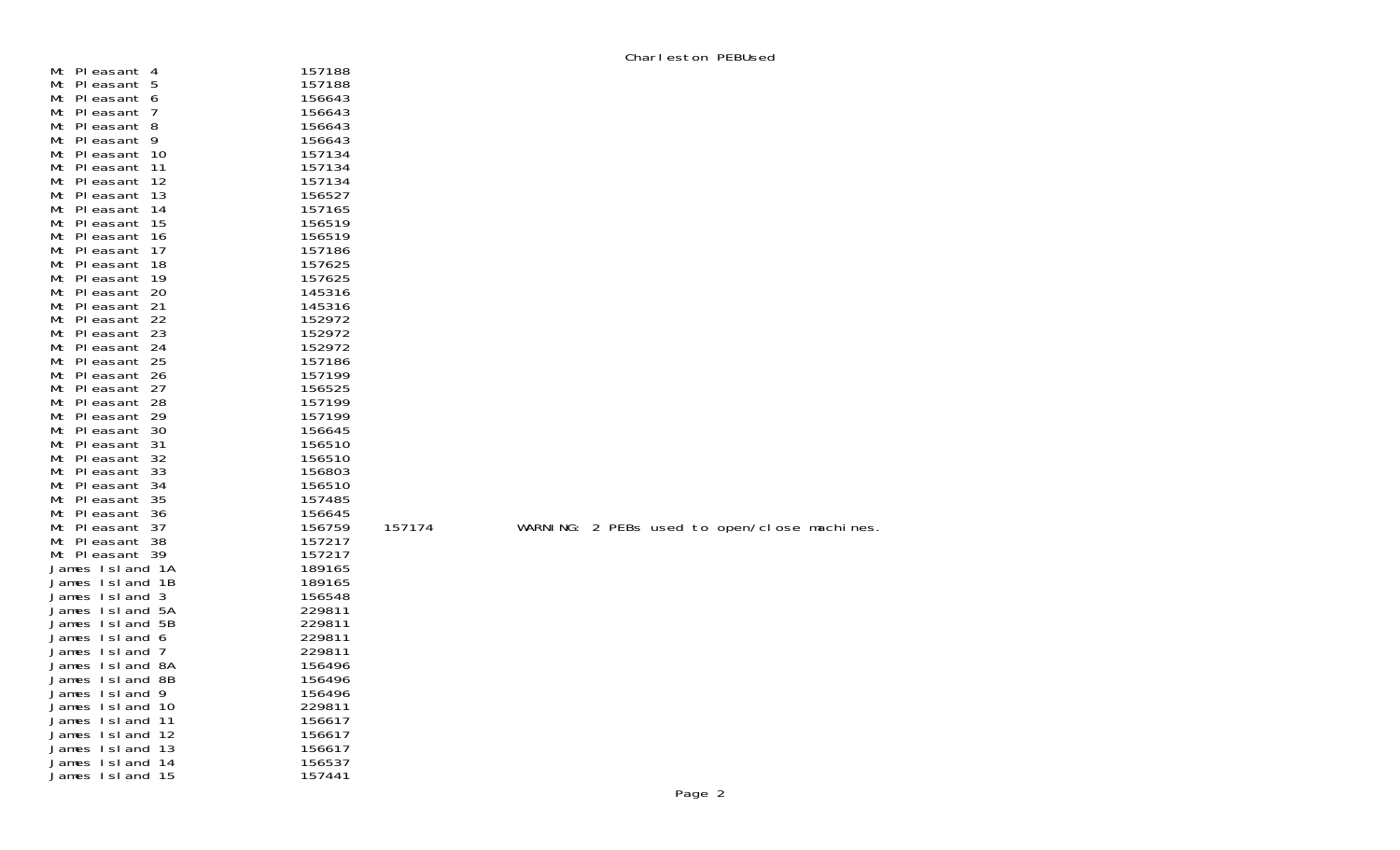| Mt    | PI easant<br>4  | 157188 |
|-------|-----------------|--------|
| Мt    | PI easant<br>5  | 157188 |
| Mt    | PI easant<br>6  | 156643 |
| Mt    | PI easant<br>7  | 156643 |
| Mt    | PI easant<br>8  | 156643 |
| Мt    | PI easant<br>9  | 156643 |
| Мt    | 10<br>PI easant | 157134 |
| Mt    | PI easant<br>11 | 157134 |
| Mt    | 12<br>PI easant | 157134 |
| Мt    | 13<br>PI easant | 156527 |
| Мt    | PI easant<br>14 | 157165 |
| Mt    | PI easant<br>15 | 156519 |
| Мt    | 16<br>PI easant | 156519 |
| Mt    | 17<br>PI easant | 157186 |
| Мt    | 18<br>PI easant | 157625 |
| Mt    | 19<br>PI easant | 157625 |
| Мt    | PI easant<br>20 | 145316 |
| Mt    | PI easant<br>21 | 145316 |
| Mt    | PI easant<br>22 | 152972 |
| Мt    | PI easant<br>23 | 152972 |
| Mt    | 24<br>PI easant | 152972 |
| Mt    | 25<br>PI easant | 157186 |
| Mt    | 26<br>PI easant | 157199 |
| Mt    | PI easant<br>27 | 156525 |
| Мt    | 28<br>PI easant | 157199 |
| Mt    | PI easant<br>29 | 157199 |
| Мt    | 30<br>PI easant | 156645 |
| Mt    | PI easant<br>31 | 156510 |
| Мt    | 32<br>PI easant | 156510 |
| Mt    | 33<br>PI easant | 156803 |
| Мt    | PI easant<br>34 | 156510 |
| Mt    | PI easant<br>35 | 157485 |
| Mt    | PI easant<br>36 | 156645 |
| Mt    | PI easant<br>37 | 156759 |
| Mt    | PI easant<br>38 | 157217 |
| Мt    | PI easant<br>39 | 157217 |
| James | Island<br>1Α    | 189165 |
| James | Island<br>1B    | 189165 |
| James | Island<br>3     | 156548 |
| James | Island<br>5А    | 229811 |
| James | Island<br>5Β    | 229811 |
| James | Island<br>6     | 229811 |
| James | Island<br>7     | 229811 |
| James | Island<br>8А    | 156496 |
| James | Island<br>8Β    | 156496 |
| James | Island<br>9     | 156496 |
| James | 10<br>Island    | 229811 |
| James | Island<br>11    | 156617 |
| James | 12<br>Island    | 156617 |
| James | Island<br>13    | 156617 |
| James | Island<br>14    | 156537 |
| James | Island<br>15    | 157441 |

157174 WARNING: 2 PEBs used to open/close machines.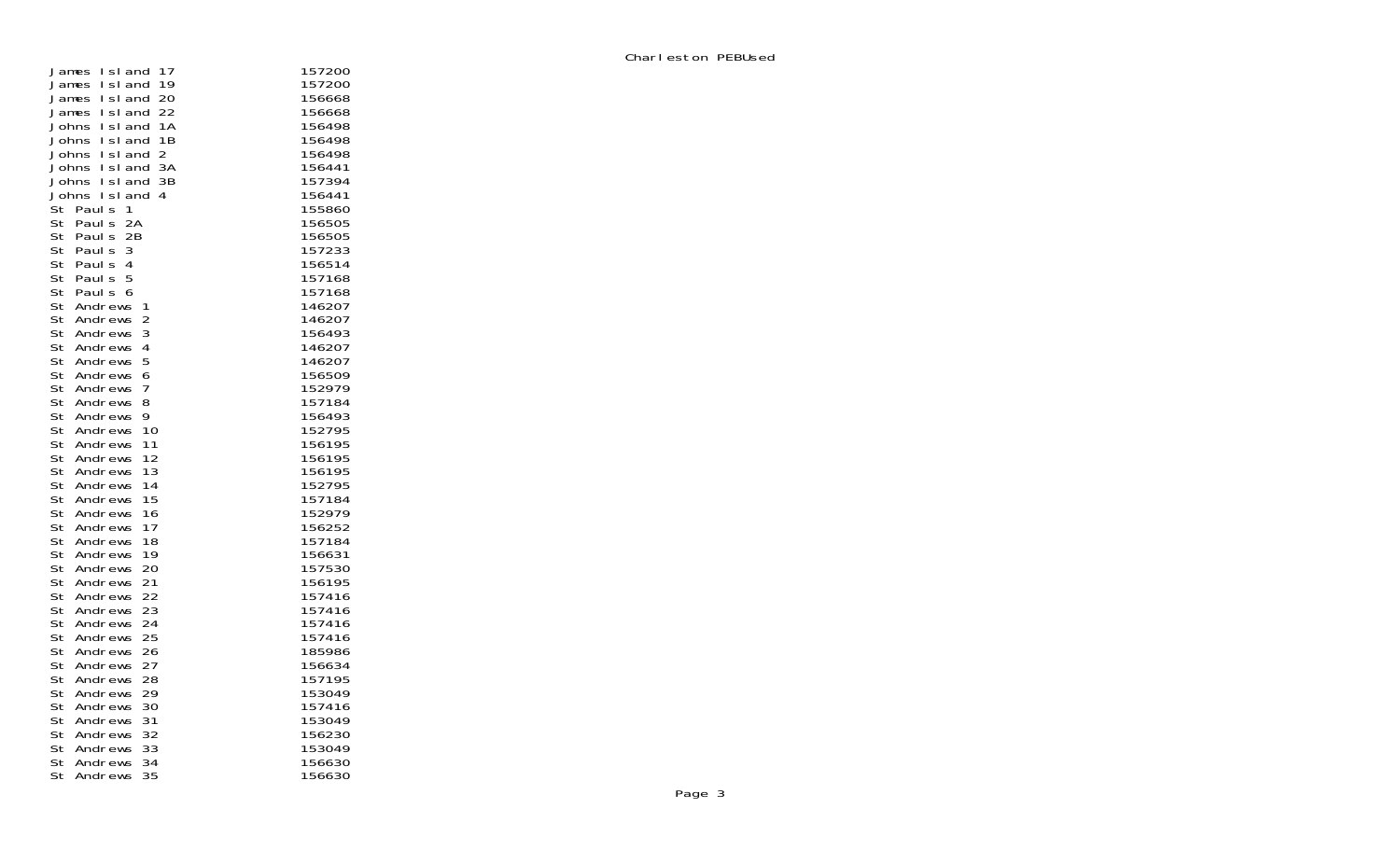| 17<br>I sI and<br>James           | 157200 |
|-----------------------------------|--------|
| 19<br>l sl and<br>James           | 157200 |
| Island<br>20<br>James             | 156668 |
| Island<br>22<br>James             | 156668 |
| 1Α<br>Johns<br>Island             | 156498 |
| I sI and<br>1Β<br>Johns           | 156498 |
| Island<br>$\overline{c}$<br>Johns | 156498 |
| Island<br>ЗA<br>Johns             | 156441 |
| Johns<br>Island<br>3B             | 157394 |
| Johns<br>l sl<br>and<br>4         | 156441 |
| St<br>Paul s<br>1                 | 155860 |
| St<br>2A<br>Paul s                | 156505 |
| St<br>Paul s<br>2Β                | 156505 |
| St<br>Paul s<br>3                 | 157233 |
| St<br>Paul s<br>4                 | 156514 |
| St<br>Paul s<br>5                 | 157168 |
| St<br>Paul s<br>6                 | 157168 |
| St<br>Andrews<br>1                | 146207 |
| St<br>Andrews<br>2                | 146207 |
| St<br>3<br>Andrews                | 156493 |
| St<br>Andrews<br>4                | 146207 |
| St<br>Andrews<br>5                | 146207 |
| St<br>Andrews<br>6                | 156509 |
| St<br>Andrews<br>7                | 152979 |
| St<br>Andrews<br>8                | 157184 |
| St<br>Andrews<br>9                | 156493 |
| St<br>Andrews<br>10               | 152795 |
| St<br>Andrews<br>11               | 156195 |
| 12<br>St<br>Andrews               | 156195 |
| St<br>13<br>Andrews               | 156195 |
| St<br>14<br>Andrews               | 152795 |
| St<br>Andrews<br>15               | 157184 |
| 16<br>St<br>Andrews               | 152979 |
| St<br>Andrews<br>17               | 156252 |
| St<br>Andrews<br>18               | 157184 |
| St<br>Andrews<br>19               | 156631 |
| St<br>Andrews<br>20               | 157530 |
| St<br>Andrews<br>21               | 156195 |
| St<br>Andrews<br>22               | 157416 |
| St<br>23<br>Andrews               | 157416 |
| St<br>Andrews<br>24               | 157416 |
| St<br>Andrews<br>25               | 157416 |
| St<br>Andrews<br>26               | 185986 |
| St<br>Andrews<br>27               | 156634 |
| St<br>Andrews<br>28               | 157195 |
| St<br>Andrews<br>29               | 153049 |
| St<br>30<br>Andrews               | 157416 |
| St<br>31<br>Andrews               | 153049 |
| St<br>Andrews<br>32               | 156230 |
| St<br>Andrews<br>33               | 153049 |
| St<br>Andrews<br>34               | 156630 |
| St<br>35<br>Andrews               | 156630 |
|                                   |        |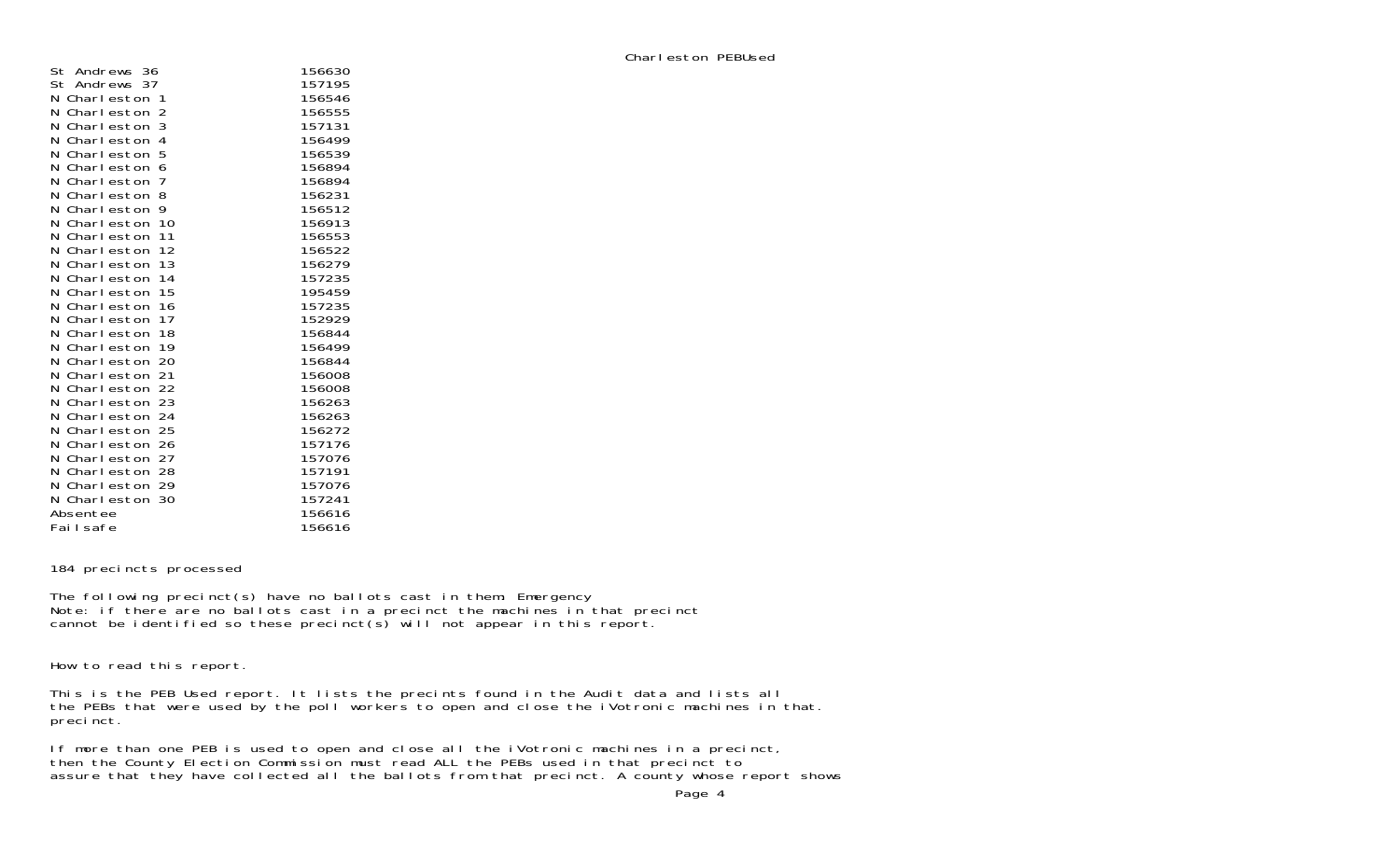| Andrews 36<br>St      | 156630 |
|-----------------------|--------|
| St<br>Andrews 37      | 157195 |
| N.<br>Charleston<br>1 | 156546 |
| N<br>Charleston<br>2  | 156555 |
| 3<br>Ν<br>Charleston  | 157131 |
| N.<br>Charleston<br>4 | 156499 |
| 5<br>Charleston<br>N  | 156539 |
| Ν<br>Charleston<br>6  | 156894 |
| 7<br>Ν<br>Charleston  | 156894 |
| 8<br>Ν<br>Charleston  | 156231 |
| Charleston<br>9<br>N  | 156512 |
| Charleston<br>10<br>N | 156913 |
| 11<br>Ν<br>Charleston | 156553 |
| Ν<br>12<br>Charleston | 156522 |
| 13<br>N<br>Charleston | 156279 |
| Charleston<br>14<br>N | 157235 |
| Ν<br>Charleston<br>15 | 195459 |
| Ν<br>Charleston<br>16 | 157235 |
| N<br>17<br>Charleston | 152929 |
| 18<br>N<br>Charleston | 156844 |
| Charleston<br>19<br>N | 156499 |
| Charleston<br>20<br>Ν | 156844 |
| 21<br>Ν<br>Charleston | 156008 |
| N<br>Charleston 22    | 156008 |
| Charleston 23<br>N    | 156263 |
| 24<br>Ν<br>Charleston | 156263 |
| Ν<br>Charleston 25    | 156272 |
| Ν<br>Charleston 26    | 157176 |
| N<br>27<br>Charleston | 157076 |
| 28<br>Charleston<br>N | 157191 |
| Charleston 29<br>N    | 157076 |
| Charleston 30<br>N    | 157241 |
| Absentee              | 156616 |
| Fai I safe            | 156616 |

184 precincts processed

The following precinct(s) have no ballots cast in them: Emergency Note: if there are no ballots cast in a precinct the machines in that precinct cannot be identified so these precinct(s) will not appear in this report.

How to read this report.

This is the PEB Used report. It lists the precints found in the Audit data and lists all the PEBs that were used by the poll workers to open and close the iVotronic machines in that. precinct.

If more than one PEB is used to open and close all the iVotronic machines in a precinct, then the County Election Commission must read ALL the PEBs used in that precinct to assure that they have collected all the ballots from that precinct. A county whose report shows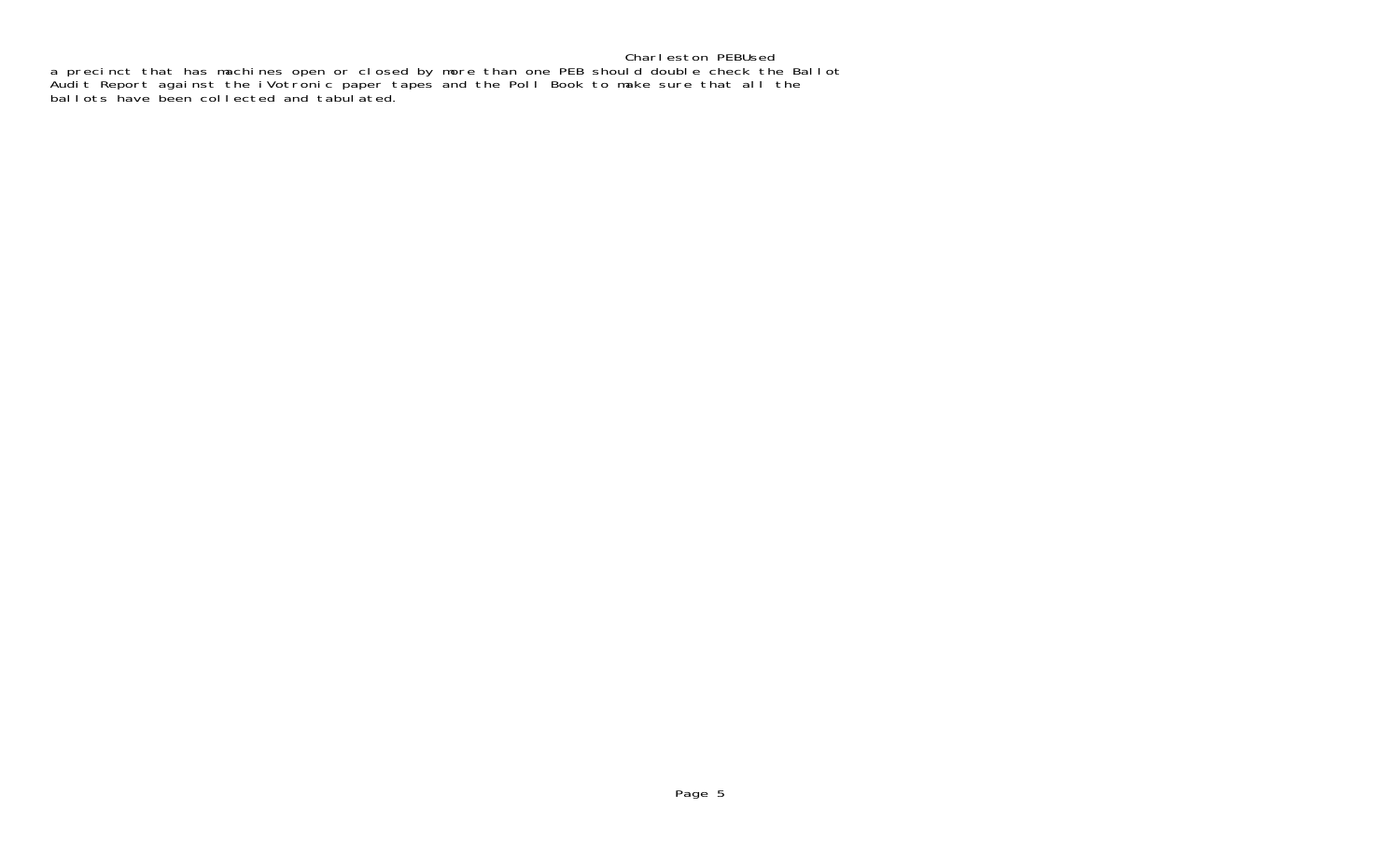## Charleston PEBUsed a precinct that has machines open or closed by more than one PEB should double check the Ballot Audit Report against the iVotronic paper tapes and the Poll Book to make sure that all the ballots have been collected and tabulated.